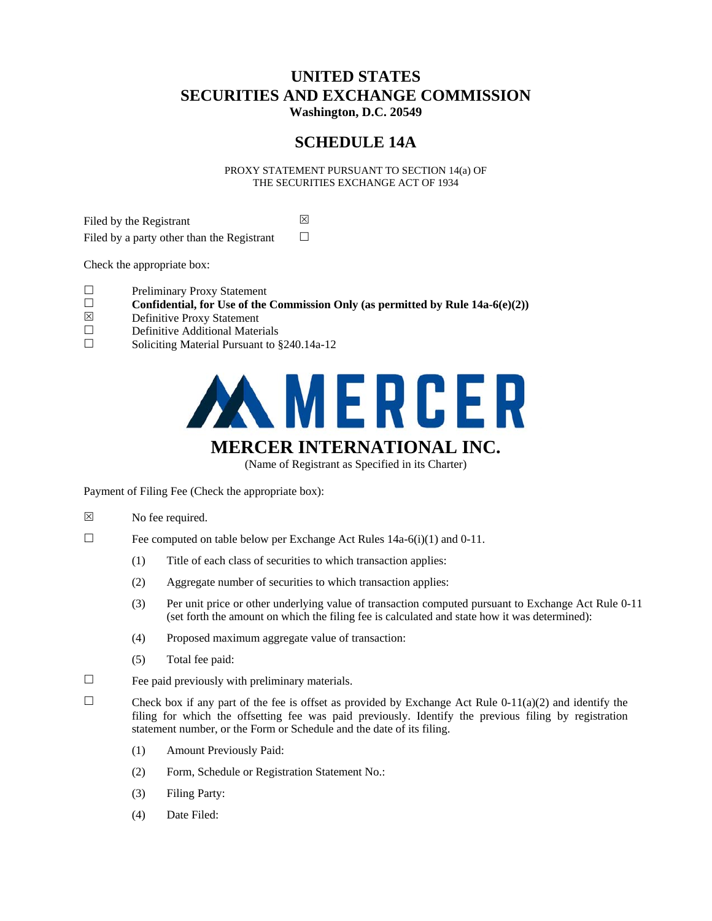# **UNITED STATES SECURITIES AND EXCHANGE COMMISSION Washington, D.C. 20549**

# **SCHEDULE 14A**

PROXY STATEMENT PURSUANT TO SECTION 14(a) OF THE SECURITIES EXCHANGE ACT OF 1934

Filed by the Registrant  $\boxtimes$ Filed by a party other than the Registrant  $\Box$ 

Check the appropriate box:

- $\Box$  Preliminary Proxy Statement
- **Confidential, for Use of the Commission Only (as permitted by Rule 14a-6(e)(2))**  $\boxtimes$  Definitive Proxy Statement
- $\boxtimes$  Definitive Proxy Statement
- Definitive Additional Materials
- $\Box$  Soliciting Material Pursuant to §240.14a-12



(Name of Registrant as Specified in its Charter)

Payment of Filing Fee (Check the appropriate box):

- $\boxtimes$  No fee required.
- Fee computed on table below per Exchange Act Rules  $14a-6(i)(1)$  and  $0-11$ .
	- (1) Title of each class of securities to which transaction applies:
	- (2) Aggregate number of securities to which transaction applies:
	- (3) Per unit price or other underlying value of transaction computed pursuant to Exchange Act Rule 0-11 (set forth the amount on which the filing fee is calculated and state how it was determined):
	- (4) Proposed maximum aggregate value of transaction:
	- (5) Total fee paid:
- $\Box$  Fee paid previously with preliminary materials.
- Check box if any part of the fee is offset as provided by Exchange Act Rule 0-11(a)(2) and identify the filing for which the offsetting fee was paid previously. Identify the previous filing by registration statement number, or the Form or Schedule and the date of its filing.
	- (1) Amount Previously Paid:
	- (2) Form, Schedule or Registration Statement No.:
	- (3) Filing Party:
	- (4) Date Filed: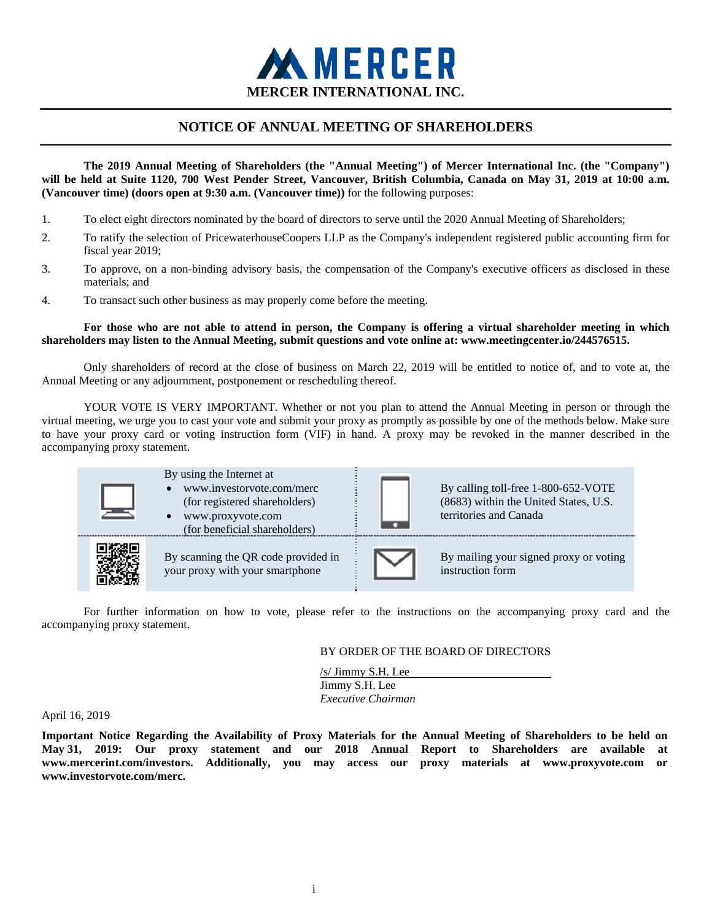

# **NOTICE OF ANNUAL MEETING OF SHAREHOLDERS**

**The 2019 Annual Meeting of Shareholders (the "Annual Meeting") of Mercer International Inc. (the "Company") will be held at Suite 1120, 700 West Pender Street, Vancouver, British Columbia, Canada on May 31, 2019 at 10:00 a.m. (Vancouver time) (doors open at 9:30 a.m. (Vancouver time))** for the following purposes:

- 1. To elect eight directors nominated by the board of directors to serve until the 2020 Annual Meeting of Shareholders;
- 2. To ratify the selection of PricewaterhouseCoopers LLP as the Company's independent registered public accounting firm for fiscal year 2019;
- 3. To approve, on a non-binding advisory basis, the compensation of the Company's executive officers as disclosed in these materials; and
- 4. To transact such other business as may properly come before the meeting.

# **For those who are not able to attend in person, the Company is offering a virtual shareholder meeting in which shareholders may listen to the Annual Meeting, submit questions and vote online at: www.meetingcenter.io/244576515.**

Only shareholders of record at the close of business on March 22, 2019 will be entitled to notice of, and to vote at, the Annual Meeting or any adjournment, postponement or rescheduling thereof.

YOUR VOTE IS VERY IMPORTANT. Whether or not you plan to attend the Annual Meeting in person or through the virtual meeting, we urge you to cast your vote and submit your proxy as promptly as possible by one of the methods below. Make sure to have your proxy card or voting instruction form (VIF) in hand. A proxy may be revoked in the manner described in the accompanying proxy statement.



For further information on how to vote, please refer to the instructions on the accompanying proxy card and the accompanying proxy statement.

# BY ORDER OF THE BOARD OF DIRECTORS

/s/ Jimmy S.H. Lee Jimmy S.H. Lee *Executive Chairman* 

#### April 16, 2019

**Important Notice Regarding the Availability of Proxy Materials for the Annual Meeting of Shareholders to be held on May 31, 2019: Our proxy statement and our 2018 Annual Report to Shareholders are available at www.mercerint.com/investors. Additionally, you may access our proxy materials at www.proxyvote.com or www.investorvote.com/merc.**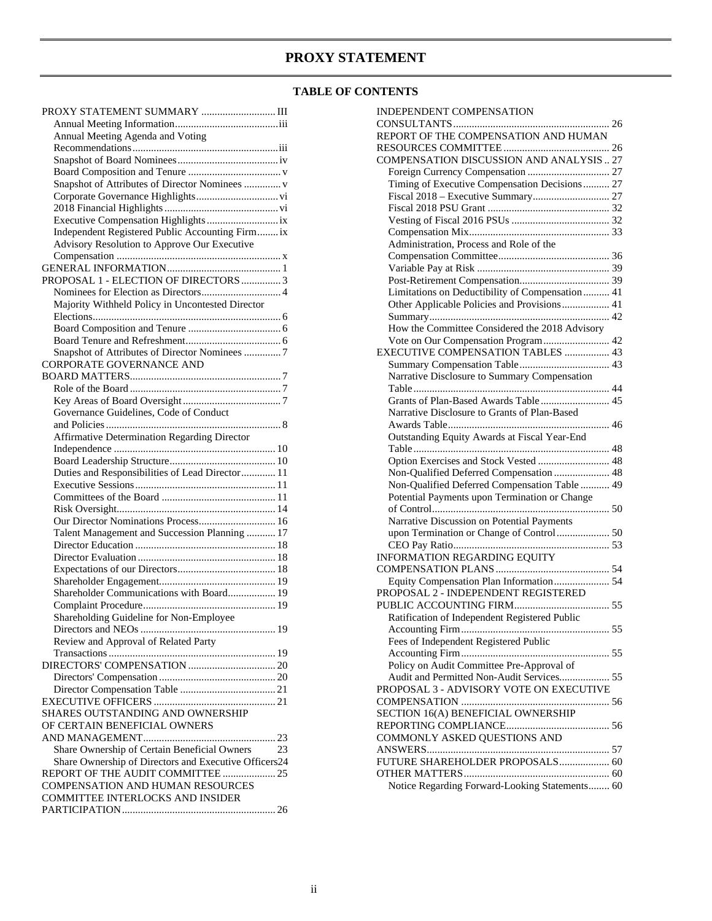# **PROXY STATEMENT**

# **TABLE OF CONTENTS**

| PROXY STATEMENT SUMMARY  III                          |
|-------------------------------------------------------|
|                                                       |
| Annual Meeting Agenda and Voting                      |
|                                                       |
|                                                       |
|                                                       |
| Snapshot of Attributes of Director Nominees  v        |
|                                                       |
|                                                       |
|                                                       |
| Independent Registered Public Accounting Firm ix      |
|                                                       |
| Advisory Resolution to Approve Our Executive          |
|                                                       |
|                                                       |
| PROPOSAL 1 - ELECTION OF DIRECTORS  3                 |
|                                                       |
| Majority Withheld Policy in Uncontested Director      |
|                                                       |
|                                                       |
|                                                       |
| Snapshot of Attributes of Director Nominees  7        |
| <b>CORPORATE GOVERNANCE AND</b>                       |
|                                                       |
|                                                       |
|                                                       |
| Governance Guidelines, Code of Conduct                |
|                                                       |
| <b>Affirmative Determination Regarding Director</b>   |
|                                                       |
|                                                       |
| Duties and Responsibilities of Lead Director 11       |
|                                                       |
|                                                       |
|                                                       |
| Our Director Nominations Process 16                   |
| Talent Management and Succession Planning  17         |
|                                                       |
|                                                       |
|                                                       |
|                                                       |
| Shareholder Communications with Board 19              |
|                                                       |
| Shareholding Guideline for Non-Employee               |
|                                                       |
| Review and Approval of Related Party                  |
|                                                       |
|                                                       |
|                                                       |
|                                                       |
|                                                       |
| SHARES OUTSTANDING AND OWNERSHIP                      |
| OF CERTAIN BENEFICIAL OWNERS                          |
|                                                       |
|                                                       |
| Share Ownership of Certain Beneficial Owners<br>23    |
| Share Ownership of Directors and Executive Officers24 |
| REPORT OF THE AUDIT COMMITTEE  25                     |
| COMPENSATION AND HUMAN RESOURCES                      |
| COMMITTEE INTERLOCKS AND INSIDER                      |
|                                                       |

| INDEPENDENT COMPENSATION                        |
|-------------------------------------------------|
|                                                 |
| REPORT OF THE COMPENSATION AND HUMAN            |
|                                                 |
| COMPENSATION DISCUSSION AND ANALYSIS  27        |
|                                                 |
| Timing of Executive Compensation Decisions 27   |
|                                                 |
|                                                 |
|                                                 |
|                                                 |
| Administration, Process and Role of the         |
|                                                 |
|                                                 |
|                                                 |
| Limitations on Deductibility of Compensation 41 |
| Other Applicable Policies and Provisions 41     |
|                                                 |
| How the Committee Considered the 2018 Advisory  |
| Vote on Our Compensation Program 42             |
| EXECUTIVE COMPENSATION TABLES  43               |
|                                                 |
| Narrative Disclosure to Summary Compensation    |
|                                                 |
| Grants of Plan-Based Awards Table  45           |
| Narrative Disclosure to Grants of Plan-Based    |
|                                                 |
| Outstanding Equity Awards at Fiscal Year-End    |
|                                                 |
| Option Exercises and Stock Vested  48           |
| Non-Qualified Deferred Compensation  48         |
| Non-Qualified Deferred Compensation Table  49   |
| Potential Payments upon Termination or Change   |
|                                                 |
| Narrative Discussion on Potential Payments      |
| upon Termination or Change of Control 50        |
|                                                 |
| <b>INFORMATION REGARDING EQUITY</b>             |
|                                                 |
| Equity Compensation Plan Information 54         |
| PROPOSAL 2 - INDEPENDENT REGISTERED             |
|                                                 |
| Ratification of Independent Registered Public   |
|                                                 |
| Fees of Independent Registered Public           |
|                                                 |
| Policy on Audit Committee Pre-Approval of       |
| Audit and Permitted Non-Audit Services 55       |
| PROPOSAL 3 - ADVISORY VOTE ON EXECUTIVE         |
|                                                 |
| SECTION 16(A) BENEFICIAL OWNERSHIP              |
|                                                 |
| COMMONLY ASKED QUESTIONS AND                    |
|                                                 |
| FUTURE SHAREHOLDER PROPOSALS 60                 |
|                                                 |
| Notice Regarding Forward-Looking Statements 60  |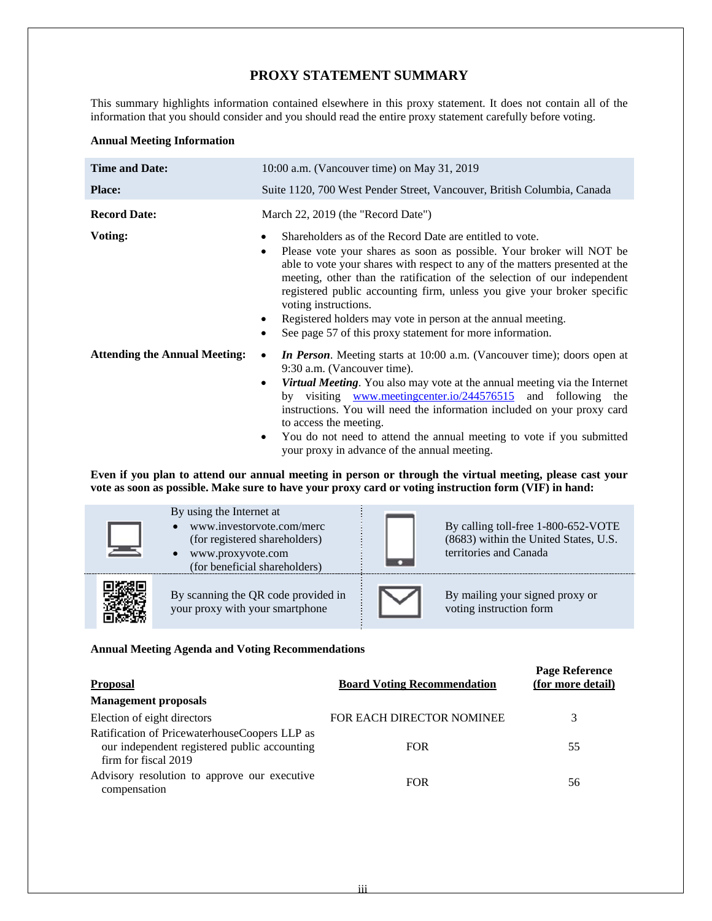# **PROXY STATEMENT SUMMARY**

This summary highlights information contained elsewhere in this proxy statement. It does not contain all of the information that you should consider and you should read the entire proxy statement carefully before voting.

# **Annual Meeting Information**

| <b>Time and Date:</b>                | 10:00 a.m. (Vancouver time) on May 31, 2019                                                                                                                                                                                                                                                                                                                                                                                                                                                                                                         |  |  |  |  |  |
|--------------------------------------|-----------------------------------------------------------------------------------------------------------------------------------------------------------------------------------------------------------------------------------------------------------------------------------------------------------------------------------------------------------------------------------------------------------------------------------------------------------------------------------------------------------------------------------------------------|--|--|--|--|--|
| <b>Place:</b>                        | Suite 1120, 700 West Pender Street, Vancouver, British Columbia, Canada                                                                                                                                                                                                                                                                                                                                                                                                                                                                             |  |  |  |  |  |
| <b>Record Date:</b>                  | March 22, 2019 (the "Record Date")                                                                                                                                                                                                                                                                                                                                                                                                                                                                                                                  |  |  |  |  |  |
| Voting:                              | Shareholders as of the Record Date are entitled to vote.<br>٠<br>Please vote your shares as soon as possible. Your broker will NOT be<br>$\bullet$<br>able to vote your shares with respect to any of the matters presented at the<br>meeting, other than the ratification of the selection of our independent<br>registered public accounting firm, unless you give your broker specific<br>voting instructions.<br>Registered holders may vote in person at the annual meeting.<br>See page 57 of this proxy statement for more information.<br>٠ |  |  |  |  |  |
| <b>Attending the Annual Meeting:</b> | In Person. Meeting starts at 10:00 a.m. (Vancouver time); doors open at<br>9:30 a.m. (Vancouver time).<br><b>Virtual Meeting.</b> You also may vote at the annual meeting via the Internet<br>٠<br>by visiting www.meetingcenter.io/244576515 and following the<br>instructions. You will need the information included on your proxy card<br>to access the meeting.<br>You do not need to attend the annual meeting to vote if you submitted<br>٠<br>your proxy in advance of the annual meeting.                                                  |  |  |  |  |  |

**Even if you plan to attend our annual meeting in person or through the virtual meeting, please cast your vote as soon as possible. Make sure to have your proxy card or voting instruction form (VIF) in hand:** 

| By using the Internet at<br>www.investorvote.com/merc<br>(for registered shareholders)<br>www.proxyvote.com<br>$\bullet$<br>(for beneficial shareholders) | By calling toll-free 1-800-652-VOTE<br>(8683) within the United States, U.S.<br>territories and Canada |
|-----------------------------------------------------------------------------------------------------------------------------------------------------------|--------------------------------------------------------------------------------------------------------|
| By scanning the QR code provided in<br>your proxy with your smartphone                                                                                    | By mailing your signed proxy or<br>voting instruction form                                             |

# **Annual Meeting Agenda and Voting Recommendations**

| <b>Proposal</b>                                                                                                       | <b>Board Voting Recommendation</b> | <b>Page Reference</b><br>(for more detail) |
|-----------------------------------------------------------------------------------------------------------------------|------------------------------------|--------------------------------------------|
| <b>Management proposals</b>                                                                                           |                                    |                                            |
| Election of eight directors                                                                                           | <b>FOR EACH DIRECTOR NOMINEE</b>   |                                            |
| Ratification of PricewaterhouseCoopers LLP as<br>our independent registered public accounting<br>firm for fiscal 2019 | <b>FOR</b>                         | 55                                         |
| Advisory resolution to approve our executive<br>compensation                                                          | <b>FOR</b>                         | 56                                         |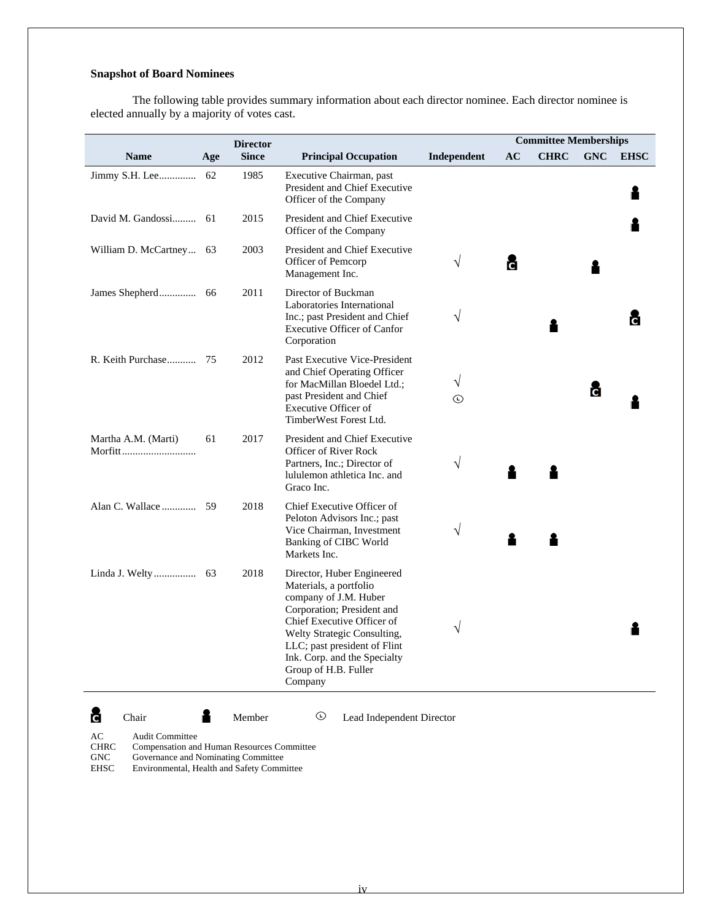# **Snapshot of Board Nominees**

The following table provides summary information about each director nominee. Each director nominee is elected annually by a majority of votes cast.

|                         |     | <b>Director</b> |                                                                                                                                                                                                                                                                             |                    |    | <b>Committee Memberships</b> |            |             |
|-------------------------|-----|-----------------|-----------------------------------------------------------------------------------------------------------------------------------------------------------------------------------------------------------------------------------------------------------------------------|--------------------|----|------------------------------|------------|-------------|
| <b>Name</b>             | Age | <b>Since</b>    | <b>Principal Occupation</b>                                                                                                                                                                                                                                                 | Independent        | AC | <b>CHRC</b>                  | <b>GNC</b> | <b>EHSC</b> |
| Jimmy S.H. Lee          | 62  | 1985            | Executive Chairman, past<br>President and Chief Executive<br>Officer of the Company                                                                                                                                                                                         |                    |    |                              |            |             |
|                         |     | 2015            | President and Chief Executive<br>Officer of the Company                                                                                                                                                                                                                     |                    |    |                              |            |             |
| William D. McCartney 63 |     | 2003            | President and Chief Executive<br>Officer of Pemcorp<br>Management Inc.                                                                                                                                                                                                      | V                  | c. |                              |            |             |
|                         |     | 2011            | Director of Buckman<br>Laboratories International<br>Inc.; past President and Chief<br><b>Executive Officer of Canfor</b><br>Corporation                                                                                                                                    | V                  |    |                              |            |             |
|                         |     | 2012            | Past Executive Vice-President<br>and Chief Operating Officer<br>for MacMillan Bloedel Ltd.;<br>past President and Chief<br>Executive Officer of<br>TimberWest Forest Ltd.                                                                                                   | V<br>$^\copyright$ |    |                              | č          |             |
| Martha A.M. (Marti)     | 61  | 2017            | President and Chief Executive<br>Officer of River Rock<br>Partners, Inc.; Director of<br>lululemon athletica Inc. and<br>Graco Inc.                                                                                                                                         | V                  |    |                              |            |             |
|                         |     | 2018            | Chief Executive Officer of<br>Peloton Advisors Inc.; past<br>Vice Chairman, Investment<br><b>Banking of CIBC World</b><br>Markets Inc.                                                                                                                                      | V                  |    |                              |            |             |
|                         |     | 2018            | Director, Huber Engineered<br>Materials, a portfolio<br>company of J.M. Huber<br>Corporation; President and<br>Chief Executive Officer of<br>Welty Strategic Consulting,<br>LLC; past president of Flint<br>Ink. Corp. and the Specialty<br>Group of H.B. Fuller<br>Company | V                  |    |                              |            |             |
| c<br>Chair              |     | Member          | $^\copyright$<br>Lead Independent Director                                                                                                                                                                                                                                  |                    |    |                              |            |             |

AC Audit Committee<br>CHRC Compensation and Compensation and Human Resources Committee

GNC Governance and Nominating Committee<br>EHSC Environmental, Health and Safety Comm Environmental, Health and Safety Committee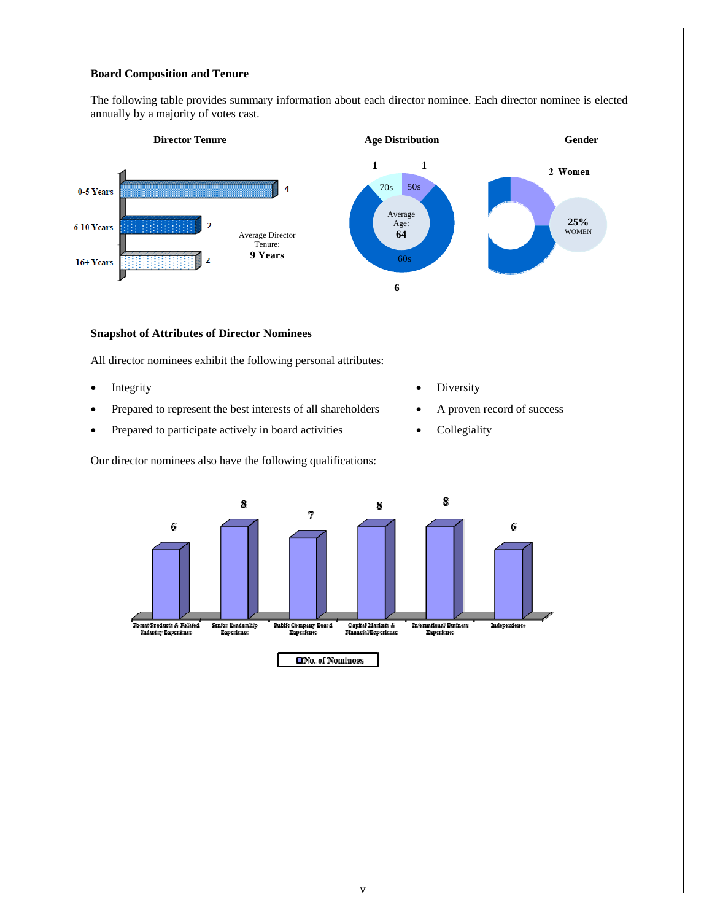# **Board Composition and Tenure**

The following table provides summary information about each director nominee. Each director nominee is elected annually by a majority of votes cast.



#### **Snapshot of Attributes of Director Nominees**

All director nominees exhibit the following personal attributes:

- 
- Prepared to represent the best interests of all shareholders <br>A proven record of success
- Prepared to participate actively in board activities Collegiality

Our director nominees also have the following qualifications:

- Integrity **Diversity Diversity** 
	-
	-

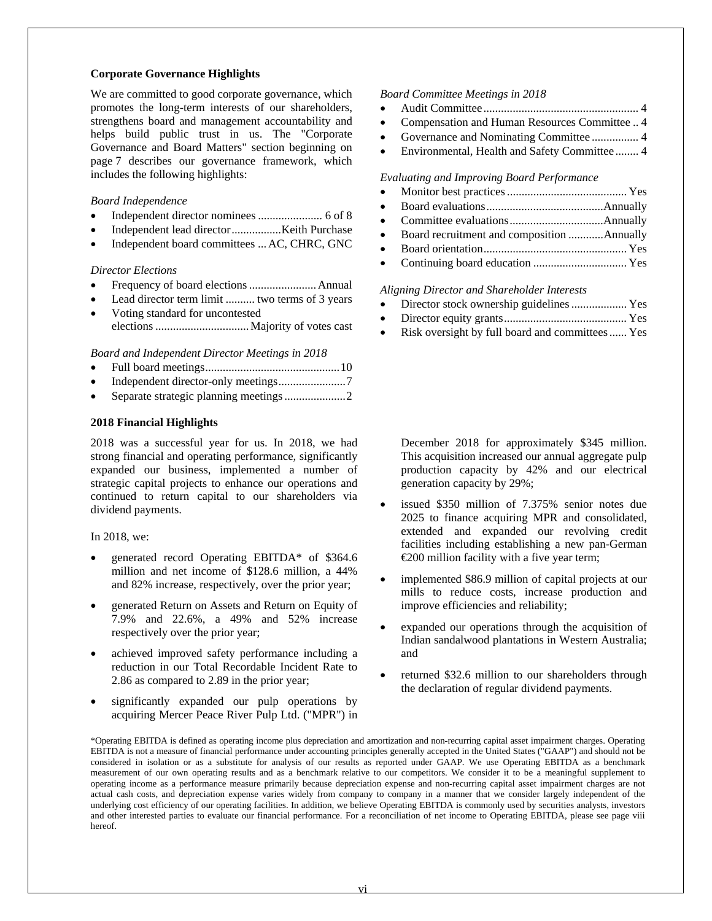### **Corporate Governance Highlights**

We are committed to good corporate governance, which promotes the long-term interests of our shareholders, strengthens board and management accountability and helps build public trust in us. The "Corporate Governance and Board Matters" section beginning on page 7 describes our governance framework, which includes the following highlights:

## *Board Independence*

- Independent director nominees ...................... 6 of 8
- Independent lead director ................. Keith Purchase
- Independent board committees ... AC, CHRC, GNC

# *Director Elections*

- Frequency of board elections ....................... Annual
- Lead director term limit .......... two terms of 3 years
- Voting standard for uncontested elections ................................ Majority of votes cast

*Board and Independent Director Meetings in 2018* 

- Full board meetings .............................................. 10
- Independent director-only meetings ....................... 7
- Separate strategic planning meetings ..................... 2

# **2018 Financial Highlights**

2018 was a successful year for us. In 2018, we had strong financial and operating performance, significantly expanded our business, implemented a number of strategic capital projects to enhance our operations and continued to return capital to our shareholders via dividend payments.

#### In 2018, we:

- generated record Operating EBITDA\* of \$364.6 million and net income of \$128.6 million, a 44% and 82% increase, respectively, over the prior year;
- generated Return on Assets and Return on Equity of 7.9% and 22.6%, a 49% and 52% increase respectively over the prior year;
- achieved improved safety performance including a reduction in our Total Recordable Incident Rate to 2.86 as compared to 2.89 in the prior year;
- significantly expanded our pulp operations by acquiring Mercer Peace River Pulp Ltd. ("MPR") in

#### *Board Committee Meetings in 2018*

- Audit Committee ..................................................... 4
- Compensation and Human Resources Committee .. 4
- Governance and Nominating Committee ................ 4
- Environmental, Health and Safety Committee ........ 4

*Evaluating and Improving Board Performance*

- Monitor best practices ......................................... Yes
- Board evaluations ........................................ Annually
- Committee evaluations ................................ Annually
- Board recruitment and composition ............ Annually
- Board orientation ................................................. Yes
- Continuing board education ................................ Yes

*Aligning Director and Shareholder Interests* 

- Director stock ownership guidelines ................... Yes
- Director equity grants .......................................... Yes
- Risk oversight by full board and committees ...... Yes

December 2018 for approximately \$345 million. This acquisition increased our annual aggregate pulp production capacity by 42% and our electrical generation capacity by 29%;

- issued \$350 million of 7.375% senior notes due 2025 to finance acquiring MPR and consolidated, extended and expanded our revolving credit facilities including establishing a new pan-German €200 million facility with a five year term;
- implemented \$86.9 million of capital projects at our mills to reduce costs, increase production and improve efficiencies and reliability;
- expanded our operations through the acquisition of Indian sandalwood plantations in Western Australia; and
- returned \$32.6 million to our shareholders through the declaration of regular dividend payments.

<sup>\*</sup>Operating EBITDA is defined as operating income plus depreciation and amortization and non-recurring capital asset impairment charges. Operating EBITDA is not a measure of financial performance under accounting principles generally accepted in the United States ("GAAP") and should not be considered in isolation or as a substitute for analysis of our results as reported under GAAP. We use Operating EBITDA as a benchmark measurement of our own operating results and as a benchmark relative to our competitors. We consider it to be a meaningful supplement to operating income as a performance measure primarily because depreciation expense and non-recurring capital asset impairment charges are not actual cash costs, and depreciation expense varies widely from company to company in a manner that we consider largely independent of the underlying cost efficiency of our operating facilities. In addition, we believe Operating EBITDA is commonly used by securities analysts, investors and other interested parties to evaluate our financial performance. For a reconciliation of net income to Operating EBITDA, please see page viii hereof.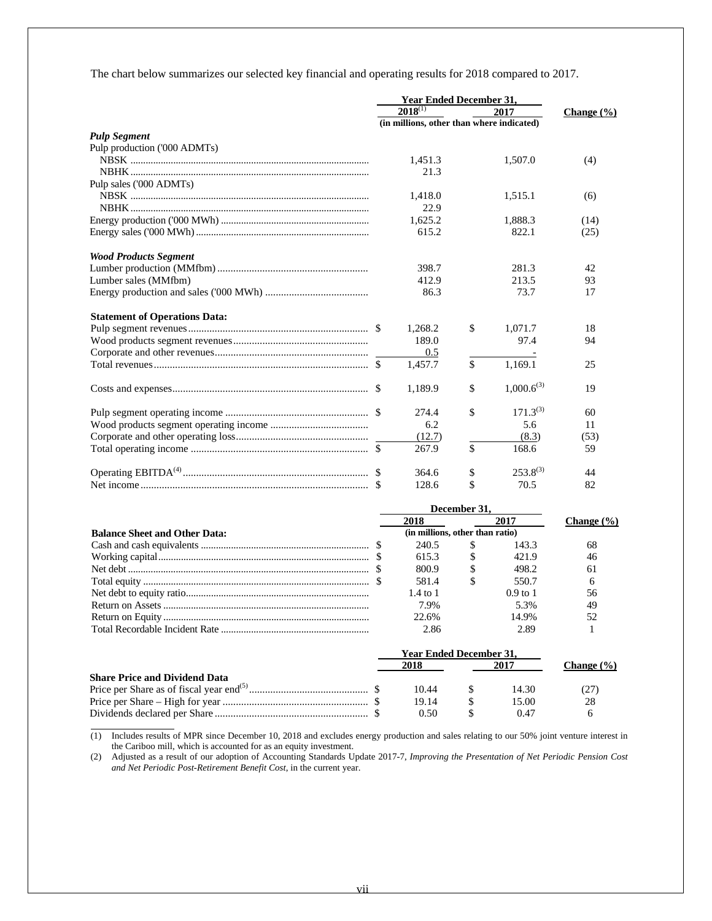The chart below summarizes our selected key financial and operating results for 2018 compared to 2017.

|                                      |                                           | <b>Year Ended December 31,</b> |    |                 |                |
|--------------------------------------|-------------------------------------------|--------------------------------|----|-----------------|----------------|
|                                      |                                           | $2018^{(1)}$                   |    | 2017            | Change $(\% )$ |
|                                      | (in millions, other than where indicated) |                                |    |                 |                |
| <b>Pulp Segment</b>                  |                                           |                                |    |                 |                |
| Pulp production ('000 ADMTs)         |                                           |                                |    |                 |                |
|                                      |                                           | 1,451.3                        |    | 1,507.0         | (4)            |
|                                      |                                           | 21.3                           |    |                 |                |
| Pulp sales ('000 ADMTs)              |                                           |                                |    |                 |                |
|                                      |                                           | 1,418.0                        |    | 1,515.1         | (6)            |
|                                      |                                           | 22.9                           |    |                 |                |
|                                      |                                           | 1,625.2                        |    | 1,888.3         | (14)           |
|                                      |                                           | 615.2                          |    | 822.1           | (25)           |
| <b>Wood Products Segment</b>         |                                           |                                |    |                 |                |
|                                      |                                           | 398.7                          |    | 281.3           | 42             |
| Lumber sales (MMfbm)                 |                                           | 412.9                          |    | 213.5           | 93             |
|                                      |                                           | 86.3                           |    | 73.7            | 17             |
| <b>Statement of Operations Data:</b> |                                           |                                |    |                 |                |
|                                      |                                           | 1,268.2                        | \$ | 1.071.7         | 18             |
|                                      |                                           | 189.0                          |    | 97.4            | 94             |
|                                      |                                           | 0.5                            |    |                 |                |
|                                      |                                           | 1,457.7                        | \$ | 1,169.1         | 25             |
|                                      |                                           | 1,189.9                        | \$ | $1,000.6^{(3)}$ | 19             |
|                                      |                                           | 274.4                          | \$ | $171.3^{(3)}$   | 60             |
|                                      |                                           | 6.2                            |    | 5.6             | 11             |
|                                      |                                           | (12.7)                         |    | (8.3)           | (53)           |
|                                      |                                           | 267.9                          | \$ | 168.6           | 59             |
|                                      |                                           | 364.6                          | \$ | $253.8^{(3)}$   | 44             |
|                                      |                                           | 128.6                          | \$ | 70.5            | 82             |

|                                      |                                 | December 31. |            |                |
|--------------------------------------|---------------------------------|--------------|------------|----------------|
|                                      | 2018                            |              | 2017       | Change $(\% )$ |
| <b>Balance Sheet and Other Data:</b> | (in millions, other than ratio) |              |            |                |
|                                      | 240.5                           | S            | 143.3      | 68             |
|                                      | 615.3                           |              | 421.9      | 46             |
|                                      | 800.9                           |              | 498.2      | 61             |
|                                      | 581.4                           |              | 550.7      | 6              |
|                                      | $1.4 \text{ to } 1$             |              | $0.9$ to 1 | 56             |
|                                      | 7.9%                            |              | 5.3%       | 49             |
|                                      | 22.6%                           |              | 14.9%      | 52             |
|                                      | 2.86                            |              | 2.89       |                |
|                                      | <b>Year Ended December 31.</b>  |              |            |                |
|                                      | 2018                            |              | 2017       | Change $(\% )$ |
| <b>Share Price and Dividend Data</b> |                                 |              |            |                |
|                                      | 10.44                           |              | 14.30      | (27)           |
|                                      | 19.14                           |              | 15.00      | 28             |
|                                      | 0.50                            |              | 0.47       | 6              |

<sup>(1)</sup> Includes results of MPR since December 10, 2018 and excludes energy production and sales relating to our 50% joint venture interest in the Cariboo mill, which is accounted for as an equity investment.

 $\overline{a}$ 

(2) Adjusted as a result of our adoption of Accounting Standards Update 2017-7, *Improving the Presentation of Net Periodic Pension Cost and Net Periodic Post-Retirement Benefit Cost*, in the current year.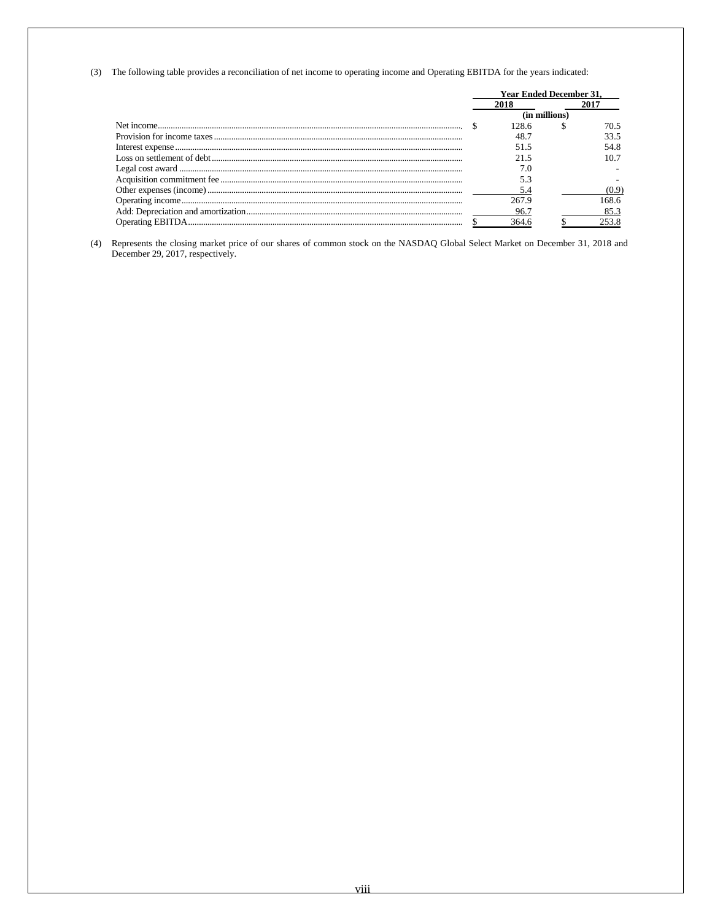(3) The following table provides a reconciliation of net income to operating income and Operating EBITDA for the years indicated:

| <b>Year Ended December 31.</b> |       |               |       |
|--------------------------------|-------|---------------|-------|
|                                | 2018  |               |       |
|                                |       | (in millions) |       |
|                                | 128.6 |               | 70.5  |
|                                | 48.7  |               | 33.5  |
|                                | 515   |               | 54.8  |
|                                | 21.5  |               | 10.7  |
|                                | 7.0   |               |       |
|                                |       |               |       |
|                                |       |               |       |
|                                | 267.9 |               | 168.6 |
|                                | 96.7  |               | 85.3  |
|                                |       |               |       |

(4) Represents the closing market price of our shares of common stock on the NASDAQ Global Select Market on December 31, 2018 and December 29, 2017, respectively.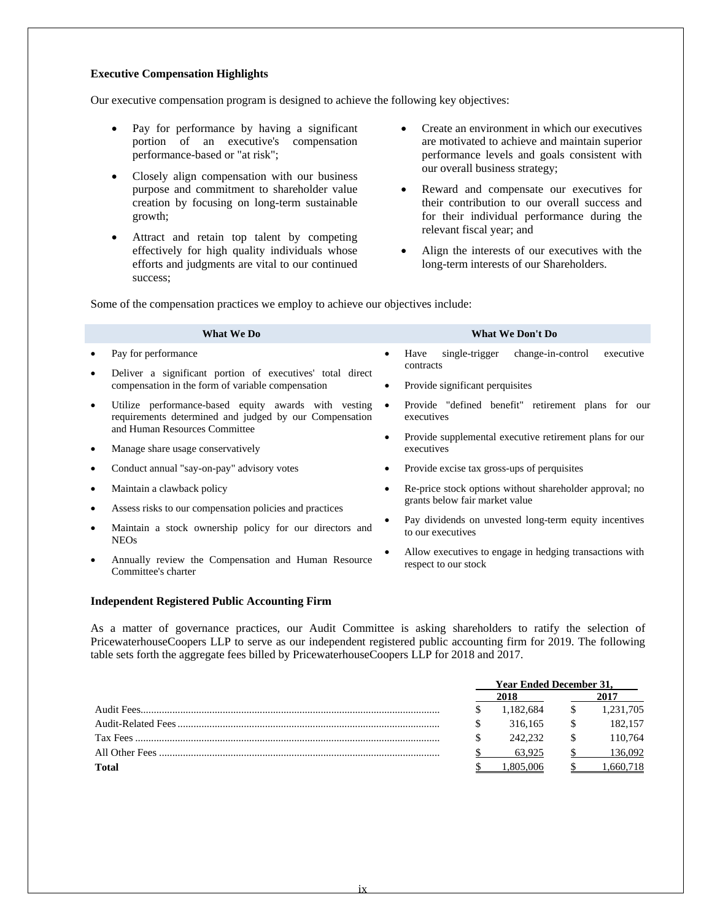# **Executive Compensation Highlights**

Our executive compensation program is designed to achieve the following key objectives:

- Pay for performance by having a significant portion of an executive's compensation performance-based or "at risk";
- Closely align compensation with our business purpose and commitment to shareholder value creation by focusing on long-term sustainable growth;
- Attract and retain top talent by competing effectively for high quality individuals whose efforts and judgments are vital to our continued success;
- Create an environment in which our executives are motivated to achieve and maintain superior performance levels and goals consistent with our overall business strategy;
- Reward and compensate our executives for their contribution to our overall success and for their individual performance during the relevant fiscal year; and
- Align the interests of our executives with the long-term interests of our Shareholders.

Some of the compensation practices we employ to achieve our objectives include:

|           | <b>What We Do</b>                                                                                              |                                                              | <b>What We Don't Do</b>                                                         |  |  |  |
|-----------|----------------------------------------------------------------------------------------------------------------|--------------------------------------------------------------|---------------------------------------------------------------------------------|--|--|--|
|           | Pay for performance                                                                                            | $\bullet$                                                    | change-in-control<br>single-trigger<br>executive<br>Have                        |  |  |  |
|           | Deliver a significant portion of executives' total direct                                                      |                                                              | contracts                                                                       |  |  |  |
|           | compensation in the form of variable compensation                                                              | $\bullet$                                                    | Provide significant perquisites                                                 |  |  |  |
| $\bullet$ | Utilize performance-based equity awards with vesting<br>requirements determined and judged by our Compensation | $\bullet$                                                    | Provide "defined benefit" retirement plans for our<br>executives                |  |  |  |
|           | and Human Resources Committee                                                                                  |                                                              | Provide supplemental executive retirement plans for our<br>$\bullet$            |  |  |  |
|           | Manage share usage conservatively                                                                              | executives                                                   |                                                                                 |  |  |  |
|           | Conduct annual "say-on-pay" advisory votes                                                                     | ٠                                                            | Provide excise tax gross-ups of perquisites                                     |  |  |  |
|           | Maintain a clawback policy                                                                                     | Re-price stock options without shareholder approval; no<br>٠ |                                                                                 |  |  |  |
|           | Assess risks to our compensation policies and practices                                                        |                                                              | grants below fair market value                                                  |  |  |  |
|           | Maintain a stock ownership policy for our directors and<br><b>NEOs</b>                                         |                                                              | Pay dividends on unvested long-term equity incentives<br>to our executives      |  |  |  |
|           | Annually review the Compensation and Human Resource<br>Committee's charter                                     |                                                              | Allow executives to engage in hedging transactions with<br>respect to our stock |  |  |  |

#### **Independent Registered Public Accounting Firm**

As a matter of governance practices, our Audit Committee is asking shareholders to ratify the selection of PricewaterhouseCoopers LLP to serve as our independent registered public accounting firm for 2019. The following table sets forth the aggregate fees billed by PricewaterhouseCoopers LLP for 2018 and 2017.

|              |  | <b>Year Ended December 31,</b> |  |           |  |
|--------------|--|--------------------------------|--|-----------|--|
|              |  | 2018                           |  |           |  |
|              |  | 1.182.684                      |  | 1,231,705 |  |
|              |  | 316.165                        |  | 182,157   |  |
|              |  | 242.232                        |  | 110.764   |  |
|              |  | 63.925                         |  | 136.092   |  |
| <b>Total</b> |  | 805.006                        |  | .660.718  |  |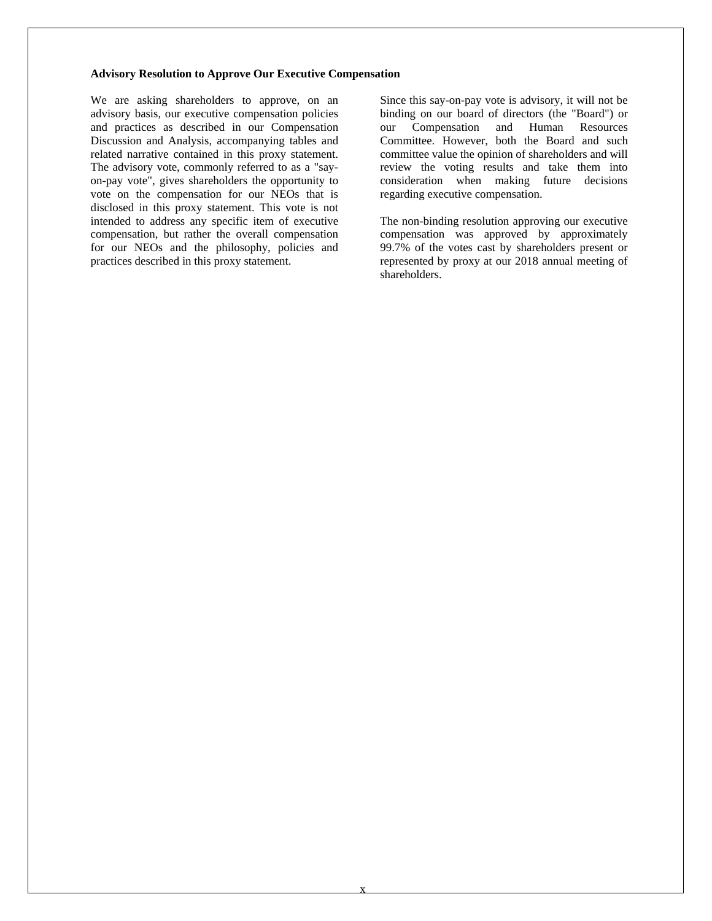#### **Advisory Resolution to Approve Our Executive Compensation**

We are asking shareholders to approve, on an advisory basis, our executive compensation policies and practices as described in our Compensation Discussion and Analysis, accompanying tables and related narrative contained in this proxy statement. The advisory vote, commonly referred to as a "sayon-pay vote", gives shareholders the opportunity to vote on the compensation for our NEOs that is disclosed in this proxy statement. This vote is not intended to address any specific item of executive compensation, but rather the overall compensation for our NEOs and the philosophy, policies and practices described in this proxy statement.

Since this say-on-pay vote is advisory, it will not be binding on our board of directors (the "Board") or our Compensation and Human Resources Committee. However, both the Board and such committee value the opinion of shareholders and will review the voting results and take them into consideration when making future decisions regarding executive compensation.

The non-binding resolution approving our executive compensation was approved by approximately 99.7% of the votes cast by shareholders present or represented by proxy at our 2018 annual meeting of shareholders.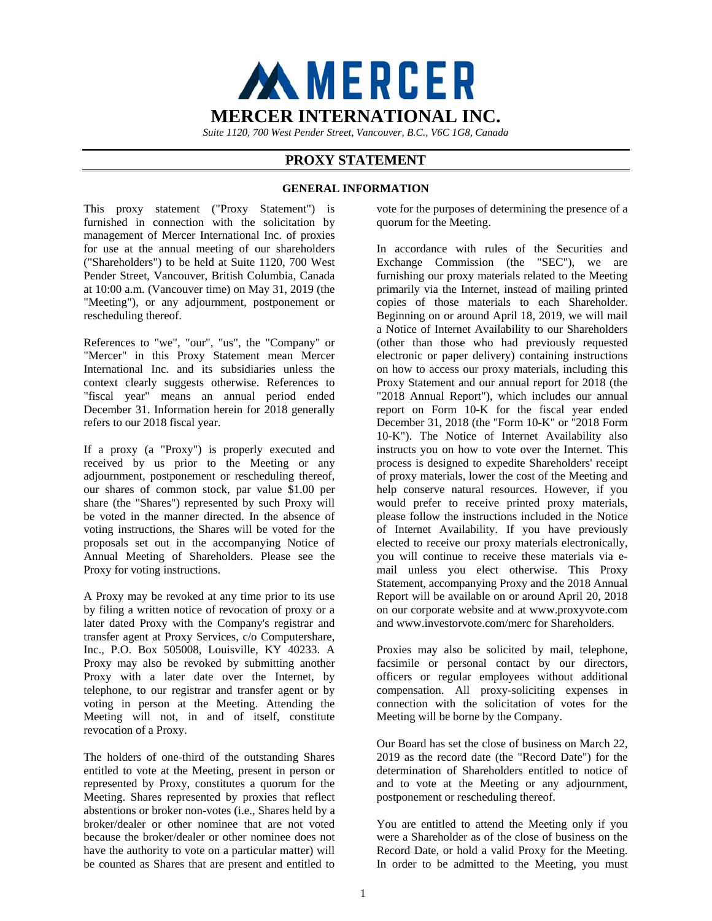

*Suite 1120, 700 West Pender Street, Vancouver, B.C., V6C 1G8, Canada* 

# **PROXY STATEMENT**

# **GENERAL INFORMATION**

This proxy statement ("Proxy Statement") is furnished in connection with the solicitation by management of Mercer International Inc. of proxies for use at the annual meeting of our shareholders ("Shareholders") to be held at Suite 1120, 700 West Pender Street, Vancouver, British Columbia, Canada at 10:00 a.m. (Vancouver time) on May 31, 2019 (the "Meeting"), or any adjournment, postponement or rescheduling thereof.

References to "we", "our", "us", the "Company" or "Mercer" in this Proxy Statement mean Mercer International Inc. and its subsidiaries unless the context clearly suggests otherwise. References to "fiscal year" means an annual period ended December 31. Information herein for 2018 generally refers to our 2018 fiscal year.

If a proxy (a "Proxy") is properly executed and received by us prior to the Meeting or any adjournment, postponement or rescheduling thereof, our shares of common stock, par value \$1.00 per share (the "Shares") represented by such Proxy will be voted in the manner directed. In the absence of voting instructions, the Shares will be voted for the proposals set out in the accompanying Notice of Annual Meeting of Shareholders. Please see the Proxy for voting instructions.

A Proxy may be revoked at any time prior to its use by filing a written notice of revocation of proxy or a later dated Proxy with the Company's registrar and transfer agent at Proxy Services, c/o Computershare, Inc., P.O. Box 505008, Louisville, KY 40233. A Proxy may also be revoked by submitting another Proxy with a later date over the Internet, by telephone, to our registrar and transfer agent or by voting in person at the Meeting. Attending the Meeting will not, in and of itself, constitute revocation of a Proxy.

The holders of one-third of the outstanding Shares entitled to vote at the Meeting, present in person or represented by Proxy, constitutes a quorum for the Meeting. Shares represented by proxies that reflect abstentions or broker non-votes (i.e., Shares held by a broker/dealer or other nominee that are not voted because the broker/dealer or other nominee does not have the authority to vote on a particular matter) will be counted as Shares that are present and entitled to

vote for the purposes of determining the presence of a quorum for the Meeting.

In accordance with rules of the Securities and Exchange Commission (the "SEC"), we are furnishing our proxy materials related to the Meeting primarily via the Internet, instead of mailing printed copies of those materials to each Shareholder. Beginning on or around April 18, 2019, we will mail a Notice of Internet Availability to our Shareholders (other than those who had previously requested electronic or paper delivery) containing instructions on how to access our proxy materials, including this Proxy Statement and our annual report for 2018 (the "2018 Annual Report"), which includes our annual report on Form 10-K for the fiscal year ended December 31, 2018 (the "Form 10-K" or "2018 Form 10-K"). The Notice of Internet Availability also instructs you on how to vote over the Internet. This process is designed to expedite Shareholders' receipt of proxy materials, lower the cost of the Meeting and help conserve natural resources. However, if you would prefer to receive printed proxy materials, please follow the instructions included in the Notice of Internet Availability. If you have previously elected to receive our proxy materials electronically, you will continue to receive these materials via email unless you elect otherwise. This Proxy Statement, accompanying Proxy and the 2018 Annual Report will be available on or around April 20, 2018 on our corporate website and at www.proxyvote.com and www.investorvote.com/merc for Shareholders.

Proxies may also be solicited by mail, telephone, facsimile or personal contact by our directors, officers or regular employees without additional compensation. All proxy-soliciting expenses in connection with the solicitation of votes for the Meeting will be borne by the Company.

Our Board has set the close of business on March 22, 2019 as the record date (the "Record Date") for the determination of Shareholders entitled to notice of and to vote at the Meeting or any adjournment, postponement or rescheduling thereof.

You are entitled to attend the Meeting only if you were a Shareholder as of the close of business on the Record Date, or hold a valid Proxy for the Meeting. In order to be admitted to the Meeting, you must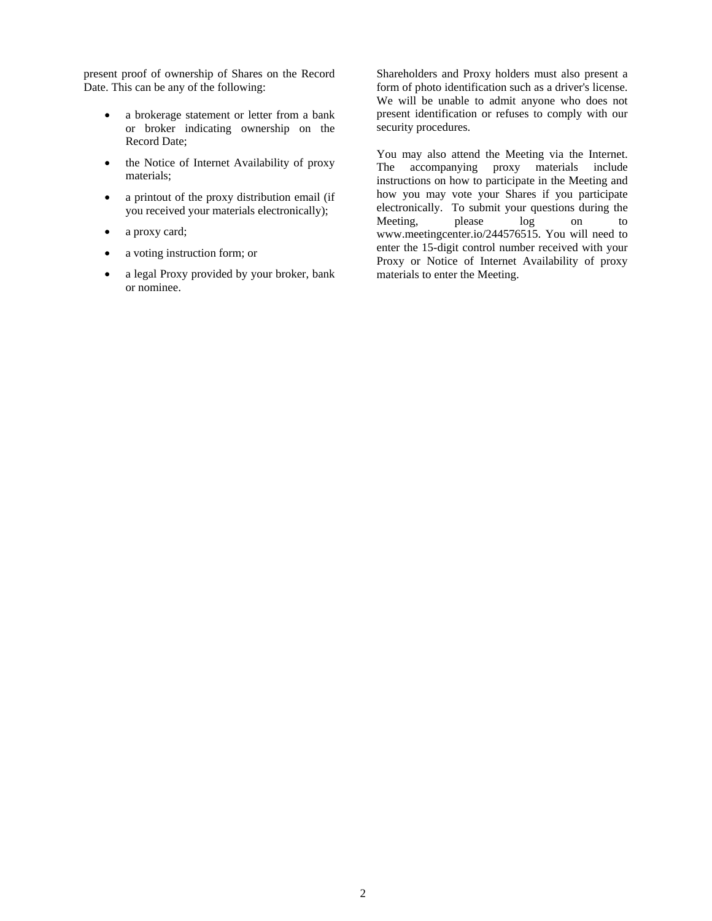present proof of ownership of Shares on the Record Date. This can be any of the following:

- a brokerage statement or letter from a bank or broker indicating ownership on the Record Date;
- the Notice of Internet Availability of proxy materials;
- a printout of the proxy distribution email (if you received your materials electronically);
- a proxy card;
- a voting instruction form; or
- a legal Proxy provided by your broker, bank or nominee.

Shareholders and Proxy holders must also present a form of photo identification such as a driver's license. We will be unable to admit anyone who does not present identification or refuses to comply with our security procedures.

You may also attend the Meeting via the Internet. The accompanying proxy materials include instructions on how to participate in the Meeting and how you may vote your Shares if you participate electronically. To submit your questions during the Meeting, please log on to www.meetingcenter.io/244576515. You will need to enter the 15-digit control number received with your Proxy or Notice of Internet Availability of proxy materials to enter the Meeting.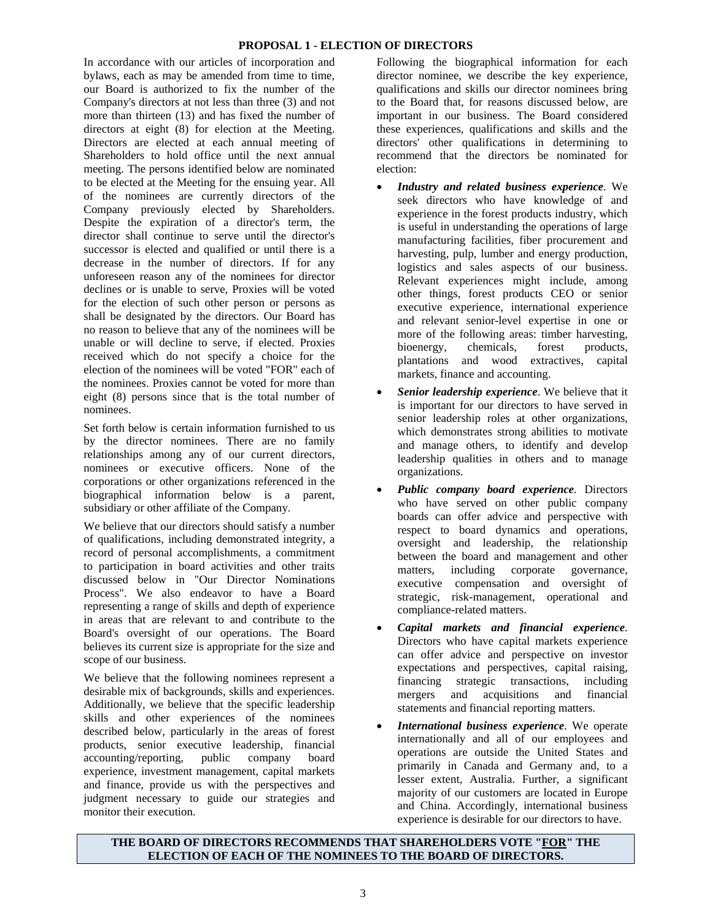# **PROPOSAL 1 - ELECTION OF DIRECTORS**

In accordance with our articles of incorporation and bylaws, each as may be amended from time to time, our Board is authorized to fix the number of the Company's directors at not less than three (3) and not more than thirteen (13) and has fixed the number of directors at eight (8) for election at the Meeting. Directors are elected at each annual meeting of Shareholders to hold office until the next annual meeting. The persons identified below are nominated to be elected at the Meeting for the ensuing year. All of the nominees are currently directors of the Company previously elected by Shareholders. Despite the expiration of a director's term, the director shall continue to serve until the director's successor is elected and qualified or until there is a decrease in the number of directors. If for any unforeseen reason any of the nominees for director declines or is unable to serve, Proxies will be voted for the election of such other person or persons as shall be designated by the directors. Our Board has no reason to believe that any of the nominees will be unable or will decline to serve, if elected. Proxies received which do not specify a choice for the election of the nominees will be voted "FOR" each of the nominees. Proxies cannot be voted for more than eight (8) persons since that is the total number of nominees.

Set forth below is certain information furnished to us by the director nominees. There are no family relationships among any of our current directors, nominees or executive officers. None of the corporations or other organizations referenced in the biographical information below is a parent, subsidiary or other affiliate of the Company.

We believe that our directors should satisfy a number of qualifications, including demonstrated integrity, a record of personal accomplishments, a commitment to participation in board activities and other traits discussed below in "Our Director Nominations Process". We also endeavor to have a Board representing a range of skills and depth of experience in areas that are relevant to and contribute to the Board's oversight of our operations. The Board believes its current size is appropriate for the size and scope of our business.

We believe that the following nominees represent a desirable mix of backgrounds, skills and experiences. Additionally, we believe that the specific leadership skills and other experiences of the nominees described below, particularly in the areas of forest products, senior executive leadership, financial accounting/reporting, public company board experience, investment management, capital markets and finance, provide us with the perspectives and judgment necessary to guide our strategies and monitor their execution.

Following the biographical information for each director nominee, we describe the key experience, qualifications and skills our director nominees bring to the Board that, for reasons discussed below, are important in our business. The Board considered these experiences, qualifications and skills and the directors' other qualifications in determining to recommend that the directors be nominated for election:

- *Industry and related business experience*. We seek directors who have knowledge of and experience in the forest products industry, which is useful in understanding the operations of large manufacturing facilities, fiber procurement and harvesting, pulp, lumber and energy production, logistics and sales aspects of our business. Relevant experiences might include, among other things, forest products CEO or senior executive experience, international experience and relevant senior-level expertise in one or more of the following areas: timber harvesting, bioenergy, chemicals, forest products, plantations and wood extractives, capital markets, finance and accounting.
- *Senior leadership experience*. We believe that it is important for our directors to have served in senior leadership roles at other organizations, which demonstrates strong abilities to motivate and manage others, to identify and develop leadership qualities in others and to manage organizations.
- *Public company board experience.* Directors who have served on other public company boards can offer advice and perspective with respect to board dynamics and operations, oversight and leadership, the relationship between the board and management and other matters, including corporate governance, executive compensation and oversight of strategic, risk-management, operational and compliance-related matters.
- *Capital markets and financial experience*. Directors who have capital markets experience can offer advice and perspective on investor expectations and perspectives, capital raising, financing strategic transactions, including mergers and acquisitions and financial statements and financial reporting matters.
- *International business experience*. We operate internationally and all of our employees and operations are outside the United States and primarily in Canada and Germany and, to a lesser extent, Australia. Further, a significant majority of our customers are located in Europe and China. Accordingly, international business experience is desirable for our directors to have.

# **THE BOARD OF DIRECTORS RECOMMENDS THAT SHAREHOLDERS VOTE "FOR" THE ELECTION OF EACH OF THE NOMINEES TO THE BOARD OF DIRECTORS.**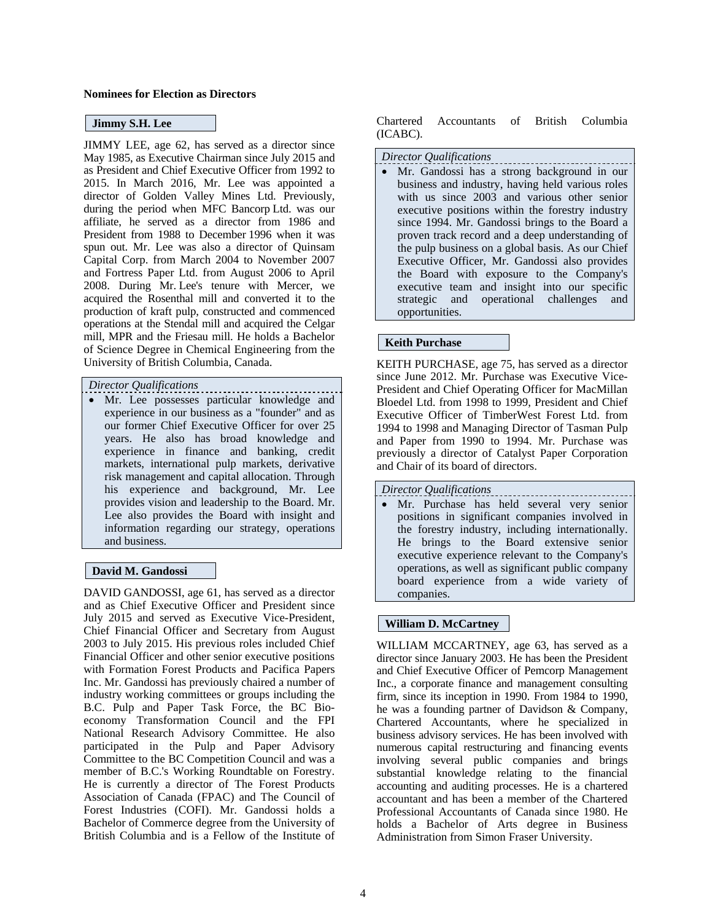#### **Nominees for Election as Directors**

## **Jimmy S.H. Lee**

JIMMY LEE, age 62, has served as a director since May 1985, as Executive Chairman since July 2015 and as President and Chief Executive Officer from 1992 to 2015. In March 2016, Mr. Lee was appointed a director of Golden Valley Mines Ltd. Previously, during the period when MFC Bancorp Ltd. was our affiliate, he served as a director from 1986 and President from 1988 to December 1996 when it was spun out. Mr. Lee was also a director of Quinsam Capital Corp. from March 2004 to November 2007 and Fortress Paper Ltd. from August 2006 to April 2008. During Mr. Lee's tenure with Mercer, we acquired the Rosenthal mill and converted it to the production of kraft pulp, constructed and commenced operations at the Stendal mill and acquired the Celgar mill, MPR and the Friesau mill. He holds a Bachelor of Science Degree in Chemical Engineering from the University of British Columbia, Canada.

# *Director Qualifications*

 Mr. Lee possesses particular knowledge and experience in our business as a "founder" and as our former Chief Executive Officer for over 25 years. He also has broad knowledge and experience in finance and banking, credit markets, international pulp markets, derivative risk management and capital allocation. Through his experience and background, Mr. Lee provides vision and leadership to the Board. Mr. Lee also provides the Board with insight and information regarding our strategy, operations and business.

# **David M. Gandossi**

DAVID GANDOSSI, age 61, has served as a director and as Chief Executive Officer and President since July 2015 and served as Executive Vice-President, Chief Financial Officer and Secretary from August 2003 to July 2015. His previous roles included Chief Financial Officer and other senior executive positions with Formation Forest Products and Pacifica Papers Inc. Mr. Gandossi has previously chaired a number of industry working committees or groups including the B.C. Pulp and Paper Task Force, the BC Bioeconomy Transformation Council and the FPI National Research Advisory Committee. He also participated in the Pulp and Paper Advisory Committee to the BC Competition Council and was a member of B.C.'s Working Roundtable on Forestry. He is currently a director of The Forest Products Association of Canada (FPAC) and The Council of Forest Industries (COFI). Mr. Gandossi holds a Bachelor of Commerce degree from the University of British Columbia and is a Fellow of the Institute of

Chartered Accountants of British Columbia (ICABC).

#### *Director Qualifications*

 Mr. Gandossi has a strong background in our business and industry, having held various roles with us since 2003 and various other senior executive positions within the forestry industry since 1994. Mr. Gandossi brings to the Board a proven track record and a deep understanding of the pulp business on a global basis. As our Chief Executive Officer, Mr. Gandossi also provides the Board with exposure to the Company's executive team and insight into our specific strategic and operational challenges and opportunities.

#### **Keith Purchase**

KEITH PURCHASE, age 75, has served as a director since June 2012. Mr. Purchase was Executive Vice-President and Chief Operating Officer for MacMillan Bloedel Ltd. from 1998 to 1999, President and Chief Executive Officer of TimberWest Forest Ltd. from 1994 to 1998 and Managing Director of Tasman Pulp and Paper from 1990 to 1994. Mr. Purchase was previously a director of Catalyst Paper Corporation and Chair of its board of directors.

#### *Director Qualifications*

 Mr. Purchase has held several very senior positions in significant companies involved in the forestry industry, including internationally. He brings to the Board extensive senior executive experience relevant to the Company's operations, as well as significant public company board experience from a wide variety of companies.

#### **William D. McCartney**

WILLIAM MCCARTNEY, age 63, has served as a director since January 2003. He has been the President and Chief Executive Officer of Pemcorp Management Inc., a corporate finance and management consulting firm, since its inception in 1990. From 1984 to 1990, he was a founding partner of Davidson & Company, Chartered Accountants, where he specialized in business advisory services. He has been involved with numerous capital restructuring and financing events involving several public companies and brings substantial knowledge relating to the financial accounting and auditing processes. He is a chartered accountant and has been a member of the Chartered Professional Accountants of Canada since 1980. He holds a Bachelor of Arts degree in Business Administration from Simon Fraser University.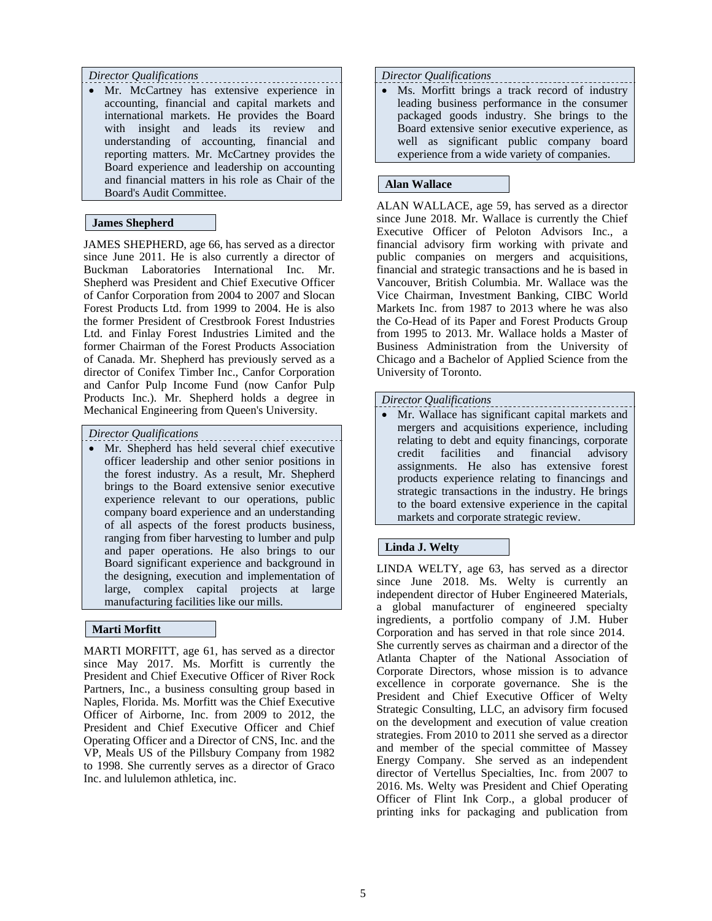# *Director Qualifications*

 Mr. McCartney has extensive experience in accounting, financial and capital markets and international markets. He provides the Board with insight and leads its review and understanding of accounting, financial and reporting matters. Mr. McCartney provides the Board experience and leadership on accounting and financial matters in his role as Chair of the Board's Audit Committee.

# **James Shepherd**

JAMES SHEPHERD, age 66, has served as a director since June 2011. He is also currently a director of Buckman Laboratories International Inc. Mr. Shepherd was President and Chief Executive Officer of Canfor Corporation from 2004 to 2007 and Slocan Forest Products Ltd. from 1999 to 2004. He is also the former President of Crestbrook Forest Industries Ltd. and Finlay Forest Industries Limited and the former Chairman of the Forest Products Association of Canada. Mr. Shepherd has previously served as a director of Conifex Timber Inc., Canfor Corporation and Canfor Pulp Income Fund (now Canfor Pulp Products Inc.). Mr. Shepherd holds a degree in Mechanical Engineering from Queen's University.

*Director Qualifications* 

 Mr. Shepherd has held several chief executive officer leadership and other senior positions in the forest industry. As a result, Mr. Shepherd brings to the Board extensive senior executive experience relevant to our operations, public company board experience and an understanding of all aspects of the forest products business, ranging from fiber harvesting to lumber and pulp and paper operations. He also brings to our Board significant experience and background in the designing, execution and implementation of large, complex capital projects at large manufacturing facilities like our mills.

# **Marti Morfitt**

MARTI MORFITT, age 61, has served as a director since May 2017. Ms. Morfitt is currently the President and Chief Executive Officer of River Rock Partners, Inc., a business consulting group based in Naples, Florida. Ms. Morfitt was the Chief Executive Officer of Airborne, Inc. from 2009 to 2012, the President and Chief Executive Officer and Chief Operating Officer and a Director of CNS, Inc. and the VP, Meals US of the Pillsbury Company from 1982 to 1998. She currently serves as a director of Graco Inc. and lululemon athletica, inc.

#### *Director Qualifications*

 Ms. Morfitt brings a track record of industry leading business performance in the consumer packaged goods industry. She brings to the Board extensive senior executive experience, as well as significant public company board experience from a wide variety of companies.

# **Alan Wallace**

ALAN WALLACE, age 59, has served as a director since June 2018. Mr. Wallace is currently the Chief Executive Officer of Peloton Advisors Inc., a financial advisory firm working with private and public companies on mergers and acquisitions, financial and strategic transactions and he is based in Vancouver, British Columbia. Mr. Wallace was the Vice Chairman, Investment Banking, CIBC World Markets Inc. from 1987 to 2013 where he was also the Co-Head of its Paper and Forest Products Group from 1995 to 2013. Mr. Wallace holds a Master of Business Administration from the University of Chicago and a Bachelor of Applied Science from the University of Toronto.

#### *Director Qualifications*

 Mr. Wallace has significant capital markets and mergers and acquisitions experience, including relating to debt and equity financings, corporate credit facilities and financial advisory assignments. He also has extensive forest products experience relating to financings and strategic transactions in the industry. He brings to the board extensive experience in the capital markets and corporate strategic review.

# **Linda J. Welty**

LINDA WELTY, age 63, has served as a director since June 2018. Ms. Welty is currently an independent director of Huber Engineered Materials, a global manufacturer of engineered specialty ingredients, a portfolio company of J.M. Huber Corporation and has served in that role since 2014. She currently serves as chairman and a director of the Atlanta Chapter of the National Association of Corporate Directors, whose mission is to advance excellence in corporate governance. She is the President and Chief Executive Officer of Welty Strategic Consulting, LLC, an advisory firm focused on the development and execution of value creation strategies. From 2010 to 2011 she served as a director and member of the special committee of Massey Energy Company. She served as an independent director of Vertellus Specialties, Inc. from 2007 to 2016. Ms. Welty was President and Chief Operating Officer of Flint Ink Corp., a global producer of printing inks for packaging and publication from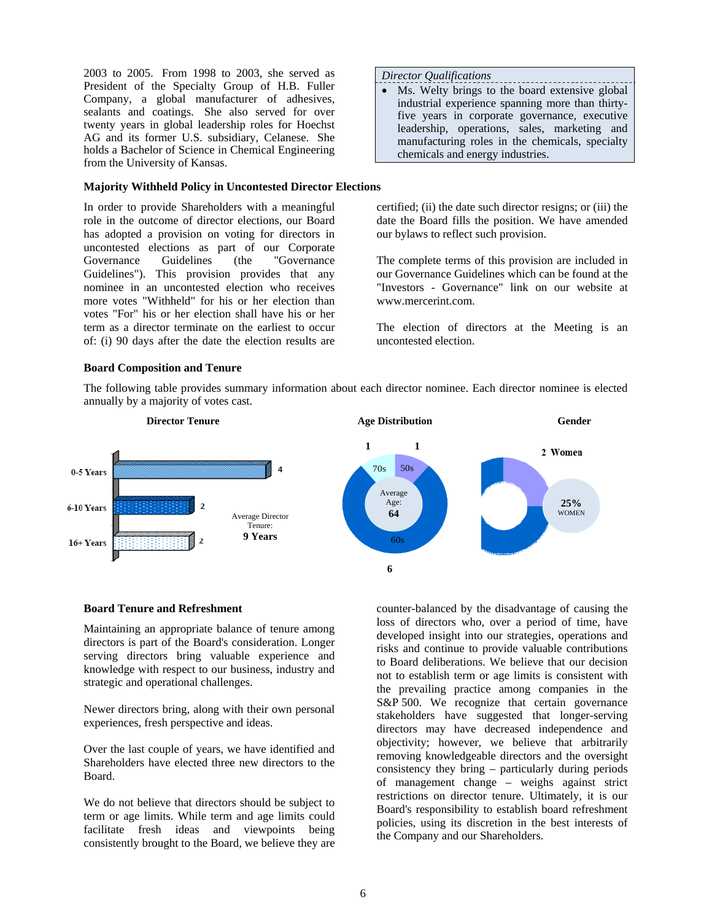2003 to 2005. From 1998 to 2003, she served as President of the Specialty Group of H.B. Fuller Company, a global manufacturer of adhesives, sealants and coatings. She also served for over twenty years in global leadership roles for Hoechst AG and its former U.S. subsidiary, Celanese. She holds a Bachelor of Science in Chemical Engineering from the University of Kansas.

#### **Majority Withheld Policy in Uncontested Director Elections**

In order to provide Shareholders with a meaningful role in the outcome of director elections, our Board has adopted a provision on voting for directors in uncontested elections as part of our Corporate Governance Guidelines (the "Governance Guidelines"). This provision provides that any nominee in an uncontested election who receives more votes "Withheld" for his or her election than votes "For" his or her election shall have his or her term as a director terminate on the earliest to occur of: (i) 90 days after the date the election results are

#### *Director Qualifications*

• Ms. Welty brings to the board extensive global industrial experience spanning more than thirtyfive years in corporate governance, executive leadership, operations, sales, marketing and manufacturing roles in the chemicals, specialty chemicals and energy industries.

certified; (ii) the date such director resigns; or (iii) the date the Board fills the position. We have amended our bylaws to reflect such provision.

The complete terms of this provision are included in our Governance Guidelines which can be found at the "Investors - Governance" link on our website at www.mercerint.com.

The election of directors at the Meeting is an uncontested election.

#### **Board Composition and Tenure**



The following table provides summary information about each director nominee. Each director nominee is elected annually by a majority of votes cast.

#### **Board Tenure and Refreshment**

Maintaining an appropriate balance of tenure among directors is part of the Board's consideration. Longer serving directors bring valuable experience and knowledge with respect to our business, industry and strategic and operational challenges.

Newer directors bring, along with their own personal experiences, fresh perspective and ideas.

Over the last couple of years, we have identified and Shareholders have elected three new directors to the Board.

We do not believe that directors should be subject to term or age limits. While term and age limits could facilitate fresh ideas and viewpoints being consistently brought to the Board, we believe they are counter-balanced by the disadvantage of causing the loss of directors who, over a period of time, have developed insight into our strategies, operations and risks and continue to provide valuable contributions to Board deliberations. We believe that our decision not to establish term or age limits is consistent with the prevailing practice among companies in the S&P 500. We recognize that certain governance stakeholders have suggested that longer-serving directors may have decreased independence and objectivity; however, we believe that arbitrarily removing knowledgeable directors and the oversight consistency they bring – particularly during periods of management change – weighs against strict restrictions on director tenure. Ultimately, it is our Board's responsibility to establish board refreshment policies, using its discretion in the best interests of the Company and our Shareholders.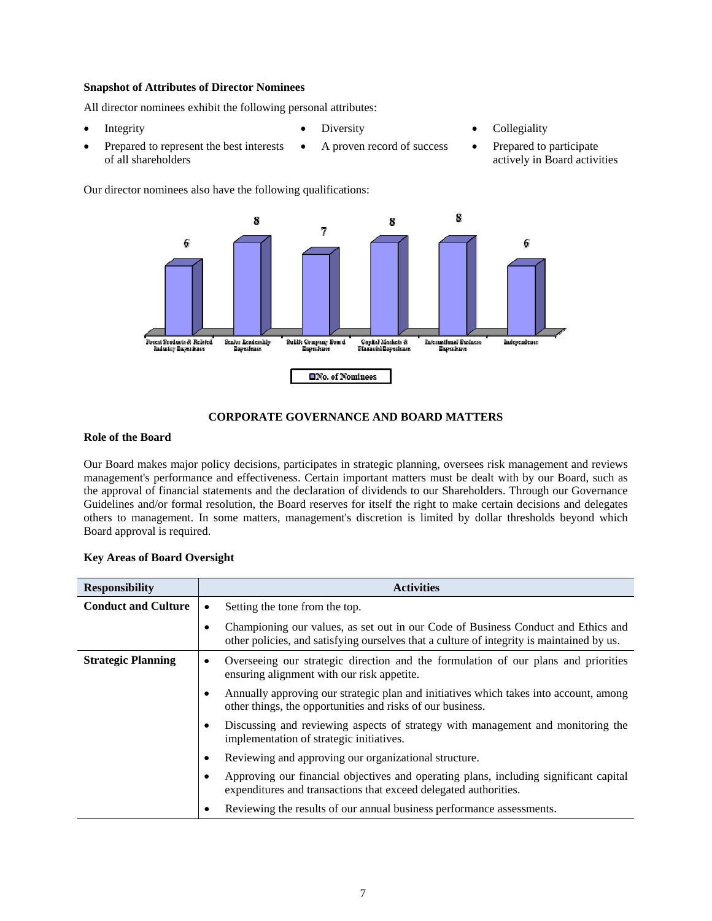# **Snapshot of Attributes of Director Nominees**

All director nominees exhibit the following personal attributes:

- 
- Prepared to represent the best interests of all shareholders
- 
- Integrity Diversity Diversity Collegiality
	- A proven record of success Prepared to participate actively in Board activities

Our director nominees also have the following qualifications:



# **CORPORATE GOVERNANCE AND BOARD MATTERS**

#### **Role of the Board**

Our Board makes major policy decisions, participates in strategic planning, oversees risk management and reviews management's performance and effectiveness. Certain important matters must be dealt with by our Board, such as the approval of financial statements and the declaration of dividends to our Shareholders. Through our Governance Guidelines and/or formal resolution, the Board reserves for itself the right to make certain decisions and delegates others to management. In some matters, management's discretion is limited by dollar thresholds beyond which Board approval is required.

|  |  |  | <b>Key Areas of Board Oversight</b> |
|--|--|--|-------------------------------------|
|--|--|--|-------------------------------------|

| <b>Responsibility</b>      | <b>Activities</b>                                                                                                                                                              |
|----------------------------|--------------------------------------------------------------------------------------------------------------------------------------------------------------------------------|
| <b>Conduct and Culture</b> | Setting the tone from the top.<br>٠                                                                                                                                            |
|                            | Championing our values, as set out in our Code of Business Conduct and Ethics and<br>other policies, and satisfying ourselves that a culture of integrity is maintained by us. |
| <b>Strategic Planning</b>  | Overseeing our strategic direction and the formulation of our plans and priorities<br>٠<br>ensuring alignment with our risk appetite.                                          |
|                            | Annually approving our strategic plan and initiatives which takes into account, among<br>other things, the opportunities and risks of our business.                            |
|                            | Discussing and reviewing aspects of strategy with management and monitoring the<br>implementation of strategic initiatives.                                                    |
|                            | Reviewing and approving our organizational structure.                                                                                                                          |
|                            | Approving our financial objectives and operating plans, including significant capital<br>expenditures and transactions that exceed delegated authorities.                      |
|                            | Reviewing the results of our annual business performance assessments.                                                                                                          |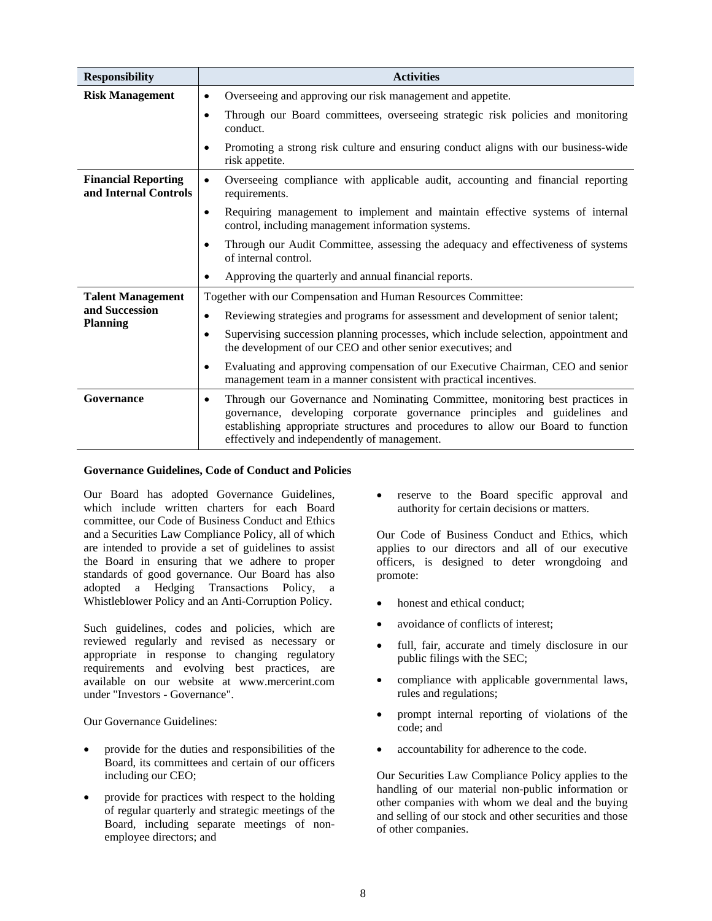| <b>Responsibility</b>                               | <b>Activities</b>                                                                                                                                                                                                                                                                                            |
|-----------------------------------------------------|--------------------------------------------------------------------------------------------------------------------------------------------------------------------------------------------------------------------------------------------------------------------------------------------------------------|
| <b>Risk Management</b>                              | Overseeing and approving our risk management and appetite.<br>$\bullet$                                                                                                                                                                                                                                      |
|                                                     | Through our Board committees, overseeing strategic risk policies and monitoring<br>$\bullet$<br>conduct.                                                                                                                                                                                                     |
|                                                     | Promoting a strong risk culture and ensuring conduct aligns with our business-wide<br>٠<br>risk appetite.                                                                                                                                                                                                    |
| <b>Financial Reporting</b><br>and Internal Controls | Overseeing compliance with applicable audit, accounting and financial reporting<br>$\bullet$<br>requirements.                                                                                                                                                                                                |
|                                                     | Requiring management to implement and maintain effective systems of internal<br>$\bullet$<br>control, including management information systems.                                                                                                                                                              |
|                                                     | Through our Audit Committee, assessing the adequacy and effectiveness of systems<br>٠<br>of internal control.                                                                                                                                                                                                |
|                                                     | Approving the quarterly and annual financial reports.                                                                                                                                                                                                                                                        |
| <b>Talent Management</b>                            | Together with our Compensation and Human Resources Committee:                                                                                                                                                                                                                                                |
| and Succession<br><b>Planning</b>                   | Reviewing strategies and programs for assessment and development of senior talent;<br>$\bullet$                                                                                                                                                                                                              |
|                                                     | Supervising succession planning processes, which include selection, appointment and<br>٠<br>the development of our CEO and other senior executives; and                                                                                                                                                      |
|                                                     | Evaluating and approving compensation of our Executive Chairman, CEO and senior<br>$\bullet$<br>management team in a manner consistent with practical incentives.                                                                                                                                            |
| Governance                                          | Through our Governance and Nominating Committee, monitoring best practices in<br>$\bullet$<br>governance, developing corporate governance principles and guidelines and<br>establishing appropriate structures and procedures to allow our Board to function<br>effectively and independently of management. |

# **Governance Guidelines, Code of Conduct and Policies**

Our Board has adopted Governance Guidelines, which include written charters for each Board committee, our Code of Business Conduct and Ethics and a Securities Law Compliance Policy, all of which are intended to provide a set of guidelines to assist the Board in ensuring that we adhere to proper standards of good governance. Our Board has also adopted a Hedging Transactions Policy, a Whistleblower Policy and an Anti-Corruption Policy.

Such guidelines, codes and policies, which are reviewed regularly and revised as necessary or appropriate in response to changing regulatory requirements and evolving best practices, are available on our website at www.mercerint.com under "Investors - Governance".

Our Governance Guidelines:

- provide for the duties and responsibilities of the Board, its committees and certain of our officers including our CEO;
- provide for practices with respect to the holding of regular quarterly and strategic meetings of the Board, including separate meetings of nonemployee directors; and

 reserve to the Board specific approval and authority for certain decisions or matters.

Our Code of Business Conduct and Ethics, which applies to our directors and all of our executive officers, is designed to deter wrongdoing and promote:

- honest and ethical conduct;
- avoidance of conflicts of interest:
- full, fair, accurate and timely disclosure in our public filings with the SEC;
- compliance with applicable governmental laws, rules and regulations;
- prompt internal reporting of violations of the code; and
- accountability for adherence to the code.

Our Securities Law Compliance Policy applies to the handling of our material non-public information or other companies with whom we deal and the buying and selling of our stock and other securities and those of other companies.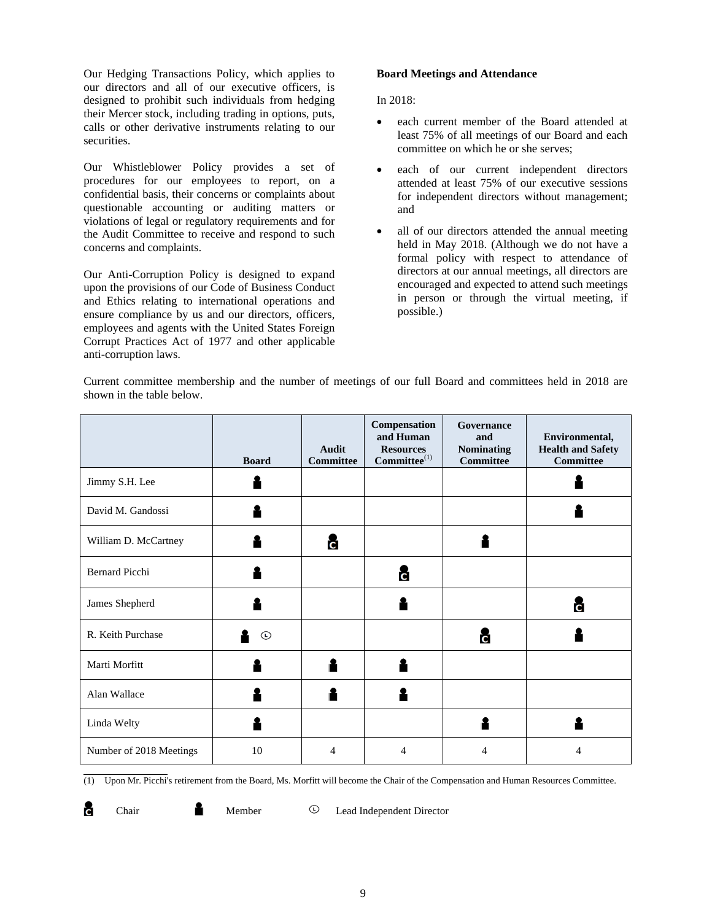Our Hedging Transactions Policy, which applies to our directors and all of our executive officers, is designed to prohibit such individuals from hedging their Mercer stock, including trading in options, puts, calls or other derivative instruments relating to our securities.

Our Whistleblower Policy provides a set of procedures for our employees to report, on a confidential basis, their concerns or complaints about questionable accounting or auditing matters or violations of legal or regulatory requirements and for the Audit Committee to receive and respond to such concerns and complaints.

Our Anti-Corruption Policy is designed to expand upon the provisions of our Code of Business Conduct and Ethics relating to international operations and ensure compliance by us and our directors, officers, employees and agents with the United States Foreign Corrupt Practices Act of 1977 and other applicable anti-corruption laws.

# **Board Meetings and Attendance**

In 2018:

- each current member of the Board attended at least 75% of all meetings of our Board and each committee on which he or she serves;
- each of our current independent directors attended at least 75% of our executive sessions for independent directors without management; and
- all of our directors attended the annual meeting held in May 2018. (Although we do not have a formal policy with respect to attendance of directors at our annual meetings, all directors are encouraged and expected to attend such meetings in person or through the virtual meeting, if possible.)

Current committee membership and the number of meetings of our full Board and committees held in 2018 are shown in the table below.

|                         | <b>Board</b>  | <b>Audit</b><br><b>Committee</b> | Compensation<br>and Human<br><b>Resources</b><br>$\textbf{Committee}^{(1)}$ | Governance<br>and<br><b>Nominating</b><br><b>Committee</b> | Environmental,<br><b>Health and Safety</b><br><b>Committee</b> |
|-------------------------|---------------|----------------------------------|-----------------------------------------------------------------------------|------------------------------------------------------------|----------------------------------------------------------------|
| Jimmy S.H. Lee          |               |                                  |                                                                             |                                                            |                                                                |
| David M. Gandossi       |               |                                  |                                                                             |                                                            |                                                                |
| William D. McCartney    |               | č                                |                                                                             |                                                            |                                                                |
| <b>Bernard Picchi</b>   |               |                                  | c                                                                           |                                                            |                                                                |
| James Shepherd          |               |                                  |                                                                             |                                                            | c                                                              |
| R. Keith Purchase       | $^\copyright$ |                                  |                                                                             | c                                                          |                                                                |
| Marti Morfitt           |               |                                  |                                                                             |                                                            |                                                                |
| Alan Wallace            |               |                                  |                                                                             |                                                            |                                                                |
| Linda Welty             |               |                                  |                                                                             |                                                            |                                                                |
| Number of 2018 Meetings | 10            | $\overline{4}$                   | $\overline{4}$                                                              | 4                                                          | $\overline{4}$                                                 |

(1) Upon Mr. Picchi's retirement from the Board, Ms. Morfitt will become the Chair of the Compensation and Human Resources Committee.

a

Chair Member <sup>D</sup> Lead Independent Director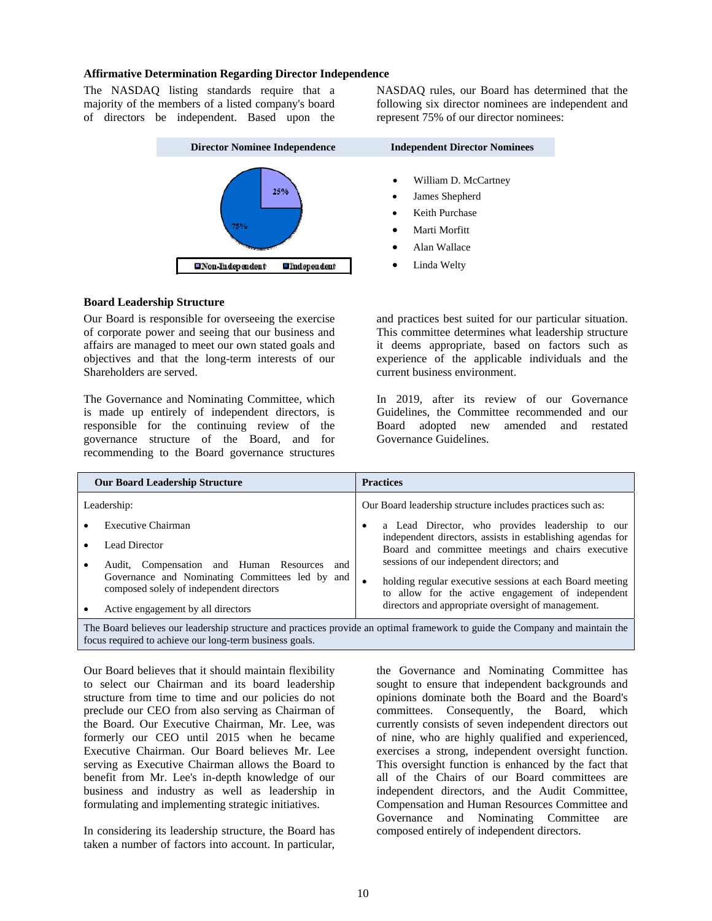#### **Affirmative Determination Regarding Director Independence**

The NASDAQ listing standards require that a majority of the members of a listed company's board of directors be independent. Based upon the NASDAQ rules, our Board has determined that the following six director nominees are independent and represent 75% of our director nominees:



#### **Board Leadership Structure**

Our Board is responsible for overseeing the exercise of corporate power and seeing that our business and affairs are managed to meet our own stated goals and objectives and that the long-term interests of our Shareholders are served.

The Governance and Nominating Committee, which is made up entirely of independent directors, is responsible for the continuing review of the governance structure of the Board, and for recommending to the Board governance structures

and practices best suited for our particular situation. This committee determines what leadership structure it deems appropriate, based on factors such as experience of the applicable individuals and the current business environment.

In 2019, after its review of our Governance Guidelines, the Committee recommended and our Board adopted new amended and restated Governance Guidelines.

|                                                                                                                              | <b>Our Board Leadership Structure</b>                                                       |  | <b>Practices</b>                                                                                                |  |  |
|------------------------------------------------------------------------------------------------------------------------------|---------------------------------------------------------------------------------------------|--|-----------------------------------------------------------------------------------------------------------------|--|--|
|                                                                                                                              | Leadership:                                                                                 |  | Our Board leadership structure includes practices such as:                                                      |  |  |
|                                                                                                                              | Executive Chairman                                                                          |  | a Lead Director, who provides leadership to our                                                                 |  |  |
|                                                                                                                              | Lead Director                                                                               |  | independent directors, assists in establishing agendas for<br>Board and committee meetings and chairs executive |  |  |
|                                                                                                                              | Audit, Compensation and Human Resources<br>and                                              |  | sessions of our independent directors; and                                                                      |  |  |
|                                                                                                                              | Governance and Nominating Committees led by and<br>composed solely of independent directors |  | holding regular executive sessions at each Board meeting<br>to allow for the active engagement of independent   |  |  |
|                                                                                                                              | Active engagement by all directors                                                          |  | directors and appropriate oversight of management.                                                              |  |  |
| The Board believes our leadership structure and practices provide an optimal framework to quide the Company and maintain the |                                                                                             |  |                                                                                                                 |  |  |

The Board believes our leadership structure and practices provide an optimal framework to guide the Company and maintain the focus required to achieve our long-term business goals.

Our Board believes that it should maintain flexibility to select our Chairman and its board leadership structure from time to time and our policies do not preclude our CEO from also serving as Chairman of the Board. Our Executive Chairman, Mr. Lee, was formerly our CEO until 2015 when he became Executive Chairman. Our Board believes Mr. Lee serving as Executive Chairman allows the Board to benefit from Mr. Lee's in-depth knowledge of our business and industry as well as leadership in formulating and implementing strategic initiatives.

In considering its leadership structure, the Board has taken a number of factors into account. In particular,

the Governance and Nominating Committee has sought to ensure that independent backgrounds and opinions dominate both the Board and the Board's committees. Consequently, the Board, which currently consists of seven independent directors out of nine, who are highly qualified and experienced, exercises a strong, independent oversight function. This oversight function is enhanced by the fact that all of the Chairs of our Board committees are independent directors, and the Audit Committee, Compensation and Human Resources Committee and Governance and Nominating Committee are composed entirely of independent directors.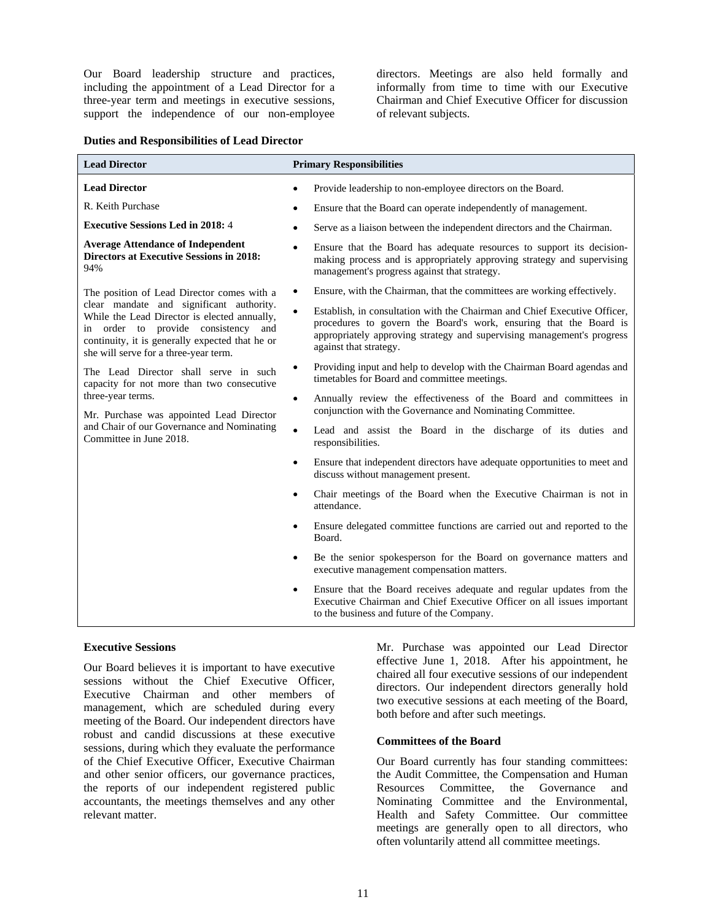Our Board leadership structure and practices, including the appointment of a Lead Director for a three-year term and meetings in executive sessions, support the independence of our non-employee

directors. Meetings are also held formally and informally from time to time with our Executive Chairman and Chief Executive Officer for discussion of relevant subjects.

# **Duties and Responsibilities of Lead Director**

| <b>Lead Director</b>                                                                                                                                                                                                           | <b>Primary Responsibilities</b>                                                                                                                                                                                                                    |
|--------------------------------------------------------------------------------------------------------------------------------------------------------------------------------------------------------------------------------|----------------------------------------------------------------------------------------------------------------------------------------------------------------------------------------------------------------------------------------------------|
| <b>Lead Director</b>                                                                                                                                                                                                           | Provide leadership to non-employee directors on the Board.                                                                                                                                                                                         |
| R. Keith Purchase                                                                                                                                                                                                              | Ensure that the Board can operate independently of management.                                                                                                                                                                                     |
| <b>Executive Sessions Led in 2018: 4</b>                                                                                                                                                                                       | Serve as a liaison between the independent directors and the Chairman.<br>٠                                                                                                                                                                        |
| <b>Average Attendance of Independent</b><br><b>Directors at Executive Sessions in 2018:</b><br>94%                                                                                                                             | Ensure that the Board has adequate resources to support its decision-<br>٠<br>making process and is appropriately approving strategy and supervising<br>management's progress against that strategy.                                               |
| The position of Lead Director comes with a                                                                                                                                                                                     | Ensure, with the Chairman, that the committees are working effectively.<br>$\bullet$                                                                                                                                                               |
| clear mandate and significant authority.<br>While the Lead Director is elected annually,<br>in order to provide consistency<br>and<br>continuity, it is generally expected that he or<br>she will serve for a three-year term. | Establish, in consultation with the Chairman and Chief Executive Officer,<br>procedures to govern the Board's work, ensuring that the Board is<br>appropriately approving strategy and supervising management's progress<br>against that strategy. |
| The Lead Director shall serve in such<br>capacity for not more than two consecutive                                                                                                                                            | Providing input and help to develop with the Chairman Board agendas and<br>timetables for Board and committee meetings.                                                                                                                            |
| three-year terms.<br>Mr. Purchase was appointed Lead Director                                                                                                                                                                  | Annually review the effectiveness of the Board and committees in<br>$\bullet$<br>conjunction with the Governance and Nominating Committee.                                                                                                         |
| and Chair of our Governance and Nominating<br>Committee in June 2018.                                                                                                                                                          | $\bullet$<br>Lead and assist the Board in the discharge of its duties and<br>responsibilities.                                                                                                                                                     |
|                                                                                                                                                                                                                                | Ensure that independent directors have adequate opportunities to meet and<br>$\bullet$<br>discuss without management present.                                                                                                                      |
|                                                                                                                                                                                                                                | Chair meetings of the Board when the Executive Chairman is not in<br>$\bullet$<br>attendance.                                                                                                                                                      |
|                                                                                                                                                                                                                                | Ensure delegated committee functions are carried out and reported to the<br>$\bullet$<br>Board.                                                                                                                                                    |
|                                                                                                                                                                                                                                | Be the senior spokesperson for the Board on governance matters and<br>$\bullet$<br>executive management compensation matters.                                                                                                                      |
|                                                                                                                                                                                                                                | Ensure that the Board receives adequate and regular updates from the<br>$\bullet$<br>Executive Chairman and Chief Executive Officer on all issues important<br>to the business and future of the Company.                                          |

## **Executive Sessions**

Our Board believes it is important to have executive sessions without the Chief Executive Officer, Executive Chairman and other members of management, which are scheduled during every meeting of the Board. Our independent directors have robust and candid discussions at these executive sessions, during which they evaluate the performance of the Chief Executive Officer, Executive Chairman and other senior officers, our governance practices, the reports of our independent registered public accountants, the meetings themselves and any other relevant matter.

Mr. Purchase was appointed our Lead Director effective June 1, 2018. After his appointment, he chaired all four executive sessions of our independent directors. Our independent directors generally hold two executive sessions at each meeting of the Board, both before and after such meetings.

#### **Committees of the Board**

Our Board currently has four standing committees: the Audit Committee, the Compensation and Human Resources Committee, the Governance and Nominating Committee and the Environmental, Health and Safety Committee. Our committee meetings are generally open to all directors, who often voluntarily attend all committee meetings.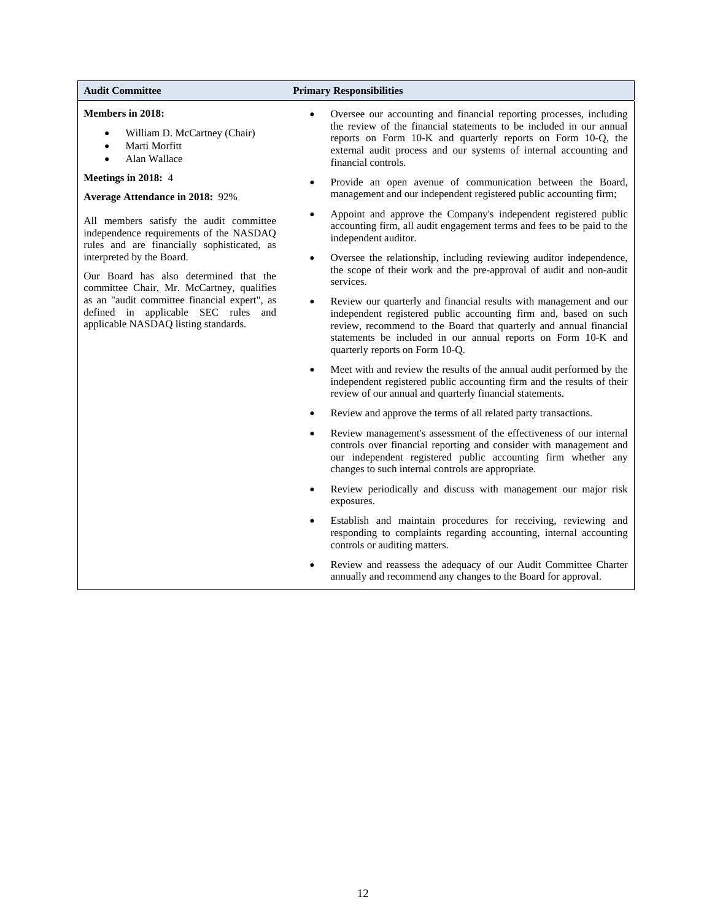#### **Members in 2018:**

- William D. McCartney (Chair)
- Marti Morfitt
- Alan Wallace

# **Meetings in 2018:** 4

#### **Average Attendance in 2018:** 92%

All members satisfy the audit committee independence requirements of the NASDAQ rules and are financially sophisticated, as interpreted by the Board.

Our Board has also determined that the committee Chair, Mr. McCartney, qualifies as an "audit committee financial expert", as defined in applicable SEC rules and applicable NASDAQ listing standards.

#### **Audit Committee Primary Responsibilities**

- Oversee our accounting and financial reporting processes, including the review of the financial statements to be included in our annual reports on Form 10-K and quarterly reports on Form 10-Q, the external audit process and our systems of internal accounting and financial controls.
- Provide an open avenue of communication between the Board, management and our independent registered public accounting firm;
- Appoint and approve the Company's independent registered public accounting firm, all audit engagement terms and fees to be paid to the independent auditor.
- Oversee the relationship, including reviewing auditor independence, the scope of their work and the pre-approval of audit and non-audit services.
- Review our quarterly and financial results with management and our independent registered public accounting firm and, based on such review, recommend to the Board that quarterly and annual financial statements be included in our annual reports on Form 10-K and quarterly reports on Form 10-Q.
- Meet with and review the results of the annual audit performed by the independent registered public accounting firm and the results of their review of our annual and quarterly financial statements.
- Review and approve the terms of all related party transactions.
- Review management's assessment of the effectiveness of our internal controls over financial reporting and consider with management and our independent registered public accounting firm whether any changes to such internal controls are appropriate.
- Review periodically and discuss with management our major risk exposures.
- Establish and maintain procedures for receiving, reviewing and responding to complaints regarding accounting, internal accounting controls or auditing matters.
- Review and reassess the adequacy of our Audit Committee Charter annually and recommend any changes to the Board for approval.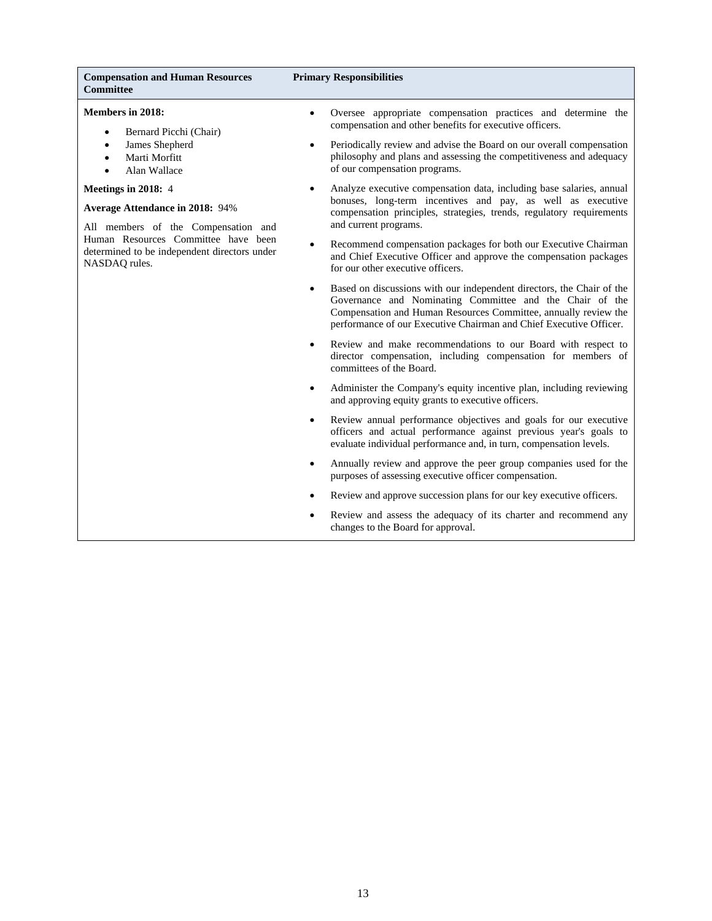#### **Compensation and Human Resources Committee**

#### **Primary Responsibilities**

#### **Members in 2018:**

- Bernard Picchi (Chair)
- James Shepherd
- Marti Morfitt
- Alan Wallace

#### **Meetings in 2018:** 4

#### **Average Attendance in 2018:** 94%

All members of the Compensation and Human Resources Committee have been determined to be independent directors under NASDAQ rules.

- Oversee appropriate compensation practices and determine the compensation and other benefits for executive officers.
- Periodically review and advise the Board on our overall compensation philosophy and plans and assessing the competitiveness and adequacy of our compensation programs.
- Analyze executive compensation data, including base salaries, annual bonuses, long-term incentives and pay, as well as executive compensation principles, strategies, trends, regulatory requirements and current programs.
- Recommend compensation packages for both our Executive Chairman and Chief Executive Officer and approve the compensation packages for our other executive officers.
- Based on discussions with our independent directors, the Chair of the Governance and Nominating Committee and the Chair of the Compensation and Human Resources Committee, annually review the performance of our Executive Chairman and Chief Executive Officer.
- Review and make recommendations to our Board with respect to director compensation, including compensation for members of committees of the Board.
- Administer the Company's equity incentive plan, including reviewing and approving equity grants to executive officers.
- Review annual performance objectives and goals for our executive officers and actual performance against previous year's goals to evaluate individual performance and, in turn, compensation levels.
- Annually review and approve the peer group companies used for the purposes of assessing executive officer compensation.
- Review and approve succession plans for our key executive officers.
- Review and assess the adequacy of its charter and recommend any changes to the Board for approval.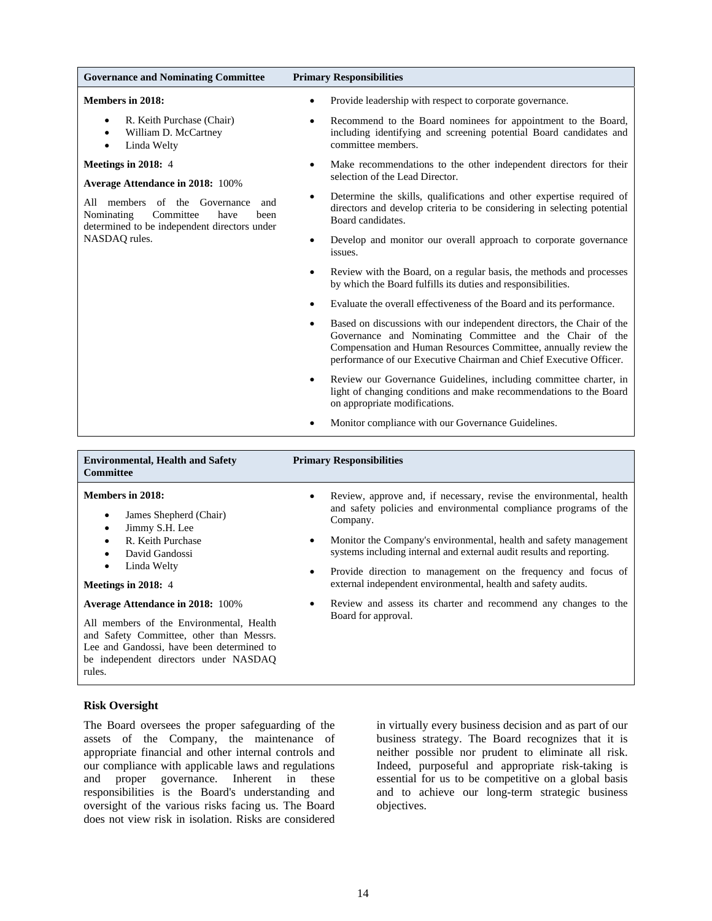| <b>Governance and Nominating Committee</b>                                                                                         | <b>Primary Responsibilities</b>                                                                                                                                                                                                                                                         |
|------------------------------------------------------------------------------------------------------------------------------------|-----------------------------------------------------------------------------------------------------------------------------------------------------------------------------------------------------------------------------------------------------------------------------------------|
| <b>Members in 2018:</b>                                                                                                            | Provide leadership with respect to corporate governance.<br>$\bullet$                                                                                                                                                                                                                   |
| R. Keith Purchase (Chair)<br>$\bullet$<br>William D. McCartney<br>$\bullet$<br>Linda Welty<br>$\bullet$                            | Recommend to the Board nominees for appointment to the Board,<br>$\bullet$<br>including identifying and screening potential Board candidates and<br>committee members.                                                                                                                  |
| Meetings in 2018: 4<br><b>Average Attendance in 2018: 100%</b>                                                                     | Make recommendations to the other independent directors for their<br>$\bullet$<br>selection of the Lead Director.                                                                                                                                                                       |
| All members of the<br>Governance<br>and<br>Committee<br>Nominating<br>have<br>been<br>determined to be independent directors under | Determine the skills, qualifications and other expertise required of<br>$\bullet$<br>directors and develop criteria to be considering in selecting potential<br>Board candidates.                                                                                                       |
| NASDAQ rules.                                                                                                                      | Develop and monitor our overall approach to corporate governance<br>$\bullet$<br>issues.                                                                                                                                                                                                |
|                                                                                                                                    | Review with the Board, on a regular basis, the methods and processes<br>$\bullet$<br>by which the Board fulfills its duties and responsibilities.                                                                                                                                       |
|                                                                                                                                    | Evaluate the overall effectiveness of the Board and its performance.<br>$\bullet$                                                                                                                                                                                                       |
|                                                                                                                                    | Based on discussions with our independent directors, the Chair of the<br>$\bullet$<br>Governance and Nominating Committee and the Chair of the<br>Compensation and Human Resources Committee, annually review the<br>performance of our Executive Chairman and Chief Executive Officer. |
|                                                                                                                                    | Review our Governance Guidelines, including committee charter, in<br>$\bullet$<br>light of changing conditions and make recommendations to the Board<br>on appropriate modifications.                                                                                                   |
|                                                                                                                                    | Monitor compliance with our Governance Guidelines.<br>$\bullet$                                                                                                                                                                                                                         |
|                                                                                                                                    |                                                                                                                                                                                                                                                                                         |
| <b>Environmental, Health and Safety</b><br><b>Committee</b>                                                                        | <b>Primary Responsibilities</b>                                                                                                                                                                                                                                                         |
| <b>Members in 2018:</b>                                                                                                            | Review, approve and, if necessary, revise the environmental, health                                                                                                                                                                                                                     |
| James Shepherd (Chair)<br>٠<br>Jimmy S.H. Lee<br>$\bullet$                                                                         | and safety policies and environmental compliance programs of the<br>Company.                                                                                                                                                                                                            |
| R. Keith Purchase<br>$\bullet$<br>David Gandossi<br>$\bullet$                                                                      | Monitor the Company's environmental, health and safety management<br>$\bullet$<br>systems including internal and external audit results and reporting.                                                                                                                                  |
| Linda Welty<br>$\bullet$                                                                                                           | Provide direction to management on the frequency and focus of                                                                                                                                                                                                                           |

**Meetings in 2018:** 4

**Average Attendance in 2018:** 100%

All members of the Environmental, Health and Safety Committee, other than Messrs. Lee and Gandossi, have been determined to be independent directors under NASDAQ rules.

# external independent environmental, health and safety audits. Review and assess its charter and recommend any changes to the

#### **Risk Oversight**

The Board oversees the proper safeguarding of the assets of the Company, the maintenance of appropriate financial and other internal controls and our compliance with applicable laws and regulations and proper governance. Inherent in these responsibilities is the Board's understanding and oversight of the various risks facing us. The Board does not view risk in isolation. Risks are considered in virtually every business decision and as part of our business strategy. The Board recognizes that it is neither possible nor prudent to eliminate all risk. Indeed, purposeful and appropriate risk-taking is essential for us to be competitive on a global basis and to achieve our long-term strategic business objectives.

Board for approval.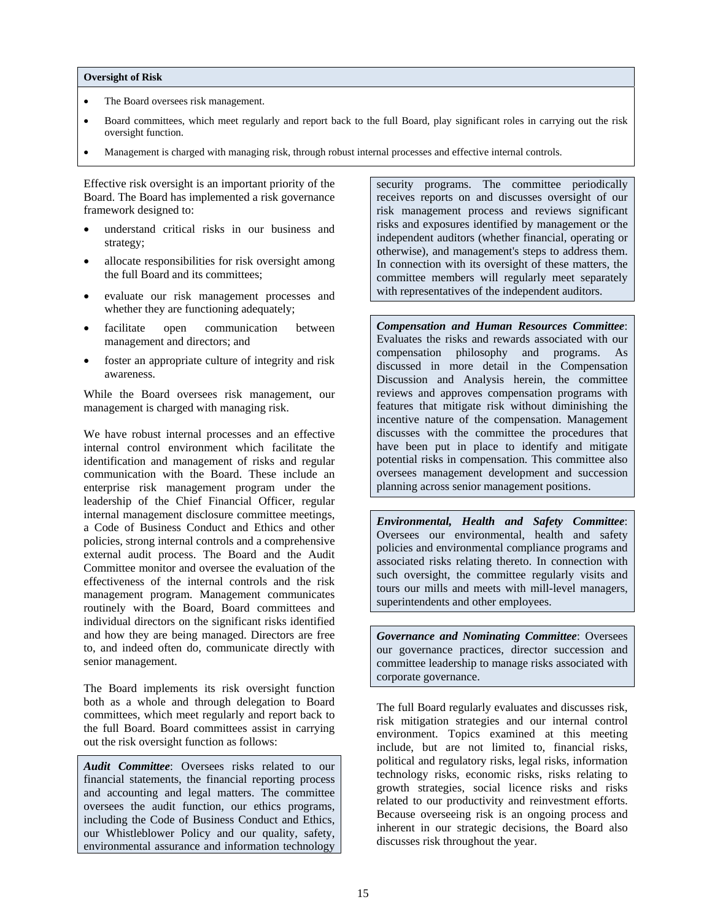#### **Oversight of Risk**

- The Board oversees risk management.
- Board committees, which meet regularly and report back to the full Board, play significant roles in carrying out the risk oversight function.
- Management is charged with managing risk, through robust internal processes and effective internal controls.

Effective risk oversight is an important priority of the Board. The Board has implemented a risk governance framework designed to:

- understand critical risks in our business and strategy;
- allocate responsibilities for risk oversight among the full Board and its committees;
- evaluate our risk management processes and whether they are functioning adequately;
- facilitate open communication between management and directors; and
- foster an appropriate culture of integrity and risk awareness.

While the Board oversees risk management, our management is charged with managing risk.

We have robust internal processes and an effective internal control environment which facilitate the identification and management of risks and regular communication with the Board. These include an enterprise risk management program under the leadership of the Chief Financial Officer, regular internal management disclosure committee meetings, a Code of Business Conduct and Ethics and other policies, strong internal controls and a comprehensive external audit process. The Board and the Audit Committee monitor and oversee the evaluation of the effectiveness of the internal controls and the risk management program. Management communicates routinely with the Board, Board committees and individual directors on the significant risks identified and how they are being managed. Directors are free to, and indeed often do, communicate directly with senior management.

The Board implements its risk oversight function both as a whole and through delegation to Board committees, which meet regularly and report back to the full Board. Board committees assist in carrying out the risk oversight function as follows:

*Audit Committee*: Oversees risks related to our financial statements, the financial reporting process and accounting and legal matters. The committee oversees the audit function, our ethics programs, including the Code of Business Conduct and Ethics, our Whistleblower Policy and our quality, safety, environmental assurance and information technology security programs. The committee periodically receives reports on and discusses oversight of our risk management process and reviews significant risks and exposures identified by management or the independent auditors (whether financial, operating or otherwise), and management's steps to address them. In connection with its oversight of these matters, the committee members will regularly meet separately with representatives of the independent auditors.

*Compensation and Human Resources Committee*: Evaluates the risks and rewards associated with our compensation philosophy and programs. As discussed in more detail in the Compensation Discussion and Analysis herein, the committee reviews and approves compensation programs with features that mitigate risk without diminishing the incentive nature of the compensation. Management discusses with the committee the procedures that have been put in place to identify and mitigate potential risks in compensation. This committee also oversees management development and succession planning across senior management positions.

*Environmental, Health and Safety Committee*: Oversees our environmental, health and safety policies and environmental compliance programs and associated risks relating thereto. In connection with such oversight, the committee regularly visits and tours our mills and meets with mill-level managers, superintendents and other employees.

*Governance and Nominating Committee*: Oversees our governance practices, director succession and committee leadership to manage risks associated with corporate governance.

The full Board regularly evaluates and discusses risk, risk mitigation strategies and our internal control environment. Topics examined at this meeting include, but are not limited to, financial risks, political and regulatory risks, legal risks, information technology risks, economic risks, risks relating to growth strategies, social licence risks and risks related to our productivity and reinvestment efforts. Because overseeing risk is an ongoing process and inherent in our strategic decisions, the Board also discusses risk throughout the year.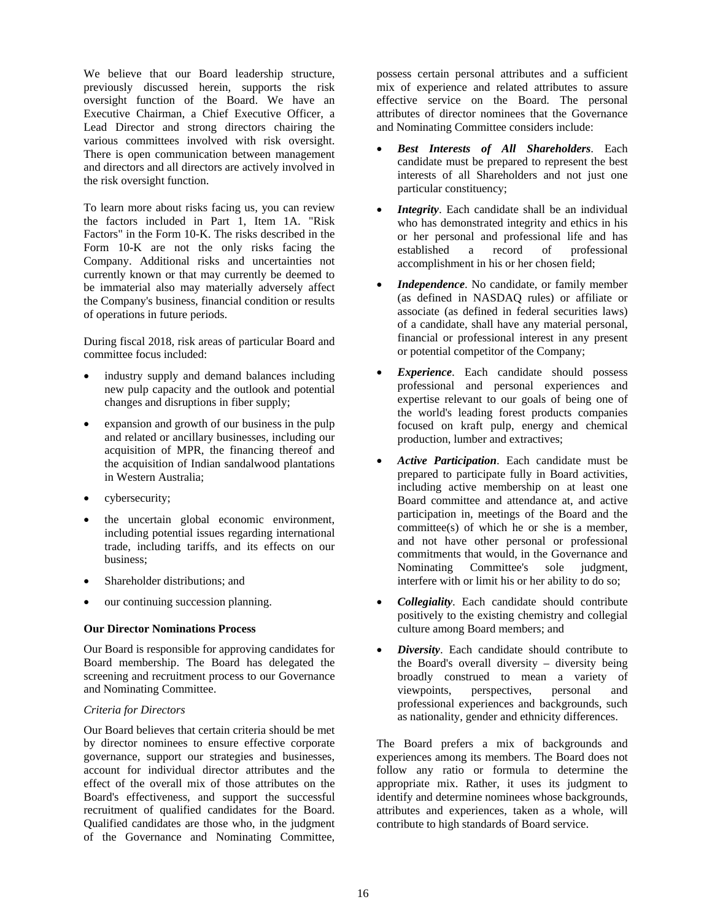We believe that our Board leadership structure, previously discussed herein, supports the risk oversight function of the Board. We have an Executive Chairman, a Chief Executive Officer, a Lead Director and strong directors chairing the various committees involved with risk oversight. There is open communication between management and directors and all directors are actively involved in the risk oversight function.

To learn more about risks facing us, you can review the factors included in Part 1, Item 1A. "Risk Factors" in the Form 10-K. The risks described in the Form 10-K are not the only risks facing the Company. Additional risks and uncertainties not currently known or that may currently be deemed to be immaterial also may materially adversely affect the Company's business, financial condition or results of operations in future periods.

During fiscal 2018, risk areas of particular Board and committee focus included:

- industry supply and demand balances including new pulp capacity and the outlook and potential changes and disruptions in fiber supply;
- expansion and growth of our business in the pulp and related or ancillary businesses, including our acquisition of MPR, the financing thereof and the acquisition of Indian sandalwood plantations in Western Australia;
- cybersecurity;
- the uncertain global economic environment, including potential issues regarding international trade, including tariffs, and its effects on our business;
- Shareholder distributions; and
- our continuing succession planning.

#### **Our Director Nominations Process**

Our Board is responsible for approving candidates for Board membership. The Board has delegated the screening and recruitment process to our Governance and Nominating Committee.

# *Criteria for Directors*

Our Board believes that certain criteria should be met by director nominees to ensure effective corporate governance, support our strategies and businesses, account for individual director attributes and the effect of the overall mix of those attributes on the Board's effectiveness, and support the successful recruitment of qualified candidates for the Board. Qualified candidates are those who, in the judgment of the Governance and Nominating Committee,

possess certain personal attributes and a sufficient mix of experience and related attributes to assure effective service on the Board. The personal attributes of director nominees that the Governance and Nominating Committee considers include:

- *Best Interests of All Shareholders*. Each candidate must be prepared to represent the best interests of all Shareholders and not just one particular constituency;
- *Integrity*. Each candidate shall be an individual who has demonstrated integrity and ethics in his or her personal and professional life and has established a record of professional accomplishment in his or her chosen field;
- *Independence*. No candidate, or family member (as defined in NASDAQ rules) or affiliate or associate (as defined in federal securities laws) of a candidate, shall have any material personal, financial or professional interest in any present or potential competitor of the Company;
- *Experience*. Each candidate should possess professional and personal experiences and expertise relevant to our goals of being one of the world's leading forest products companies focused on kraft pulp, energy and chemical production, lumber and extractives;
- *Active Participation*. Each candidate must be prepared to participate fully in Board activities, including active membership on at least one Board committee and attendance at, and active participation in, meetings of the Board and the committee(s) of which he or she is a member, and not have other personal or professional commitments that would, in the Governance and Nominating Committee's sole judgment, interfere with or limit his or her ability to do so;
- *Collegiality*. Each candidate should contribute positively to the existing chemistry and collegial culture among Board members; and
- *Diversity*. Each candidate should contribute to the Board's overall diversity – diversity being broadly construed to mean a variety of viewpoints, perspectives, personal and professional experiences and backgrounds, such as nationality, gender and ethnicity differences.

The Board prefers a mix of backgrounds and experiences among its members. The Board does not follow any ratio or formula to determine the appropriate mix. Rather, it uses its judgment to identify and determine nominees whose backgrounds, attributes and experiences, taken as a whole, will contribute to high standards of Board service.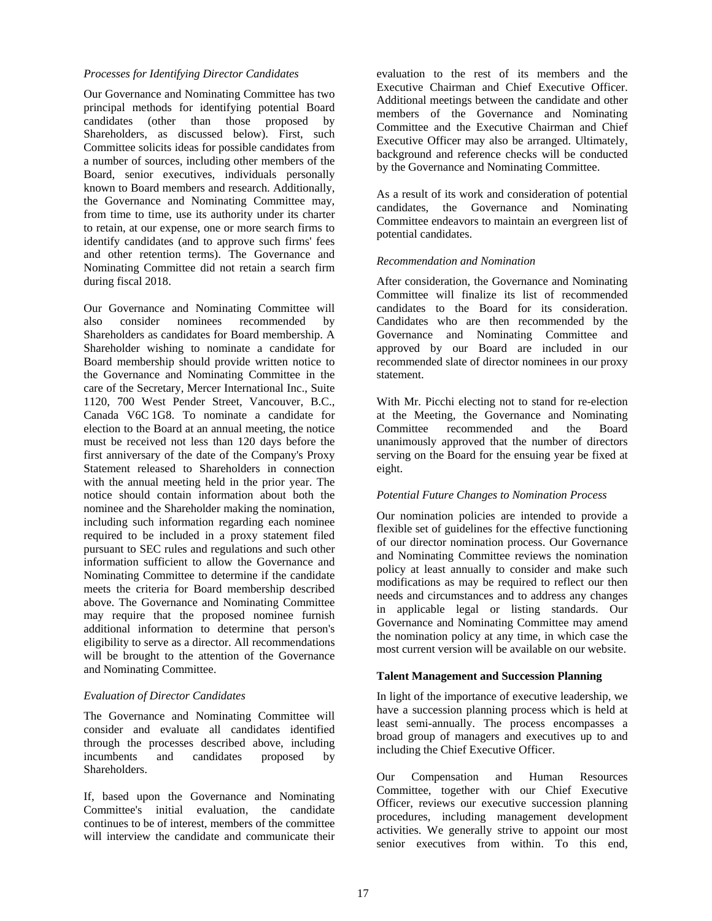# *Processes for Identifying Director Candidates*

Our Governance and Nominating Committee has two principal methods for identifying potential Board candidates (other than those proposed by Shareholders, as discussed below). First, such Committee solicits ideas for possible candidates from a number of sources, including other members of the Board, senior executives, individuals personally known to Board members and research. Additionally, the Governance and Nominating Committee may, from time to time, use its authority under its charter to retain, at our expense, one or more search firms to identify candidates (and to approve such firms' fees and other retention terms). The Governance and Nominating Committee did not retain a search firm during fiscal 2018.

Our Governance and Nominating Committee will also consider nominees recommended by Shareholders as candidates for Board membership. A Shareholder wishing to nominate a candidate for Board membership should provide written notice to the Governance and Nominating Committee in the care of the Secretary, Mercer International Inc., Suite 1120, 700 West Pender Street, Vancouver, B.C., Canada V6C 1G8. To nominate a candidate for election to the Board at an annual meeting, the notice must be received not less than 120 days before the first anniversary of the date of the Company's Proxy Statement released to Shareholders in connection with the annual meeting held in the prior year. The notice should contain information about both the nominee and the Shareholder making the nomination, including such information regarding each nominee required to be included in a proxy statement filed pursuant to SEC rules and regulations and such other information sufficient to allow the Governance and Nominating Committee to determine if the candidate meets the criteria for Board membership described above. The Governance and Nominating Committee may require that the proposed nominee furnish additional information to determine that person's eligibility to serve as a director. All recommendations will be brought to the attention of the Governance and Nominating Committee.

#### *Evaluation of Director Candidates*

The Governance and Nominating Committee will consider and evaluate all candidates identified through the processes described above, including incumbents and candidates proposed by Shareholders.

If, based upon the Governance and Nominating Committee's initial evaluation, the candidate continues to be of interest, members of the committee will interview the candidate and communicate their

evaluation to the rest of its members and the Executive Chairman and Chief Executive Officer. Additional meetings between the candidate and other members of the Governance and Nominating Committee and the Executive Chairman and Chief Executive Officer may also be arranged. Ultimately, background and reference checks will be conducted by the Governance and Nominating Committee.

As a result of its work and consideration of potential candidates, the Governance and Nominating Committee endeavors to maintain an evergreen list of potential candidates.

#### *Recommendation and Nomination*

After consideration, the Governance and Nominating Committee will finalize its list of recommended candidates to the Board for its consideration. Candidates who are then recommended by the Governance and Nominating Committee and approved by our Board are included in our recommended slate of director nominees in our proxy statement.

With Mr. Picchi electing not to stand for re-election at the Meeting, the Governance and Nominating Committee recommended and the Board unanimously approved that the number of directors serving on the Board for the ensuing year be fixed at eight.

#### *Potential Future Changes to Nomination Process*

Our nomination policies are intended to provide a flexible set of guidelines for the effective functioning of our director nomination process. Our Governance and Nominating Committee reviews the nomination policy at least annually to consider and make such modifications as may be required to reflect our then needs and circumstances and to address any changes in applicable legal or listing standards. Our Governance and Nominating Committee may amend the nomination policy at any time, in which case the most current version will be available on our website.

#### **Talent Management and Succession Planning**

In light of the importance of executive leadership, we have a succession planning process which is held at least semi-annually. The process encompasses a broad group of managers and executives up to and including the Chief Executive Officer.

Our Compensation and Human Resources Committee, together with our Chief Executive Officer, reviews our executive succession planning procedures, including management development activities. We generally strive to appoint our most senior executives from within. To this end,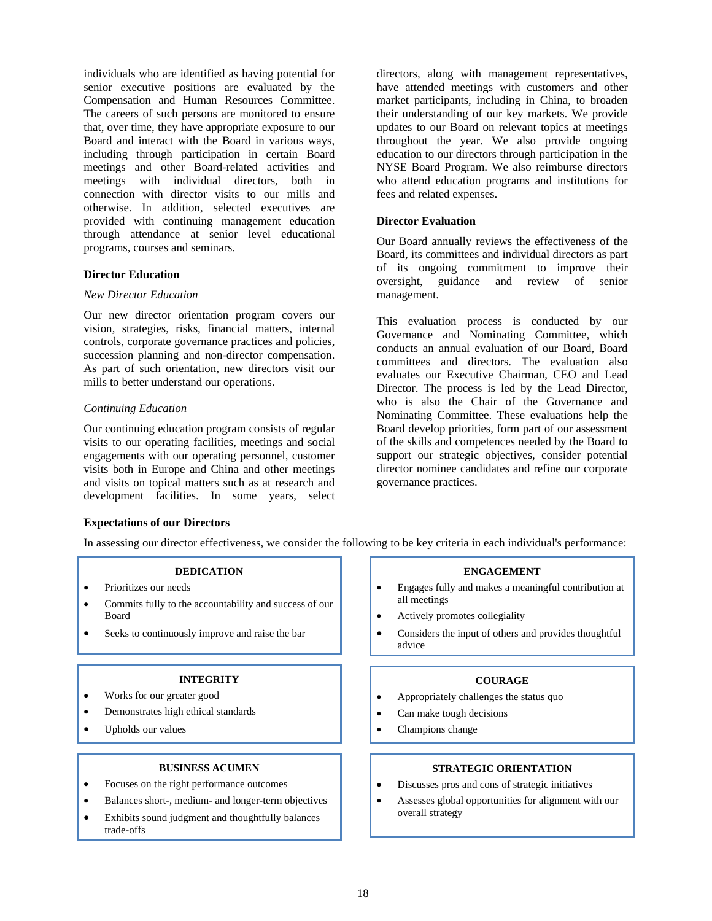individuals who are identified as having potential for senior executive positions are evaluated by the Compensation and Human Resources Committee. The careers of such persons are monitored to ensure that, over time, they have appropriate exposure to our Board and interact with the Board in various ways, including through participation in certain Board meetings and other Board-related activities and meetings with individual directors, both in connection with director visits to our mills and otherwise. In addition, selected executives are provided with continuing management education through attendance at senior level educational programs, courses and seminars.

# **Director Education**

## *New Director Education*

Our new director orientation program covers our vision, strategies, risks, financial matters, internal controls, corporate governance practices and policies, succession planning and non-director compensation. As part of such orientation, new directors visit our mills to better understand our operations.

# *Continuing Education*

Our continuing education program consists of regular visits to our operating facilities, meetings and social engagements with our operating personnel, customer visits both in Europe and China and other meetings and visits on topical matters such as at research and development facilities. In some years, select

directors, along with management representatives, have attended meetings with customers and other market participants, including in China, to broaden their understanding of our key markets. We provide updates to our Board on relevant topics at meetings throughout the year. We also provide ongoing education to our directors through participation in the NYSE Board Program. We also reimburse directors who attend education programs and institutions for fees and related expenses.

## **Director Evaluation**

Our Board annually reviews the effectiveness of the Board, its committees and individual directors as part of its ongoing commitment to improve their oversight, guidance and review of senior management.

This evaluation process is conducted by our Governance and Nominating Committee, which conducts an annual evaluation of our Board, Board committees and directors. The evaluation also evaluates our Executive Chairman, CEO and Lead Director. The process is led by the Lead Director, who is also the Chair of the Governance and Nominating Committee. These evaluations help the Board develop priorities, form part of our assessment of the skills and competences needed by the Board to support our strategic objectives, consider potential director nominee candidates and refine our corporate governance practices.

#### **Expectations of our Directors**

In assessing our director effectiveness, we consider the following to be key criteria in each individual's performance:

#### **DEDICATION**

- Prioritizes our needs
- Commits fully to the accountability and success of our Board
- Seeks to continuously improve and raise the bar

# **INTEGRITY**

- Works for our greater good
- Demonstrates high ethical standards
- Upholds our values

#### **BUSINESS ACUMEN**

- Focuses on the right performance outcomes
- Balances short-, medium- and longer-term objectives
- Exhibits sound judgment and thoughtfully balances trade-offs

#### **ENGAGEMENT**

- Engages fully and makes a meaningful contribution at all meetings
- Actively promotes collegiality
- Considers the input of others and provides thoughtful advice

#### **COURAGE**

- Appropriately challenges the status quo
- Can make tough decisions
- Champions change

#### **STRATEGIC ORIENTATION**

- Discusses pros and cons of strategic initiatives
- Assesses global opportunities for alignment with our overall strategy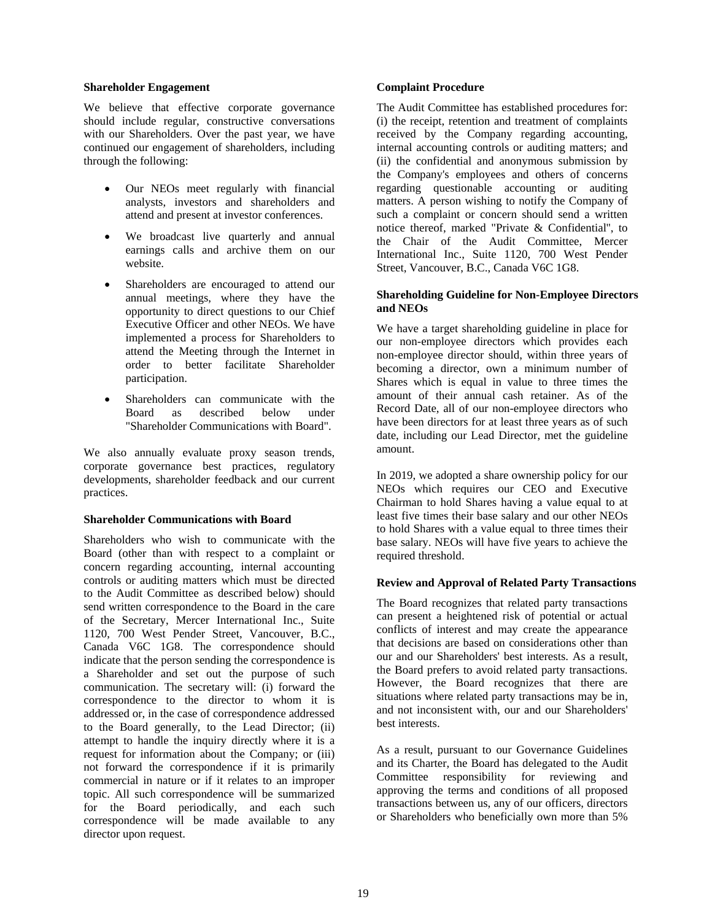#### **Shareholder Engagement**

We believe that effective corporate governance should include regular, constructive conversations with our Shareholders. Over the past year, we have continued our engagement of shareholders, including through the following:

- Our NEOs meet regularly with financial analysts, investors and shareholders and attend and present at investor conferences.
- We broadcast live quarterly and annual earnings calls and archive them on our website.
- Shareholders are encouraged to attend our annual meetings, where they have the opportunity to direct questions to our Chief Executive Officer and other NEOs. We have implemented a process for Shareholders to attend the Meeting through the Internet in order to better facilitate Shareholder participation.
- Shareholders can communicate with the Board as described below under "Shareholder Communications with Board".

We also annually evaluate proxy season trends, corporate governance best practices, regulatory developments, shareholder feedback and our current practices.

#### **Shareholder Communications with Board**

Shareholders who wish to communicate with the Board (other than with respect to a complaint or concern regarding accounting, internal accounting controls or auditing matters which must be directed to the Audit Committee as described below) should send written correspondence to the Board in the care of the Secretary, Mercer International Inc., Suite 1120, 700 West Pender Street, Vancouver, B.C., Canada V6C 1G8. The correspondence should indicate that the person sending the correspondence is a Shareholder and set out the purpose of such communication. The secretary will: (i) forward the correspondence to the director to whom it is addressed or, in the case of correspondence addressed to the Board generally, to the Lead Director; (ii) attempt to handle the inquiry directly where it is a request for information about the Company; or (iii) not forward the correspondence if it is primarily commercial in nature or if it relates to an improper topic. All such correspondence will be summarized for the Board periodically, and each such correspondence will be made available to any director upon request.

#### **Complaint Procedure**

The Audit Committee has established procedures for: (i) the receipt, retention and treatment of complaints received by the Company regarding accounting, internal accounting controls or auditing matters; and (ii) the confidential and anonymous submission by the Company's employees and others of concerns regarding questionable accounting or auditing matters. A person wishing to notify the Company of such a complaint or concern should send a written notice thereof, marked "Private & Confidential'', to the Chair of the Audit Committee, Mercer International Inc., Suite 1120, 700 West Pender Street, Vancouver, B.C., Canada V6C 1G8.

# **Shareholding Guideline for Non-Employee Directors and NEOs**

We have a target shareholding guideline in place for our non-employee directors which provides each non-employee director should, within three years of becoming a director, own a minimum number of Shares which is equal in value to three times the amount of their annual cash retainer. As of the Record Date, all of our non-employee directors who have been directors for at least three years as of such date, including our Lead Director, met the guideline amount.

In 2019, we adopted a share ownership policy for our NEOs which requires our CEO and Executive Chairman to hold Shares having a value equal to at least five times their base salary and our other NEOs to hold Shares with a value equal to three times their base salary. NEOs will have five years to achieve the required threshold.

#### **Review and Approval of Related Party Transactions**

The Board recognizes that related party transactions can present a heightened risk of potential or actual conflicts of interest and may create the appearance that decisions are based on considerations other than our and our Shareholders' best interests. As a result, the Board prefers to avoid related party transactions. However, the Board recognizes that there are situations where related party transactions may be in, and not inconsistent with, our and our Shareholders' best interests.

As a result, pursuant to our Governance Guidelines and its Charter, the Board has delegated to the Audit Committee responsibility for reviewing and approving the terms and conditions of all proposed transactions between us, any of our officers, directors or Shareholders who beneficially own more than 5%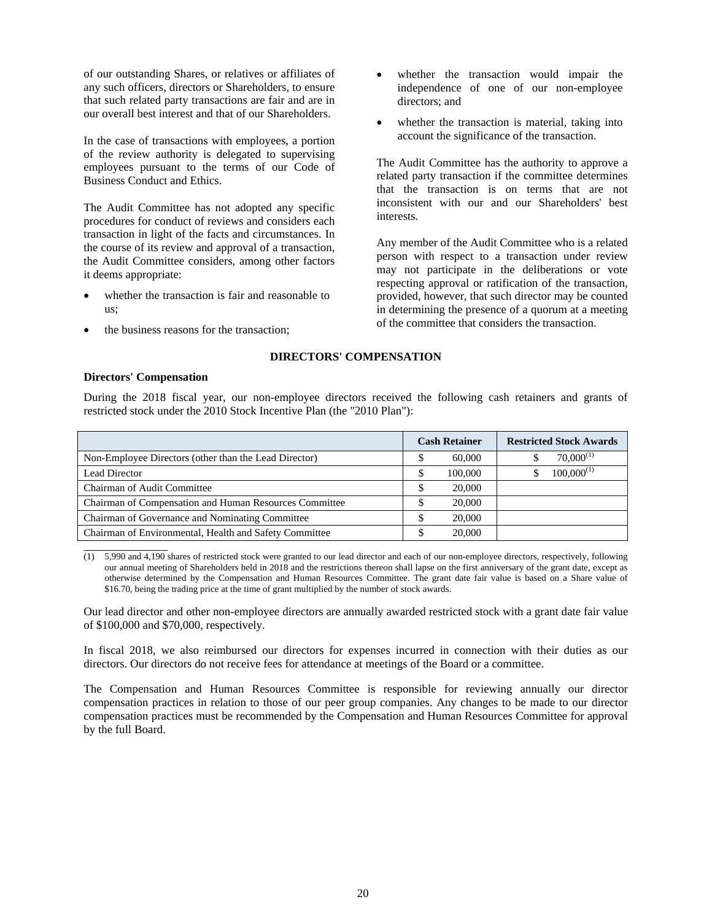of our outstanding Shares, or relatives or affiliates of any such officers, directors or Shareholders, to ensure that such related party transactions are fair and are in our overall best interest and that of our Shareholders.

In the case of transactions with employees, a portion of the review authority is delegated to supervising employees pursuant to the terms of our Code of Business Conduct and Ethics.

The Audit Committee has not adopted any specific procedures for conduct of reviews and considers each transaction in light of the facts and circumstances. In the course of its review and approval of a transaction, the Audit Committee considers, among other factors it deems appropriate:

- whether the transaction is fair and reasonable to us;
- the business reasons for the transaction;
- whether the transaction would impair the independence of one of our non-employee directors; and
- whether the transaction is material, taking into account the significance of the transaction.

The Audit Committee has the authority to approve a related party transaction if the committee determines that the transaction is on terms that are not inconsistent with our and our Shareholders' best interests.

Any member of the Audit Committee who is a related person with respect to a transaction under review may not participate in the deliberations or vote respecting approval or ratification of the transaction, provided, however, that such director may be counted in determining the presence of a quorum at a meeting of the committee that considers the transaction.

#### **DIRECTORS' COMPENSATION**

#### **Directors' Compensation**

During the 2018 fiscal year, our non-employee directors received the following cash retainers and grants of restricted stock under the 2010 Stock Incentive Plan (the "2010 Plan"):

|                                                        | <b>Cash Retainer</b> | <b>Restricted Stock Awards</b> |
|--------------------------------------------------------|----------------------|--------------------------------|
| Non-Employee Directors (other than the Lead Director)  | 60,000<br>Φ          | $70,000^{(1)}$                 |
| <b>Lead Director</b>                                   | 100,000              | $100,000^{(1)}$                |
| Chairman of Audit Committee                            | 20,000               |                                |
| Chairman of Compensation and Human Resources Committee | 20,000<br>Φ          |                                |
| Chairman of Governance and Nominating Committee        | 20,000               |                                |
| Chairman of Environmental, Health and Safety Committee | 20,000               |                                |
|                                                        |                      |                                |

(1) 5,990 and 4,190 shares of restricted stock were granted to our lead director and each of our non-employee directors, respectively, following our annual meeting of Shareholders held in 2018 and the restrictions thereon shall lapse on the first anniversary of the grant date, except as otherwise determined by the Compensation and Human Resources Committee. The grant date fair value is based on a Share value of \$16.70, being the trading price at the time of grant multiplied by the number of stock awards.

Our lead director and other non-employee directors are annually awarded restricted stock with a grant date fair value of \$100,000 and \$70,000, respectively.

In fiscal 2018, we also reimbursed our directors for expenses incurred in connection with their duties as our directors. Our directors do not receive fees for attendance at meetings of the Board or a committee.

The Compensation and Human Resources Committee is responsible for reviewing annually our director compensation practices in relation to those of our peer group companies. Any changes to be made to our director compensation practices must be recommended by the Compensation and Human Resources Committee for approval by the full Board.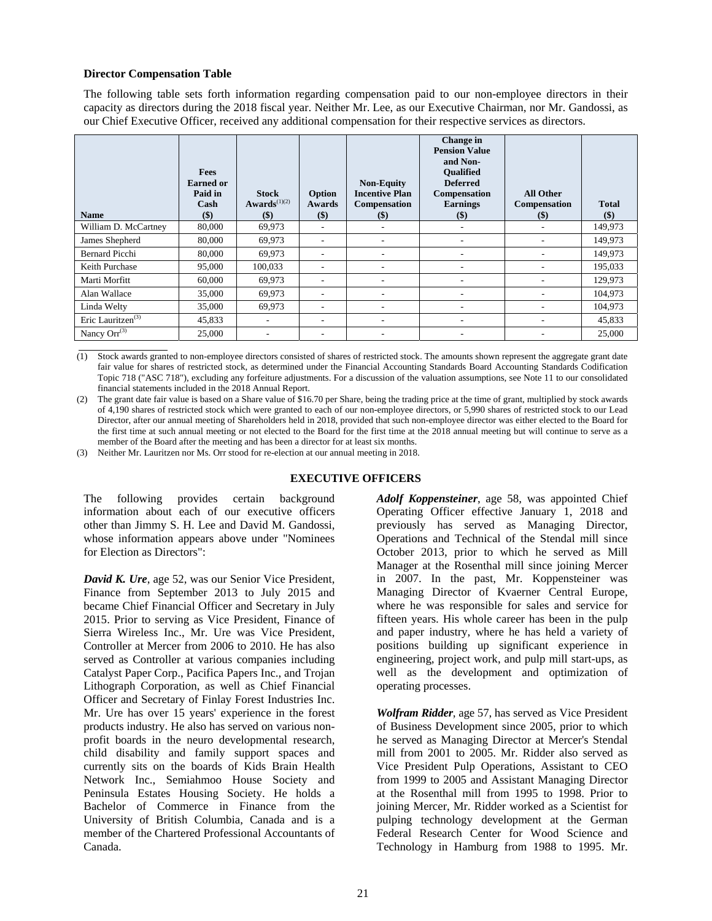# **Director Compensation Table**

The following table sets forth information regarding compensation paid to our non-employee directors in their capacity as directors during the 2018 fiscal year. Neither Mr. Lee, as our Executive Chairman, nor Mr. Gandossi, as our Chief Executive Officer, received any additional compensation for their respective services as directors.

| <b>Name</b>              | <b>Fees</b><br><b>Earned</b> or<br>Paid in<br>Cash<br>$($)$ | <b>Stock</b><br>$Awards^{(1)(2)}$<br>$\left( \text{\$}\right)$ | Option<br>Awards<br>$(\$)$ | <b>Non-Equity</b><br><b>Incentive Plan</b><br>Compensation<br>$(\$)$ | Change in<br><b>Pension Value</b><br>and Non-<br><b>Oualified</b><br><b>Deferred</b><br>Compensation<br><b>Earnings</b><br>$(\$)$ | <b>All Other</b><br>Compensation<br>$(\$)$ | <b>Total</b><br>$(\$)$ |
|--------------------------|-------------------------------------------------------------|----------------------------------------------------------------|----------------------------|----------------------------------------------------------------------|-----------------------------------------------------------------------------------------------------------------------------------|--------------------------------------------|------------------------|
| William D. McCartney     | 80,000                                                      | 69,973                                                         | $\overline{\phantom{a}}$   | ۰                                                                    | ٠                                                                                                                                 | $\overline{\phantom{a}}$                   | 149,973                |
| James Shepherd           | 80,000                                                      | 69,973                                                         | ٠                          | ۰                                                                    | ۰                                                                                                                                 | $\overline{\phantom{a}}$                   | 149,973                |
| <b>Bernard Picchi</b>    | 80,000                                                      | 69,973                                                         | ٠                          | ۰                                                                    |                                                                                                                                   | $\overline{\phantom{a}}$                   | 149,973                |
| Keith Purchase           | 95,000                                                      | 100,033                                                        | ٠                          | ۰                                                                    | ۰                                                                                                                                 | $\overline{\phantom{a}}$                   | 195,033                |
| Marti Morfitt            | 60,000                                                      | 69,973                                                         | $\overline{\phantom{a}}$   | ۰                                                                    |                                                                                                                                   | $\overline{\phantom{a}}$                   | 129,973                |
| Alan Wallace             | 35,000                                                      | 69,973                                                         | ۰.                         | ۰.                                                                   | ۰                                                                                                                                 | $\overline{\phantom{a}}$                   | 104,973                |
| Linda Welty              | 35,000                                                      | 69,973                                                         | ٠                          | ۰                                                                    |                                                                                                                                   |                                            | 104,973                |
| Eric Lauritzen $^{(3)}$  | 45,833                                                      | ٠                                                              | ٠                          | ۰                                                                    | -                                                                                                                                 | $\overline{\phantom{a}}$                   | 45,833                 |
| Nancy Orr <sup>(3)</sup> | 25,000                                                      |                                                                | ٠                          |                                                                      |                                                                                                                                   |                                            | 25,000                 |

 $\overline{a}$ (1) Stock awards granted to non-employee directors consisted of shares of restricted stock. The amounts shown represent the aggregate grant date fair value for shares of restricted stock, as determined under the Financial Accounting Standards Board Accounting Standards Codification Topic 718 ("ASC 718"), excluding any forfeiture adjustments. For a discussion of the valuation assumptions, see Note 11 to our consolidated financial statements included in the 2018 Annual Report.

(2) The grant date fair value is based on a Share value of \$16.70 per Share, being the trading price at the time of grant, multiplied by stock awards of 4,190 shares of restricted stock which were granted to each of our non-employee directors, or 5,990 shares of restricted stock to our Lead Director, after our annual meeting of Shareholders held in 2018, provided that such non-employee director was either elected to the Board for the first time at such annual meeting or not elected to the Board for the first time at the 2018 annual meeting but will continue to serve as a member of the Board after the meeting and has been a director for at least six months.

(3) Neither Mr. Lauritzen nor Ms. Orr stood for re-election at our annual meeting in 2018.

# **EXECUTIVE OFFICERS**

The following provides certain background information about each of our executive officers other than Jimmy S. H. Lee and David M. Gandossi, whose information appears above under "Nominees for Election as Directors":

*David K. Ure*, age 52, was our Senior Vice President, Finance from September 2013 to July 2015 and became Chief Financial Officer and Secretary in July 2015. Prior to serving as Vice President, Finance of Sierra Wireless Inc., Mr. Ure was Vice President, Controller at Mercer from 2006 to 2010. He has also served as Controller at various companies including Catalyst Paper Corp., Pacifica Papers Inc., and Trojan Lithograph Corporation, as well as Chief Financial Officer and Secretary of Finlay Forest Industries Inc. Mr. Ure has over 15 years' experience in the forest products industry. He also has served on various nonprofit boards in the neuro developmental research, child disability and family support spaces and currently sits on the boards of Kids Brain Health Network Inc., Semiahmoo House Society and Peninsula Estates Housing Society. He holds a Bachelor of Commerce in Finance from the University of British Columbia, Canada and is a member of the Chartered Professional Accountants of Canada.

*Adolf Koppensteiner*, age 58, was appointed Chief Operating Officer effective January 1, 2018 and previously has served as Managing Director, Operations and Technical of the Stendal mill since October 2013, prior to which he served as Mill Manager at the Rosenthal mill since joining Mercer in 2007. In the past, Mr. Koppensteiner was Managing Director of Kvaerner Central Europe, where he was responsible for sales and service for fifteen years. His whole career has been in the pulp and paper industry, where he has held a variety of positions building up significant experience in engineering, project work, and pulp mill start-ups, as well as the development and optimization of operating processes.

*Wolfram Ridder*, age 57, has served as Vice President of Business Development since 2005, prior to which he served as Managing Director at Mercer's Stendal mill from 2001 to 2005. Mr. Ridder also served as Vice President Pulp Operations, Assistant to CEO from 1999 to 2005 and Assistant Managing Director at the Rosenthal mill from 1995 to 1998. Prior to joining Mercer, Mr. Ridder worked as a Scientist for pulping technology development at the German Federal Research Center for Wood Science and Technology in Hamburg from 1988 to 1995. Mr.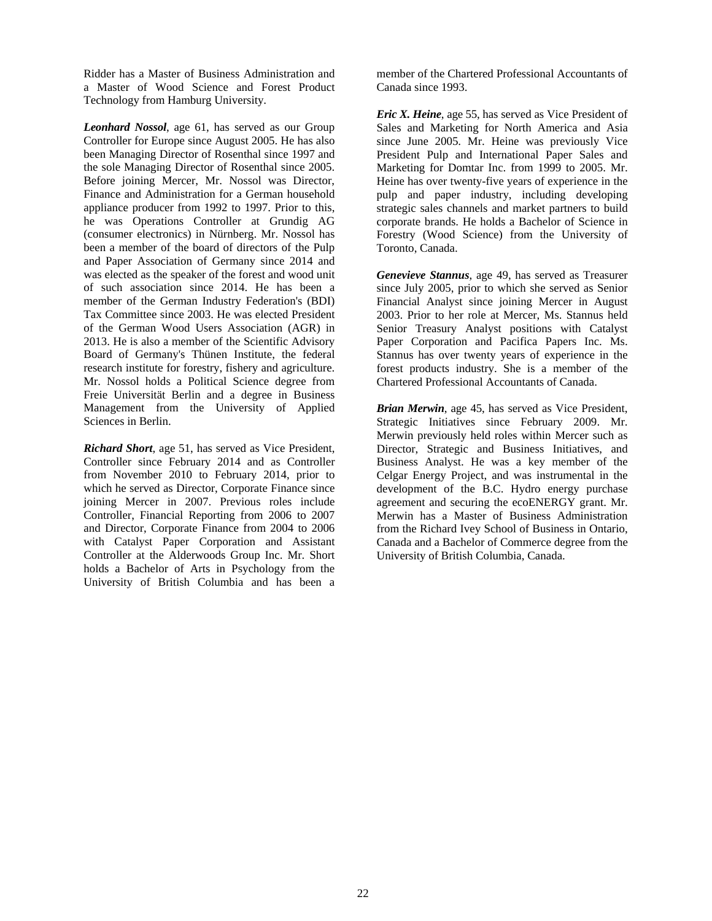Ridder has a Master of Business Administration and a Master of Wood Science and Forest Product Technology from Hamburg University.

*Leonhard Nossol*, age 61, has served as our Group Controller for Europe since August 2005. He has also been Managing Director of Rosenthal since 1997 and the sole Managing Director of Rosenthal since 2005. Before joining Mercer, Mr. Nossol was Director, Finance and Administration for a German household appliance producer from 1992 to 1997. Prior to this, he was Operations Controller at Grundig AG (consumer electronics) in Nürnberg. Mr. Nossol has been a member of the board of directors of the Pulp and Paper Association of Germany since 2014 and was elected as the speaker of the forest and wood unit of such association since 2014. He has been a member of the German Industry Federation's (BDI) Tax Committee since 2003. He was elected President of the German Wood Users Association (AGR) in 2013. He is also a member of the Scientific Advisory Board of Germany's Thünen Institute, the federal research institute for forestry, fishery and agriculture. Mr. Nossol holds a Political Science degree from Freie Universität Berlin and a degree in Business Management from the University of Applied Sciences in Berlin.

*Richard Short*, age 51, has served as Vice President, Controller since February 2014 and as Controller from November 2010 to February 2014, prior to which he served as Director, Corporate Finance since joining Mercer in 2007. Previous roles include Controller, Financial Reporting from 2006 to 2007 and Director, Corporate Finance from 2004 to 2006 with Catalyst Paper Corporation and Assistant Controller at the Alderwoods Group Inc. Mr. Short holds a Bachelor of Arts in Psychology from the University of British Columbia and has been a member of the Chartered Professional Accountants of Canada since 1993.

*Eric X. Heine*, age 55, has served as Vice President of Sales and Marketing for North America and Asia since June 2005. Mr. Heine was previously Vice President Pulp and International Paper Sales and Marketing for Domtar Inc. from 1999 to 2005. Mr. Heine has over twenty-five years of experience in the pulp and paper industry, including developing strategic sales channels and market partners to build corporate brands. He holds a Bachelor of Science in Forestry (Wood Science) from the University of Toronto, Canada.

*Genevieve Stannus*, age 49, has served as Treasurer since July 2005, prior to which she served as Senior Financial Analyst since joining Mercer in August 2003. Prior to her role at Mercer, Ms. Stannus held Senior Treasury Analyst positions with Catalyst Paper Corporation and Pacifica Papers Inc. Ms. Stannus has over twenty years of experience in the forest products industry. She is a member of the Chartered Professional Accountants of Canada.

*Brian Merwin*, age 45, has served as Vice President, Strategic Initiatives since February 2009. Mr. Merwin previously held roles within Mercer such as Director, Strategic and Business Initiatives, and Business Analyst. He was a key member of the Celgar Energy Project, and was instrumental in the development of the B.C. Hydro energy purchase agreement and securing the ecoENERGY grant. Mr. Merwin has a Master of Business Administration from the Richard Ivey School of Business in Ontario, Canada and a Bachelor of Commerce degree from the University of British Columbia, Canada.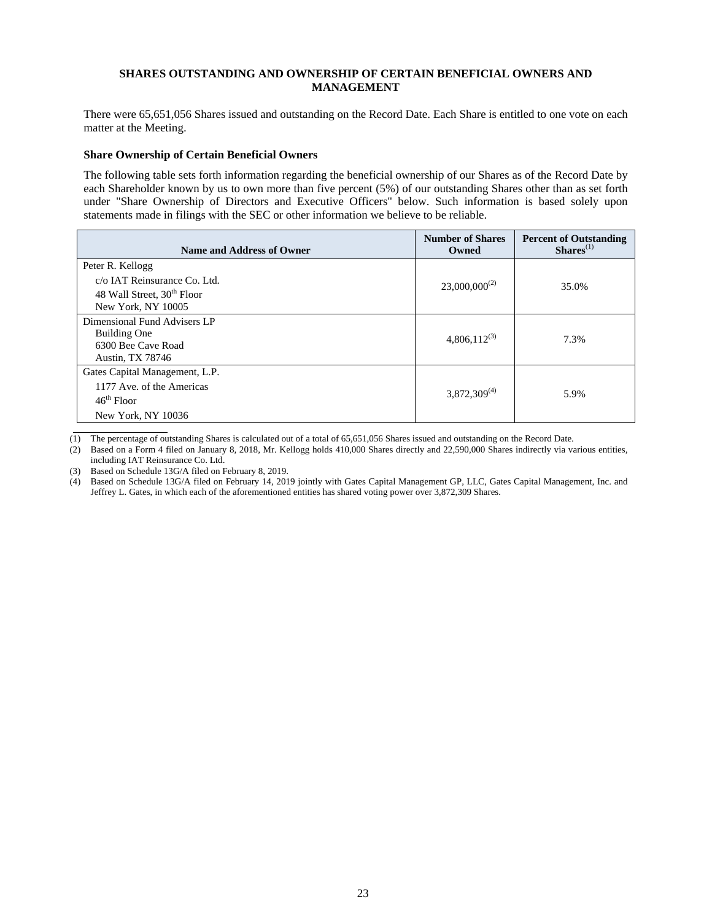# **SHARES OUTSTANDING AND OWNERSHIP OF CERTAIN BENEFICIAL OWNERS AND MANAGEMENT**

There were 65,651,056 Shares issued and outstanding on the Record Date. Each Share is entitled to one vote on each matter at the Meeting.

## **Share Ownership of Certain Beneficial Owners**

The following table sets forth information regarding the beneficial ownership of our Shares as of the Record Date by each Shareholder known by us to own more than five percent (5%) of our outstanding Shares other than as set forth under "Share Ownership of Directors and Executive Officers" below. Such information is based solely upon statements made in filings with the SEC or other information we believe to be reliable.

| Name and Address of Owner                                                                                        | <b>Number of Shares</b><br>Owned | <b>Percent of Outstanding</b><br>$Shares(1)$ |
|------------------------------------------------------------------------------------------------------------------|----------------------------------|----------------------------------------------|
| Peter R. Kellogg<br>c/o IAT Reinsurance Co. Ltd.<br>48 Wall Street, 30 <sup>th</sup> Floor<br>New York, NY 10005 | $23,000,000^{(2)}$               | 35.0%                                        |
| Dimensional Fund Advisers LP<br><b>Building One</b><br>6300 Bee Cave Road<br>Austin, TX 78746                    | $4,806,112^{(3)}$                | 7.3%                                         |
| Gates Capital Management, L.P.<br>1177 Ave. of the Americas<br>$46^{\text{th}}$ Floor<br>New York, NY 10036      | $3,872,309^{(4)}$                | 5.9%                                         |

(1) The percentage of outstanding Shares is calculated out of a total of 65,651,056 Shares issued and outstanding on the Record Date.

(2) Based on a Form 4 filed on January 8, 2018, Mr. Kellogg holds 410,000 Shares directly and 22,590,000 Shares indirectly via various entities, including IAT Reinsurance Co. Ltd.

(3) Based on Schedule 13G/A filed on February 8, 2019.

(4) Based on Schedule 13G/A filed on February 14, 2019 jointly with Gates Capital Management GP, LLC, Gates Capital Management, Inc. and Jeffrey L. Gates, in which each of the aforementioned entities has shared voting power over 3,872,309 Shares.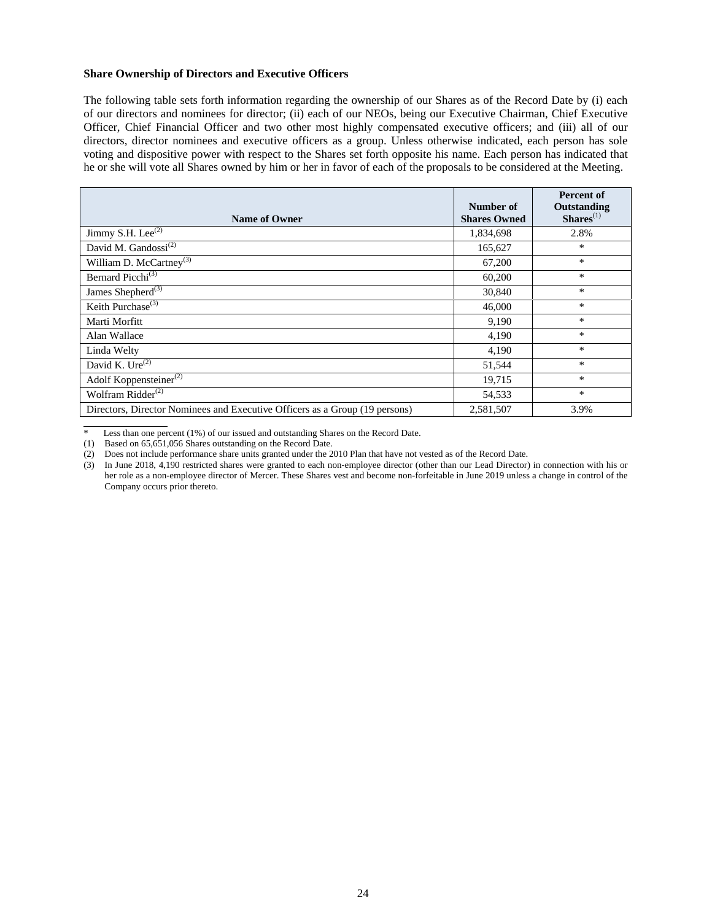#### **Share Ownership of Directors and Executive Officers**

The following table sets forth information regarding the ownership of our Shares as of the Record Date by (i) each of our directors and nominees for director; (ii) each of our NEOs, being our Executive Chairman, Chief Executive Officer, Chief Financial Officer and two other most highly compensated executive officers; and (iii) all of our directors, director nominees and executive officers as a group. Unless otherwise indicated, each person has sole voting and dispositive power with respect to the Shares set forth opposite his name. Each person has indicated that he or she will vote all Shares owned by him or her in favor of each of the proposals to be considered at the Meeting.

| <b>Name of Owner</b>                                                        | Number of<br><b>Shares Owned</b> | <b>Percent of</b><br>Outstanding<br>$Shares(1)$ |
|-----------------------------------------------------------------------------|----------------------------------|-------------------------------------------------|
| Jimmy S.H. Lee <sup>(2)</sup>                                               | 1,834,698                        | 2.8%                                            |
| David M. Gandossi <sup>(2)</sup>                                            | 165,627                          | $\ast$                                          |
| William D. McCartney <sup>(3)</sup>                                         | 67,200                           | $\ast$                                          |
| Bernard Picchi <sup>(3)</sup>                                               | 60,200                           | $\ast$                                          |
| James Shepherd <sup>(3)</sup>                                               | 30,840                           | $\ast$                                          |
| Keith Purchase <sup>(3)</sup>                                               | 46,000                           | $\ast$                                          |
| Marti Morfitt                                                               | 9,190                            | $\ast$                                          |
| Alan Wallace                                                                | 4,190                            | $\ast$                                          |
| Linda Welty                                                                 | 4,190                            | $\ast$                                          |
| David K. Ure <sup>(2)</sup>                                                 | 51,544                           | $\ast$                                          |
| Adolf Koppensteiner <sup>(2)</sup>                                          | 19,715                           | $\ast$                                          |
| Wolfram Ridder <sup>(2)</sup>                                               | 54,533                           | $\ast$                                          |
| Directors, Director Nominees and Executive Officers as a Group (19 persons) | 2,581,507                        | 3.9%                                            |

\* Less than one percent (1%) of our issued and outstanding Shares on the Record Date.

 $\overline{a}$ 

<sup>(1)</sup> Based on 65,651,056 Shares outstanding on the Record Date.

<sup>(2)</sup> Does not include performance share units granted under the 2010 Plan that have not vested as of the Record Date.

<sup>(3)</sup> In June 2018, 4,190 restricted shares were granted to each non-employee director (other than our Lead Director) in connection with his or her role as a non-employee director of Mercer. These Shares vest and become non-forfeitable in June 2019 unless a change in control of the Company occurs prior thereto.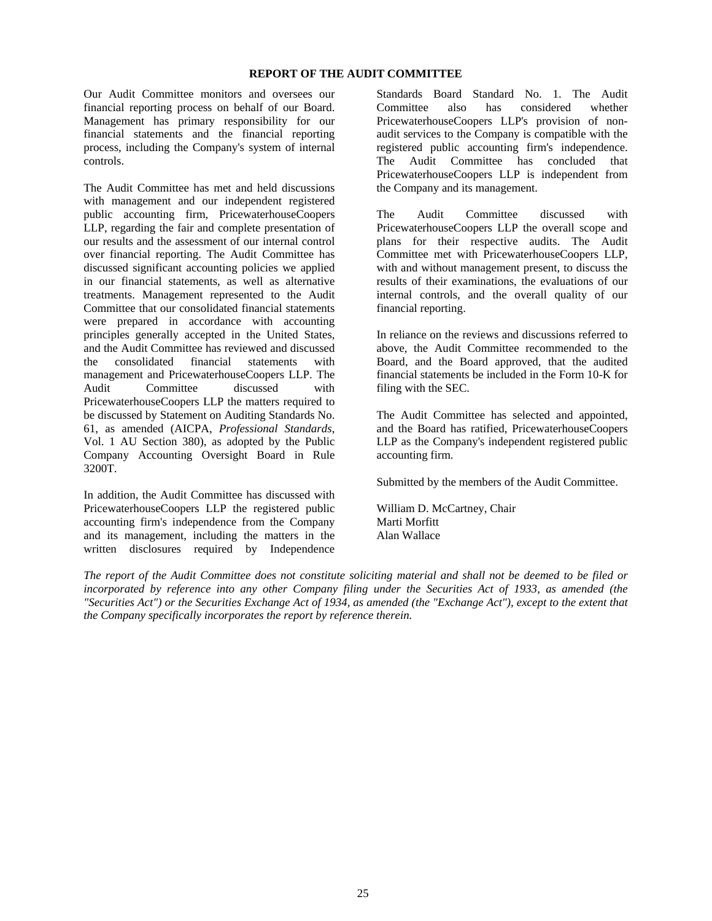# **REPORT OF THE AUDIT COMMITTEE**

Our Audit Committee monitors and oversees our financial reporting process on behalf of our Board. Management has primary responsibility for our financial statements and the financial reporting process, including the Company's system of internal controls.

The Audit Committee has met and held discussions with management and our independent registered public accounting firm, PricewaterhouseCoopers LLP, regarding the fair and complete presentation of our results and the assessment of our internal control over financial reporting. The Audit Committee has discussed significant accounting policies we applied in our financial statements, as well as alternative treatments. Management represented to the Audit Committee that our consolidated financial statements were prepared in accordance with accounting principles generally accepted in the United States, and the Audit Committee has reviewed and discussed the consolidated financial statements with management and PricewaterhouseCoopers LLP. The Audit Committee discussed with PricewaterhouseCoopers LLP the matters required to be discussed by Statement on Auditing Standards No. 61, as amended (AICPA, *Professional Standards*, Vol. 1 AU Section 380), as adopted by the Public Company Accounting Oversight Board in Rule 3200T.

In addition, the Audit Committee has discussed with PricewaterhouseCoopers LLP the registered public accounting firm's independence from the Company and its management, including the matters in the written disclosures required by Independence

Standards Board Standard No. 1. The Audit Committee also has considered whether PricewaterhouseCoopers LLP's provision of nonaudit services to the Company is compatible with the registered public accounting firm's independence. The Audit Committee has concluded that PricewaterhouseCoopers LLP is independent from the Company and its management.

The Audit Committee discussed with PricewaterhouseCoopers LLP the overall scope and plans for their respective audits. The Audit Committee met with PricewaterhouseCoopers LLP, with and without management present, to discuss the results of their examinations, the evaluations of our internal controls, and the overall quality of our financial reporting.

In reliance on the reviews and discussions referred to above, the Audit Committee recommended to the Board, and the Board approved, that the audited financial statements be included in the Form 10-K for filing with the SEC.

The Audit Committee has selected and appointed, and the Board has ratified, PricewaterhouseCoopers LLP as the Company's independent registered public accounting firm.

Submitted by the members of the Audit Committee.

William D. McCartney, Chair Marti Morfitt Alan Wallace

*The report of the Audit Committee does not constitute soliciting material and shall not be deemed to be filed or incorporated by reference into any other Company filing under the Securities Act of 1933, as amended (the "Securities Act") or the Securities Exchange Act of 1934, as amended (the "Exchange Act"), except to the extent that the Company specifically incorporates the report by reference therein.*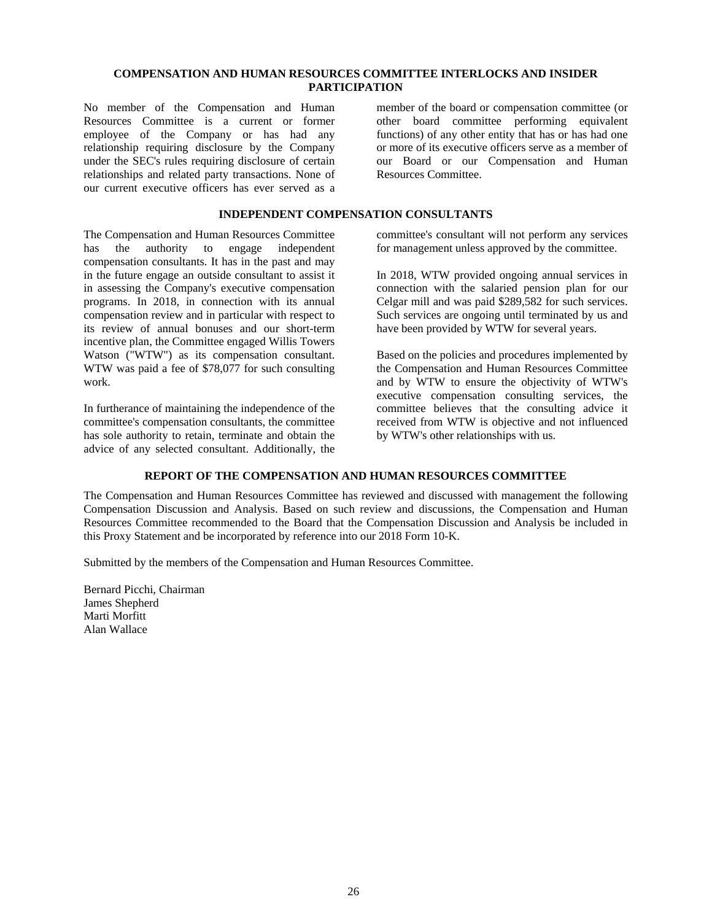# **COMPENSATION AND HUMAN RESOURCES COMMITTEE INTERLOCKS AND INSIDER PARTICIPATION**

No member of the Compensation and Human Resources Committee is a current or former employee of the Company or has had any relationship requiring disclosure by the Company under the SEC's rules requiring disclosure of certain relationships and related party transactions. None of our current executive officers has ever served as a

member of the board or compensation committee (or other board committee performing equivalent functions) of any other entity that has or has had one or more of its executive officers serve as a member of our Board or our Compensation and Human Resources Committee.

# **INDEPENDENT COMPENSATION CONSULTANTS**

The Compensation and Human Resources Committee has the authority to engage independent compensation consultants. It has in the past and may in the future engage an outside consultant to assist it in assessing the Company's executive compensation programs. In 2018, in connection with its annual compensation review and in particular with respect to its review of annual bonuses and our short-term incentive plan, the Committee engaged Willis Towers Watson ("WTW") as its compensation consultant. WTW was paid a fee of \$78,077 for such consulting work.

In furtherance of maintaining the independence of the committee's compensation consultants, the committee has sole authority to retain, terminate and obtain the advice of any selected consultant. Additionally, the

committee's consultant will not perform any services for management unless approved by the committee.

In 2018, WTW provided ongoing annual services in connection with the salaried pension plan for our Celgar mill and was paid \$289,582 for such services. Such services are ongoing until terminated by us and have been provided by WTW for several years.

Based on the policies and procedures implemented by the Compensation and Human Resources Committee and by WTW to ensure the objectivity of WTW's executive compensation consulting services, the committee believes that the consulting advice it received from WTW is objective and not influenced by WTW's other relationships with us.

# **REPORT OF THE COMPENSATION AND HUMAN RESOURCES COMMITTEE**

The Compensation and Human Resources Committee has reviewed and discussed with management the following Compensation Discussion and Analysis. Based on such review and discussions, the Compensation and Human Resources Committee recommended to the Board that the Compensation Discussion and Analysis be included in this Proxy Statement and be incorporated by reference into our 2018 Form 10-K.

Submitted by the members of the Compensation and Human Resources Committee.

Bernard Picchi, Chairman James Shepherd Marti Morfitt Alan Wallace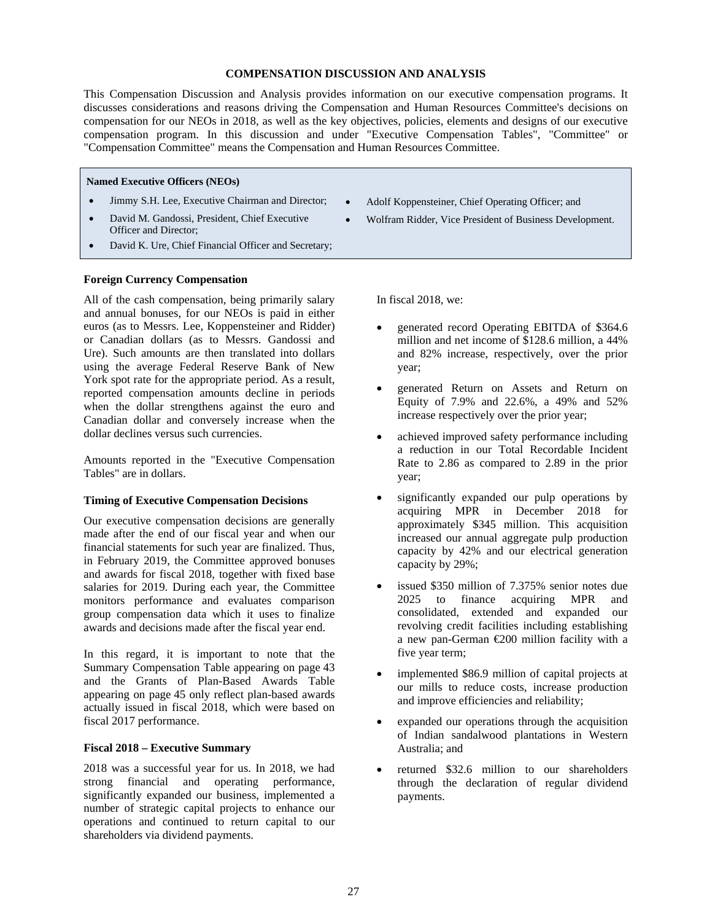#### **COMPENSATION DISCUSSION AND ANALYSIS**

This Compensation Discussion and Analysis provides information on our executive compensation programs. It discusses considerations and reasons driving the Compensation and Human Resources Committee's decisions on compensation for our NEOs in 2018, as well as the key objectives, policies, elements and designs of our executive compensation program. In this discussion and under "Executive Compensation Tables", "Committee" or "Compensation Committee" means the Compensation and Human Resources Committee.

#### **Named Executive Officers (NEOs)**

- Jimmy S.H. Lee, Executive Chairman and Director;
- David M. Gandossi, President, Chief Executive Officer and Director;
- David K. Ure, Chief Financial Officer and Secretary;

#### **Foreign Currency Compensation**

All of the cash compensation, being primarily salary and annual bonuses, for our NEOs is paid in either euros (as to Messrs. Lee, Koppensteiner and Ridder) or Canadian dollars (as to Messrs. Gandossi and Ure). Such amounts are then translated into dollars using the average Federal Reserve Bank of New York spot rate for the appropriate period. As a result, reported compensation amounts decline in periods when the dollar strengthens against the euro and Canadian dollar and conversely increase when the dollar declines versus such currencies.

Amounts reported in the "Executive Compensation Tables" are in dollars.

## **Timing of Executive Compensation Decisions**

Our executive compensation decisions are generally made after the end of our fiscal year and when our financial statements for such year are finalized. Thus, in February 2019, the Committee approved bonuses and awards for fiscal 2018, together with fixed base salaries for 2019. During each year, the Committee monitors performance and evaluates comparison group compensation data which it uses to finalize awards and decisions made after the fiscal year end.

In this regard, it is important to note that the Summary Compensation Table appearing on page 43 and the Grants of Plan-Based Awards Table appearing on page 45 only reflect plan-based awards actually issued in fiscal 2018, which were based on fiscal 2017 performance.

## **Fiscal 2018 – Executive Summary**

2018 was a successful year for us. In 2018, we had strong financial and operating performance, significantly expanded our business, implemented a number of strategic capital projects to enhance our operations and continued to return capital to our shareholders via dividend payments.

- Adolf Koppensteiner, Chief Operating Officer; and
- Wolfram Ridder, Vice President of Business Development.

In fiscal 2018, we:

- generated record Operating EBITDA of \$364.6 million and net income of \$128.6 million, a 44% and 82% increase, respectively, over the prior year;
- generated Return on Assets and Return on Equity of 7.9% and 22.6%, a 49% and 52% increase respectively over the prior year;
- achieved improved safety performance including a reduction in our Total Recordable Incident Rate to 2.86 as compared to 2.89 in the prior year;
- significantly expanded our pulp operations by acquiring MPR in December 2018 for approximately \$345 million. This acquisition increased our annual aggregate pulp production capacity by 42% and our electrical generation capacity by 29%;
- issued \$350 million of 7.375% senior notes due 2025 to finance acquiring MPR and consolidated, extended and expanded our revolving credit facilities including establishing a new pan-German €200 million facility with a five year term;
- implemented \$86.9 million of capital projects at our mills to reduce costs, increase production and improve efficiencies and reliability;
- expanded our operations through the acquisition of Indian sandalwood plantations in Western Australia; and
- returned \$32.6 million to our shareholders through the declaration of regular dividend payments.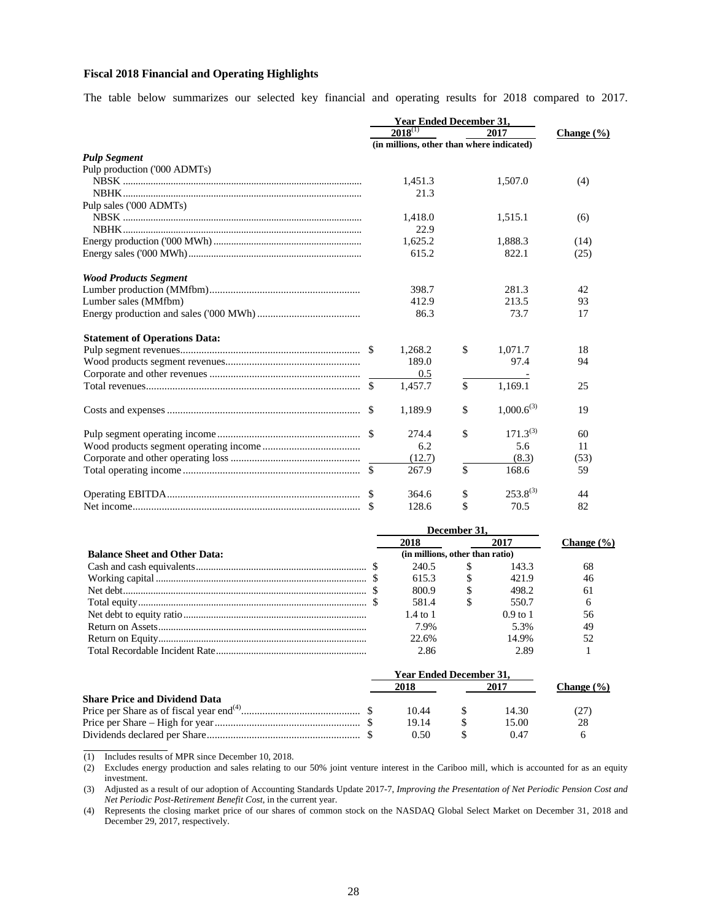# **Fiscal 2018 Financial and Operating Highlights**

The table below summarizes our selected key financial and operating results for 2018 compared to 2017.

|                                      |                                           | <b>Year Ended December 31,</b> |    |                 |                |  |
|--------------------------------------|-------------------------------------------|--------------------------------|----|-----------------|----------------|--|
|                                      |                                           | $2018^{(1)}$                   |    | 2017            | Change $(\% )$ |  |
|                                      | (in millions, other than where indicated) |                                |    |                 |                |  |
| <b>Pulp Segment</b>                  |                                           |                                |    |                 |                |  |
| Pulp production ('000 ADMTs)         |                                           |                                |    |                 |                |  |
|                                      |                                           | 1,451.3                        |    | 1,507.0         | (4)            |  |
|                                      |                                           | 21.3                           |    |                 |                |  |
| Pulp sales ('000 ADMTs)              |                                           |                                |    |                 |                |  |
|                                      |                                           | 1.418.0                        |    | 1.515.1         | (6)            |  |
|                                      |                                           | 22.9                           |    |                 |                |  |
|                                      |                                           | 1,625.2                        |    | 1,888.3         | (14)           |  |
|                                      |                                           | 615.2                          |    | 822.1           | (25)           |  |
| <b>Wood Products Segment</b>         |                                           |                                |    |                 |                |  |
|                                      |                                           | 398.7                          |    | 281.3           | 42             |  |
| Lumber sales (MMfbm)                 |                                           | 412.9                          |    | 213.5           | 93             |  |
|                                      |                                           | 86.3                           |    | 73.7            | 17             |  |
| <b>Statement of Operations Data:</b> |                                           |                                |    |                 |                |  |
|                                      |                                           | 1,268.2                        | \$ | 1,071.7         | 18             |  |
|                                      |                                           | 189.0                          |    | 97.4            | 94             |  |
|                                      |                                           | 0.5                            |    |                 |                |  |
|                                      |                                           | 1,457.7                        | \$ | 1,169.1         | 25             |  |
|                                      |                                           | 1,189.9                        | \$ | $1,000.6^{(3)}$ | 19             |  |
|                                      |                                           | 274.4                          | \$ | $171.3^{(3)}$   | 60             |  |
|                                      |                                           | 6.2                            |    | 5.6             | 11             |  |
|                                      |                                           | (12.7)                         |    | (8.3)           | (53)           |  |
|                                      |                                           | 267.9                          | \$ | 168.6           | 59             |  |
|                                      |                                           | 364.6                          | \$ | $253.8^{(3)}$   | 44             |  |
|                                      |                                           | 128.6                          | \$ | 70.5            | 82             |  |
|                                      |                                           |                                |    |                 |                |  |

|                                      | December 31.                    |   |            |                |
|--------------------------------------|---------------------------------|---|------------|----------------|
|                                      | 2018                            |   | 2017       | Change $(\% )$ |
| <b>Balance Sheet and Other Data:</b> | (in millions, other than ratio) |   |            |                |
|                                      | 240.5                           |   | 143.3      | 68             |
|                                      | 615.3                           | S | 421.9      | 46             |
|                                      | 800.9                           |   | 498.2      | 61             |
|                                      | 581.4                           |   | 550.7      |                |
|                                      | $1.4 \text{ to } 1$             |   | $0.9$ to 1 | 56             |
|                                      | 7.9%                            |   | 5.3%       | 49             |
|                                      | 22.6%                           |   | 14.9%      |                |
|                                      | 2.86                            |   | 2.89       |                |

|                                      |      | <b>Year Ended December 31,</b> |      |       |                |  |
|--------------------------------------|------|--------------------------------|------|-------|----------------|--|
|                                      | 2018 |                                | 2017 |       | Change $(\% )$ |  |
| <b>Share Price and Dividend Data</b> |      |                                |      |       |                |  |
|                                      |      | 10.44                          |      | 14.30 | CZ 1           |  |
|                                      |      | 19.14                          |      | 15.00 | 28             |  |
|                                      |      | 0.50                           |      | (147) |                |  |

(1) Includes results of MPR since December 10, 2018.

 $\overline{a}$ 

(2) Excludes energy production and sales relating to our 50% joint venture interest in the Cariboo mill, which is accounted for as an equity investment.

(3) Adjusted as a result of our adoption of Accounting Standards Update 2017-7, *Improving the Presentation of Net Periodic Pension Cost and Net Periodic Post-Retirement Benefit Cost*, in the current year.

(4) Represents the closing market price of our shares of common stock on the NASDAQ Global Select Market on December 31, 2018 and December 29, 2017, respectively.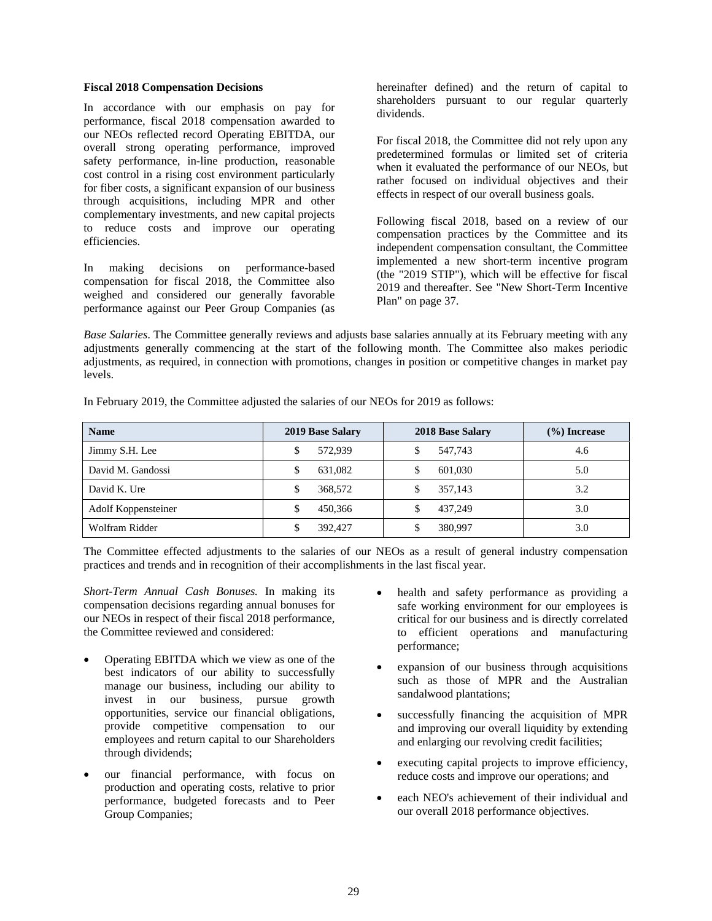#### **Fiscal 2018 Compensation Decisions**

In accordance with our emphasis on pay for performance, fiscal 2018 compensation awarded to our NEOs reflected record Operating EBITDA, our overall strong operating performance, improved safety performance, in-line production, reasonable cost control in a rising cost environment particularly for fiber costs, a significant expansion of our business through acquisitions, including MPR and other complementary investments, and new capital projects to reduce costs and improve our operating efficiencies.

In making decisions on performance-based compensation for fiscal 2018, the Committee also weighed and considered our generally favorable performance against our Peer Group Companies (as

hereinafter defined) and the return of capital to shareholders pursuant to our regular quarterly dividends.

For fiscal 2018, the Committee did not rely upon any predetermined formulas or limited set of criteria when it evaluated the performance of our NEOs, but rather focused on individual objectives and their effects in respect of our overall business goals.

Following fiscal 2018, based on a review of our compensation practices by the Committee and its independent compensation consultant, the Committee implemented a new short-term incentive program (the "2019 STIP"), which will be effective for fiscal 2019 and thereafter. See "New Short-Term Incentive Plan" on page 37.

*Base Salaries*. The Committee generally reviews and adjusts base salaries annually at its February meeting with any adjustments generally commencing at the start of the following month. The Committee also makes periodic adjustments, as required, in connection with promotions, changes in position or competitive changes in market pay levels.

| <b>Name</b>         | 2019 Base Salary | 2018 Base Salary | $(\%)$ Increase |
|---------------------|------------------|------------------|-----------------|
| Jimmy S.H. Lee      | 572,939          | 547,743          | 4.6             |
| David M. Gandossi   | 631,082          | 601,030          | 5.0             |
| David K. Ure        | 368,572          | 357,143          | 3.2             |
| Adolf Koppensteiner | 450,366          | 437.249          | 3.0             |
| Wolfram Ridder      | 392,427          | 380,997          | 3.0             |

In February 2019, the Committee adjusted the salaries of our NEOs for 2019 as follows:

The Committee effected adjustments to the salaries of our NEOs as a result of general industry compensation practices and trends and in recognition of their accomplishments in the last fiscal year.

*Short-Term Annual Cash Bonuses.* In making its compensation decisions regarding annual bonuses for our NEOs in respect of their fiscal 2018 performance, the Committee reviewed and considered:

- Operating EBITDA which we view as one of the best indicators of our ability to successfully manage our business, including our ability to invest in our business, pursue growth opportunities, service our financial obligations, provide competitive compensation to our employees and return capital to our Shareholders through dividends;
- our financial performance, with focus on production and operating costs, relative to prior performance, budgeted forecasts and to Peer Group Companies;
- health and safety performance as providing a safe working environment for our employees is critical for our business and is directly correlated to efficient operations and manufacturing performance;
- expansion of our business through acquisitions such as those of MPR and the Australian sandalwood plantations;
- successfully financing the acquisition of MPR and improving our overall liquidity by extending and enlarging our revolving credit facilities;
- executing capital projects to improve efficiency, reduce costs and improve our operations; and
- each NEO's achievement of their individual and our overall 2018 performance objectives.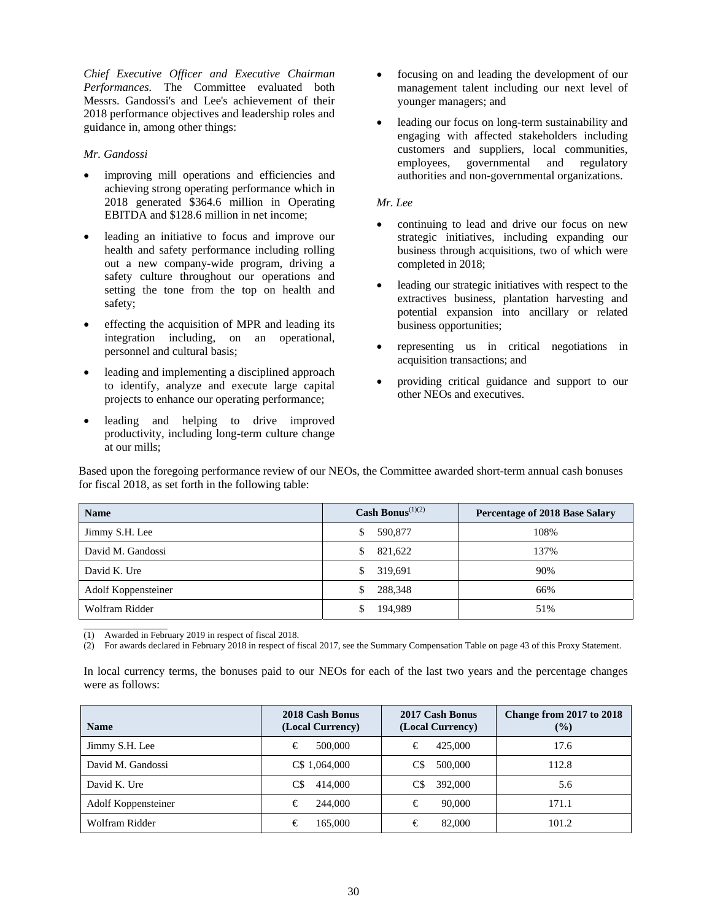*Chief Executive Officer and Executive Chairman Performances.* The Committee evaluated both Messrs. Gandossi's and Lee's achievement of their 2018 performance objectives and leadership roles and guidance in, among other things:

# *Mr. Gandossi*

- improving mill operations and efficiencies and achieving strong operating performance which in 2018 generated \$364.6 million in Operating EBITDA and \$128.6 million in net income;
- leading an initiative to focus and improve our health and safety performance including rolling out a new company-wide program, driving a safety culture throughout our operations and setting the tone from the top on health and safety;
- effecting the acquisition of MPR and leading its integration including, on an operational, personnel and cultural basis;
- leading and implementing a disciplined approach to identify, analyze and execute large capital projects to enhance our operating performance;
- leading and helping to drive improved productivity, including long-term culture change at our mills;
- focusing on and leading the development of our management talent including our next level of younger managers; and
- leading our focus on long-term sustainability and engaging with affected stakeholders including customers and suppliers, local communities, employees, governmental and regulatory authorities and non-governmental organizations.

# *Mr. Lee*

- continuing to lead and drive our focus on new strategic initiatives, including expanding our business through acquisitions, two of which were completed in 2018;
- leading our strategic initiatives with respect to the extractives business, plantation harvesting and potential expansion into ancillary or related business opportunities;
- representing us in critical negotiations in acquisition transactions; and
- providing critical guidance and support to our other NEOs and executives.

Based upon the foregoing performance review of our NEOs, the Committee awarded short-term annual cash bonuses for fiscal 2018, as set forth in the following table:

| <b>Name</b>         | Cash Bonus <sup><math>(1)(2)</math></sup> | <b>Percentage of 2018 Base Salary</b> |
|---------------------|-------------------------------------------|---------------------------------------|
| Jimmy S.H. Lee      | 590,877<br>S                              | 108%                                  |
| David M. Gandossi   | 821,622<br>S.                             | 137%                                  |
| David K. Ure        | 319.691<br>\$                             | 90%                                   |
| Adolf Koppensteiner | 288.348<br>\$.                            | 66%                                   |
| Wolfram Ridder      | 194.989                                   | 51%                                   |

 $\overline{a}$ (1) Awarded in February 2019 in respect of fiscal 2018.

(2) For awards declared in February 2018 in respect of fiscal 2017, see the Summary Compensation Table on page 43 of this Proxy Statement.

In local currency terms, the bonuses paid to our NEOs for each of the last two years and the percentage changes were as follows:

| <b>Name</b>         | 2018 Cash Bonus<br>(Local Currency) | 2017 Cash Bonus<br>(Local Currency) | Change from 2017 to 2018<br>$($ %) |
|---------------------|-------------------------------------|-------------------------------------|------------------------------------|
| Jimmy S.H. Lee      | €<br>500,000                        | €<br>425,000                        | 17.6                               |
| David M. Gandossi   | C\$ 1,064,000                       | 500,000<br>C\$                      | 112.8                              |
| David K. Ure        | C\$<br>414,000                      | 392,000<br>C\$                      | 5.6                                |
| Adolf Koppensteiner | €<br>244,000                        | €<br>90,000                         | 171.1                              |
| Wolfram Ridder      | 165,000<br>€                        | €<br>82,000                         | 101.2                              |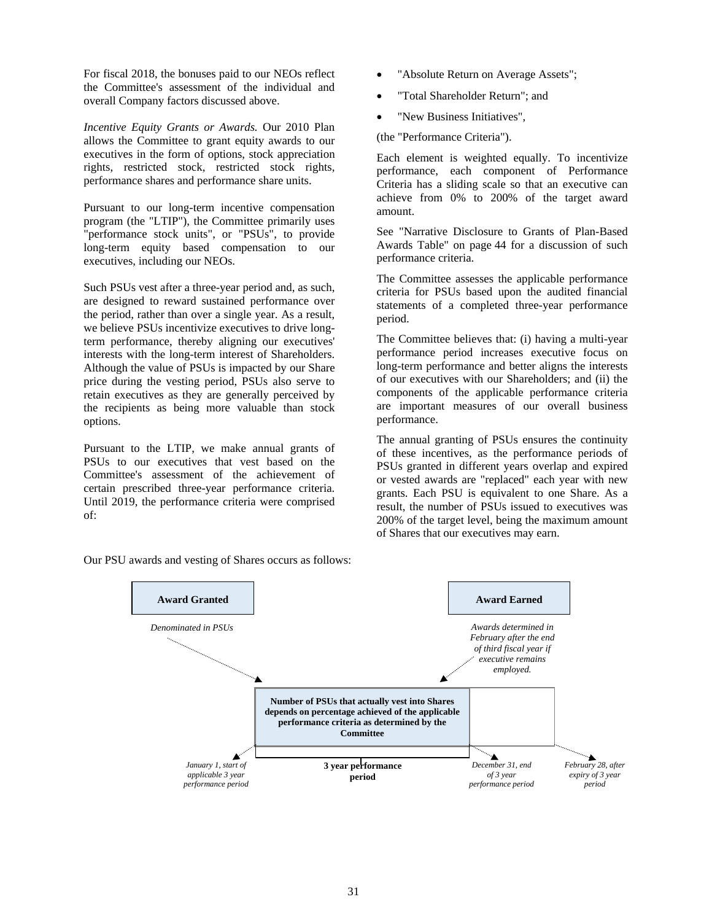For fiscal 2018, the bonuses paid to our NEOs reflect the Committee's assessment of the individual and overall Company factors discussed above.

*Incentive Equity Grants or Awards.* Our 2010 Plan allows the Committee to grant equity awards to our executives in the form of options, stock appreciation rights, restricted stock, restricted stock rights, performance shares and performance share units.

Pursuant to our long-term incentive compensation program (the "LTIP"), the Committee primarily uses "performance stock units", or "PSUs", to provide long-term equity based compensation to our executives, including our NEOs.

Such PSUs vest after a three-year period and, as such, are designed to reward sustained performance over the period, rather than over a single year. As a result, we believe PSUs incentivize executives to drive longterm performance, thereby aligning our executives' interests with the long-term interest of Shareholders. Although the value of PSUs is impacted by our Share price during the vesting period, PSUs also serve to retain executives as they are generally perceived by the recipients as being more valuable than stock options.

Pursuant to the LTIP, we make annual grants of PSUs to our executives that vest based on the Committee's assessment of the achievement of certain prescribed three-year performance criteria. Until 2019, the performance criteria were comprised of:

- "Absolute Return on Average Assets";
- "Total Shareholder Return"; and
- "New Business Initiatives",

(the "Performance Criteria").

Each element is weighted equally. To incentivize performance, each component of Performance Criteria has a sliding scale so that an executive can achieve from 0% to 200% of the target award amount.

See "Narrative Disclosure to Grants of Plan-Based Awards Table" on page 44 for a discussion of such performance criteria.

The Committee assesses the applicable performance criteria for PSUs based upon the audited financial statements of a completed three-year performance period.

The Committee believes that: (i) having a multi-year performance period increases executive focus on long-term performance and better aligns the interests of our executives with our Shareholders; and (ii) the components of the applicable performance criteria are important measures of our overall business performance.

The annual granting of PSUs ensures the continuity of these incentives, as the performance periods of PSUs granted in different years overlap and expired or vested awards are "replaced" each year with new grants. Each PSU is equivalent to one Share. As a result, the number of PSUs issued to executives was 200% of the target level, being the maximum amount of Shares that our executives may earn.



Our PSU awards and vesting of Shares occurs as follows: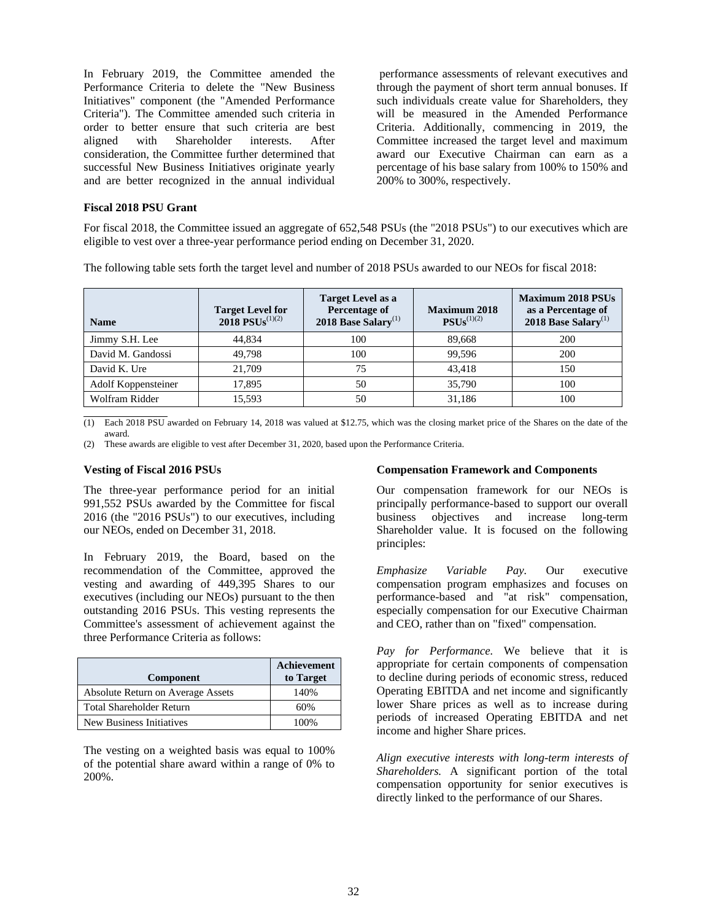In February 2019, the Committee amended the Performance Criteria to delete the "New Business Initiatives" component (the "Amended Performance Criteria"). The Committee amended such criteria in order to better ensure that such criteria are best aligned with Shareholder interests. After consideration, the Committee further determined that successful New Business Initiatives originate yearly and are better recognized in the annual individual

 performance assessments of relevant executives and through the payment of short term annual bonuses. If such individuals create value for Shareholders, they will be measured in the Amended Performance Criteria. Additionally, commencing in 2019, the Committee increased the target level and maximum award our Executive Chairman can earn as a percentage of his base salary from 100% to 150% and 200% to 300%, respectively.

## **Fiscal 2018 PSU Grant**

For fiscal 2018, the Committee issued an aggregate of 652,548 PSUs (the "2018 PSUs") to our executives which are eligible to vest over a three-year performance period ending on December 31, 2020.

The following table sets forth the target level and number of 2018 PSUs awarded to our NEOs for fiscal 2018:

| <b>Name</b>         | <b>Target Level for</b><br>$2018$ PSUs <sup>(1)(2)</sup> | <b>Target Level as a</b><br><b>Percentage of</b><br>2018 Base Salary <sup>(1)</sup> | <b>Maximum 2018</b><br>$PSUs^{(1)(2)}$ | <b>Maximum 2018 PSUs</b><br>as a Percentage of<br>2018 Base Salary <sup>(1)</sup> |
|---------------------|----------------------------------------------------------|-------------------------------------------------------------------------------------|----------------------------------------|-----------------------------------------------------------------------------------|
| Jimmy S.H. Lee      | 44.834                                                   | 100                                                                                 | 89,668                                 | 200                                                                               |
| David M. Gandossi   | 49.798                                                   | 100                                                                                 | 99.596                                 | 200                                                                               |
| David K. Ure        | 21.709                                                   | 75                                                                                  | 43.418                                 | 150                                                                               |
| Adolf Koppensteiner | 17,895                                                   | 50                                                                                  | 35,790                                 | 100                                                                               |
| Wolfram Ridder      | 15,593                                                   | 50                                                                                  | 31,186                                 | 100                                                                               |

 $\overline{(1)}$  Each 2018 PSU awarded on February 14, 2018 was valued at \$12.75, which was the closing market price of the Shares on the date of the award.

(2) These awards are eligible to vest after December 31, 2020, based upon the Performance Criteria.

#### **Vesting of Fiscal 2016 PSUs**

The three-year performance period for an initial 991,552 PSUs awarded by the Committee for fiscal 2016 (the "2016 PSUs") to our executives, including our NEOs, ended on December 31, 2018.

In February 2019, the Board, based on the recommendation of the Committee, approved the vesting and awarding of 449,395 Shares to our executives (including our NEOs) pursuant to the then outstanding 2016 PSUs. This vesting represents the Committee's assessment of achievement against the three Performance Criteria as follows:

| Component                         | <b>Achievement</b><br>to Target |
|-----------------------------------|---------------------------------|
| Absolute Return on Average Assets | 140%                            |
| <b>Total Shareholder Return</b>   | 60%                             |
| New Business Initiatives          | 100%                            |

The vesting on a weighted basis was equal to 100% of the potential share award within a range of 0% to 200%.

#### **Compensation Framework and Components**

Our compensation framework for our NEOs is principally performance-based to support our overall business objectives and increase long-term Shareholder value. It is focused on the following principles:

*Emphasize Variable Pay.* Our executive compensation program emphasizes and focuses on performance-based and "at risk" compensation, especially compensation for our Executive Chairman and CEO, rather than on "fixed" compensation.

*Pay for Performance.* We believe that it is appropriate for certain components of compensation to decline during periods of economic stress, reduced Operating EBITDA and net income and significantly lower Share prices as well as to increase during periods of increased Operating EBITDA and net income and higher Share prices.

*Align executive interests with long-term interests of Shareholders.* A significant portion of the total compensation opportunity for senior executives is directly linked to the performance of our Shares.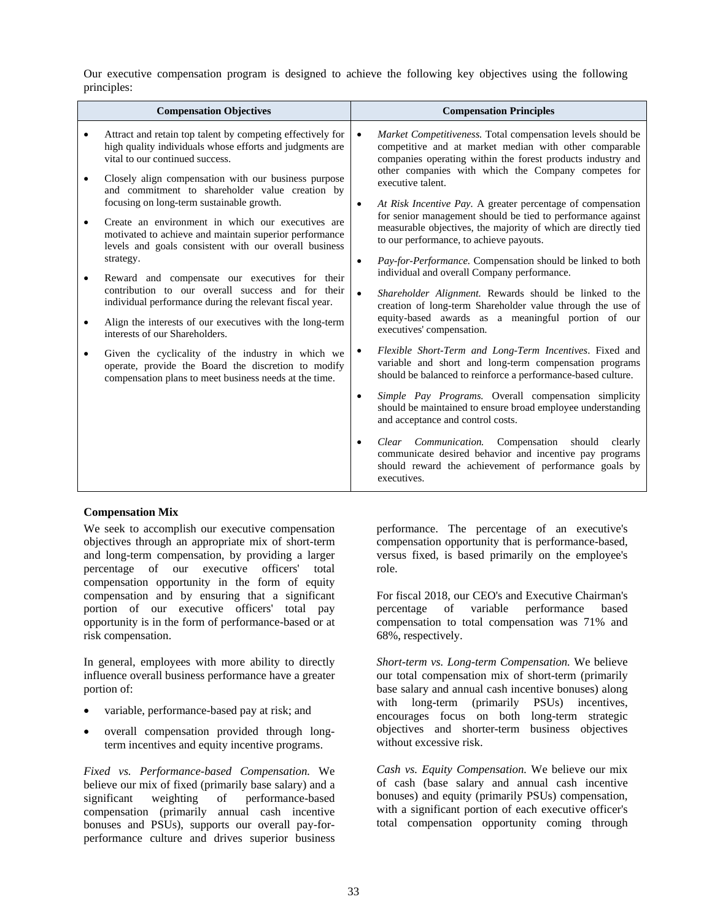Our executive compensation program is designed to achieve the following key objectives using the following principles:

| <b>Compensation Objectives</b>                                                                                                                                                                                                                                                                                                                                                                                                                                                                                                                                                                                                                                                                                                                                                                                                                                                                                                                                                                                             | <b>Compensation Principles</b>                                                                                                                                                                                                                                                                                                                                                                                                                                                                                                                                                                                                                                                                                                                                                                                                                                                                                                                                                                                                                                                                                                                                                                                                                                                                                                                                                                                                                                   |
|----------------------------------------------------------------------------------------------------------------------------------------------------------------------------------------------------------------------------------------------------------------------------------------------------------------------------------------------------------------------------------------------------------------------------------------------------------------------------------------------------------------------------------------------------------------------------------------------------------------------------------------------------------------------------------------------------------------------------------------------------------------------------------------------------------------------------------------------------------------------------------------------------------------------------------------------------------------------------------------------------------------------------|------------------------------------------------------------------------------------------------------------------------------------------------------------------------------------------------------------------------------------------------------------------------------------------------------------------------------------------------------------------------------------------------------------------------------------------------------------------------------------------------------------------------------------------------------------------------------------------------------------------------------------------------------------------------------------------------------------------------------------------------------------------------------------------------------------------------------------------------------------------------------------------------------------------------------------------------------------------------------------------------------------------------------------------------------------------------------------------------------------------------------------------------------------------------------------------------------------------------------------------------------------------------------------------------------------------------------------------------------------------------------------------------------------------------------------------------------------------|
| Attract and retain top talent by competing effectively for<br>$\bullet$<br>high quality individuals whose efforts and judgments are<br>vital to our continued success.<br>Closely align compensation with our business purpose<br>$\bullet$<br>and commitment to shareholder value creation by<br>focusing on long-term sustainable growth.<br>Create an environment in which our executives are<br>$\bullet$<br>motivated to achieve and maintain superior performance<br>levels and goals consistent with our overall business<br>strategy.<br>Reward and compensate our executives for their<br>$\bullet$<br>contribution to our overall success and for their<br>individual performance during the relevant fiscal year.<br>Align the interests of our executives with the long-term<br>$\bullet$<br>interests of our Shareholders.<br>Given the cyclicality of the industry in which we<br>$\bullet$<br>operate, provide the Board the discretion to modify<br>compensation plans to meet business needs at the time. | <i>Market Competitiveness.</i> Total compensation levels should be<br>$\bullet$<br>competitive and at market median with other comparable<br>companies operating within the forest products industry and<br>other companies with which the Company competes for<br>executive talent.<br>At Risk Incentive Pay. A greater percentage of compensation<br>$\bullet$<br>for senior management should be tied to performance against<br>measurable objectives, the majority of which are directly tied<br>to our performance, to achieve payouts.<br>Pay-for-Performance. Compensation should be linked to both<br>$\bullet$<br>individual and overall Company performance.<br>Shareholder Alignment. Rewards should be linked to the<br>$\bullet$<br>creation of long-term Shareholder value through the use of<br>equity-based awards as a meaningful portion of our<br>executives' compensation.<br>Flexible Short-Term and Long-Term Incentives. Fixed and<br>variable and short and long-term compensation programs<br>should be balanced to reinforce a performance-based culture.<br>Simple Pay Programs. Overall compensation simplicity<br>$\bullet$<br>should be maintained to ensure broad employee understanding<br>and acceptance and control costs.<br>Clear Communication. Compensation should clearly<br>$\bullet$<br>communicate desired behavior and incentive pay programs<br>should reward the achievement of performance goals by<br>executives. |

# **Compensation Mix**

We seek to accomplish our executive compensation objectives through an appropriate mix of short-term and long-term compensation, by providing a larger percentage of our executive officers' total compensation opportunity in the form of equity compensation and by ensuring that a significant portion of our executive officers' total pay opportunity is in the form of performance-based or at risk compensation.

In general, employees with more ability to directly influence overall business performance have a greater portion of:

- variable, performance-based pay at risk; and
- overall compensation provided through longterm incentives and equity incentive programs.

*Fixed vs. Performance-based Compensation.* We believe our mix of fixed (primarily base salary) and a significant weighting of performance-based compensation (primarily annual cash incentive bonuses and PSUs), supports our overall pay-forperformance culture and drives superior business

performance. The percentage of an executive's compensation opportunity that is performance-based, versus fixed, is based primarily on the employee's role.

For fiscal 2018, our CEO's and Executive Chairman's percentage of variable performance based compensation to total compensation was 71% and 68%, respectively.

*Short-term vs. Long-term Compensation.* We believe our total compensation mix of short-term (primarily base salary and annual cash incentive bonuses) along with long-term (primarily PSUs) incentives, encourages focus on both long-term strategic objectives and shorter-term business objectives without excessive risk.

*Cash vs. Equity Compensation.* We believe our mix of cash (base salary and annual cash incentive bonuses) and equity (primarily PSUs) compensation, with a significant portion of each executive officer's total compensation opportunity coming through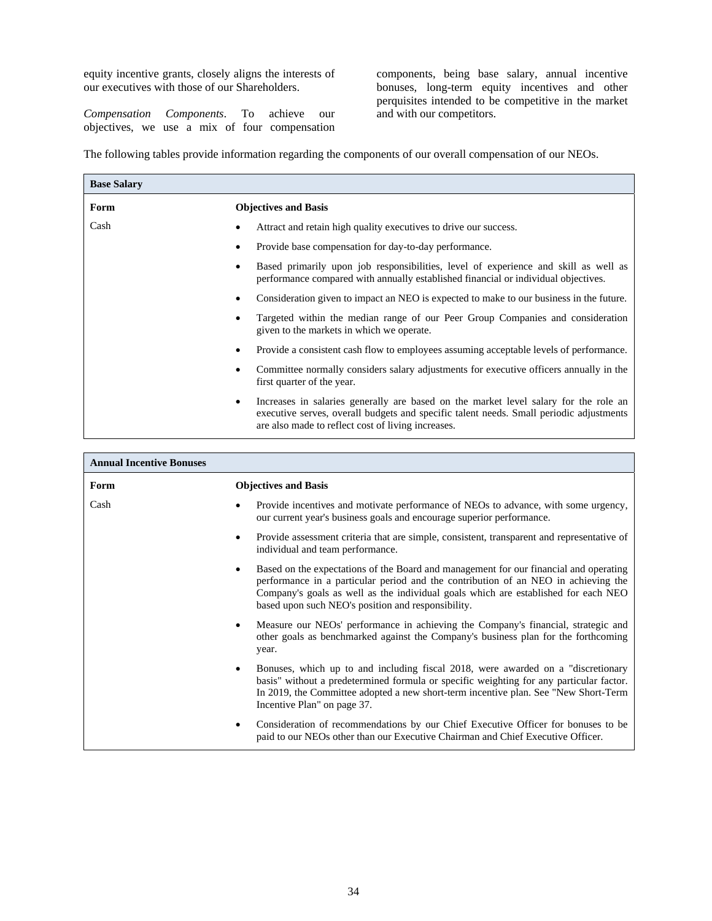equity incentive grants, closely aligns the interests of our executives with those of our Shareholders.

*Compensation Components*. To achieve our objectives, we use a mix of four compensation components, being base salary, annual incentive bonuses, long-term equity incentives and other perquisites intended to be competitive in the market and with our competitors.

The following tables provide information regarding the components of our overall compensation of our NEOs.

| <b>Base Salary</b> |                                                                                                                                                                                                                                                     |
|--------------------|-----------------------------------------------------------------------------------------------------------------------------------------------------------------------------------------------------------------------------------------------------|
| Form               | <b>Objectives and Basis</b>                                                                                                                                                                                                                         |
| Cash               | Attract and retain high quality executives to drive our success.                                                                                                                                                                                    |
|                    | Provide base compensation for day-to-day performance.                                                                                                                                                                                               |
|                    | Based primarily upon job responsibilities, level of experience and skill as well as<br>performance compared with annually established financial or individual objectives.                                                                           |
|                    | Consideration given to impact an NEO is expected to make to our business in the future.                                                                                                                                                             |
|                    | Targeted within the median range of our Peer Group Companies and consideration<br>given to the markets in which we operate.                                                                                                                         |
|                    | Provide a consistent cash flow to employees assuming acceptable levels of performance.                                                                                                                                                              |
|                    | Committee normally considers salary adjustments for executive officers annually in the<br>first quarter of the year.                                                                                                                                |
|                    | Increases in salaries generally are based on the market level salary for the role and<br>$\bullet$<br>executive serves, overall budgets and specific talent needs. Small periodic adjustments<br>are also made to reflect cost of living increases. |

| <b>Annual Incentive Bonuses</b> |                                                                                                                                                                                                                                                                                                                         |
|---------------------------------|-------------------------------------------------------------------------------------------------------------------------------------------------------------------------------------------------------------------------------------------------------------------------------------------------------------------------|
| Form                            | <b>Objectives and Basis</b>                                                                                                                                                                                                                                                                                             |
| Cash                            | Provide incentives and motivate performance of NEOs to advance, with some urgency,<br>our current year's business goals and encourage superior performance.                                                                                                                                                             |
|                                 | Provide assessment criteria that are simple, consistent, transparent and representative of<br>individual and team performance.                                                                                                                                                                                          |
|                                 | Based on the expectations of the Board and management for our financial and operating<br>performance in a particular period and the contribution of an NEO in achieving the<br>Company's goals as well as the individual goals which are established for each NEO<br>based upon such NEO's position and responsibility. |
|                                 | Measure our NEOs' performance in achieving the Company's financial, strategic and<br>other goals as benchmarked against the Company's business plan for the forthcoming<br>year.                                                                                                                                        |
|                                 | Bonuses, which up to and including fiscal 2018, were awarded on a "discretionary"<br>$\bullet$<br>basis" without a predetermined formula or specific weighting for any particular factor.<br>In 2019, the Committee adopted a new short-term incentive plan. See "New Short-Term<br>Incentive Plan" on page 37.         |
|                                 | Consideration of recommendations by our Chief Executive Officer for bonuses to be<br>$\bullet$<br>paid to our NEOs other than our Executive Chairman and Chief Executive Officer.                                                                                                                                       |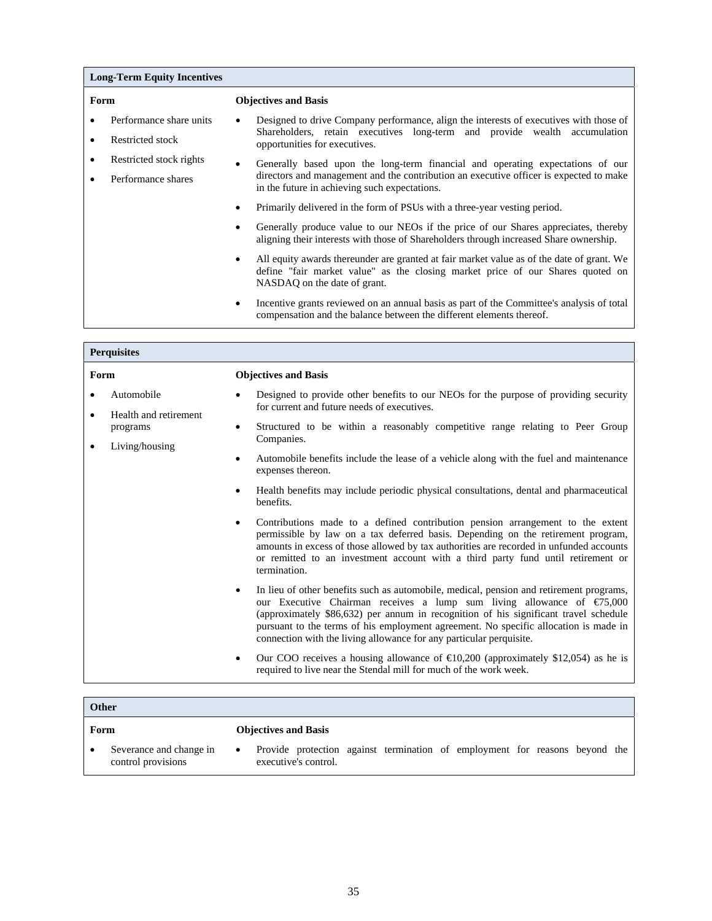|      | <b>Long-Term Equity Incentives</b> |           |                                                                                                                                                                                                             |
|------|------------------------------------|-----------|-------------------------------------------------------------------------------------------------------------------------------------------------------------------------------------------------------------|
| Form |                                    |           | <b>Objectives and Basis</b>                                                                                                                                                                                 |
|      | Performance share units            |           | Designed to drive Company performance, align the interests of executives with those of                                                                                                                      |
|      | Restricted stock                   |           | Shareholders, retain executives long-term and provide wealth accumulation<br>opportunities for executives.                                                                                                  |
|      | Restricted stock rights            | $\bullet$ | Generally based upon the long-term financial and operating expectations of our                                                                                                                              |
|      | Performance shares                 |           | directors and management and the contribution an executive officer is expected to make<br>in the future in achieving such expectations.                                                                     |
|      |                                    | $\bullet$ | Primarily delivered in the form of PSUs with a three-year vesting period.                                                                                                                                   |
|      |                                    |           | Generally produce value to our NEOs if the price of our Shares appreciates, thereby<br>aligning their interests with those of Shareholders through increased Share ownership.                               |
|      |                                    |           | All equity awards thereunder are granted at fair market value as of the date of grant. We<br>define "fair market value" as the closing market price of our Shares quoted on<br>NASDAQ on the date of grant. |
|      |                                    |           | Incentive grants reviewed on an annual basis as part of the Committee's analysis of total<br>compensation and the balance between the different elements thereof.                                           |

|                | <b>Perquisites</b>                                  |                                                                                                                                                                                                                                                                                                                                                                                                                                                 |
|----------------|-----------------------------------------------------|-------------------------------------------------------------------------------------------------------------------------------------------------------------------------------------------------------------------------------------------------------------------------------------------------------------------------------------------------------------------------------------------------------------------------------------------------|
| Form           |                                                     | <b>Objectives and Basis</b>                                                                                                                                                                                                                                                                                                                                                                                                                     |
| Automobile     |                                                     | Designed to provide other benefits to our NEOs for the purpose of providing security<br>for current and future needs of executives.                                                                                                                                                                                                                                                                                                             |
| $\bullet$<br>٠ | Health and retirement<br>programs<br>Living/housing | Structured to be within a reasonably competitive range relating to Peer Group<br>٠<br>Companies.                                                                                                                                                                                                                                                                                                                                                |
|                |                                                     | Automobile benefits include the lease of a vehicle along with the fuel and maintenance<br>$\bullet$<br>expenses thereon.                                                                                                                                                                                                                                                                                                                        |
|                |                                                     | Health benefits may include periodic physical consultations, dental and pharmaceutical<br>benefits.                                                                                                                                                                                                                                                                                                                                             |
|                |                                                     | Contributions made to a defined contribution pension arrangement to the extent<br>$\bullet$<br>permissible by law on a tax deferred basis. Depending on the retirement program,<br>amounts in excess of those allowed by tax authorities are recorded in unfunded accounts<br>or remitted to an investment account with a third party fund until retirement or<br>termination.                                                                  |
|                |                                                     | In lieu of other benefits such as automobile, medical, pension and retirement programs,<br>$\bullet$<br>our Executive Chairman receives a lump sum living allowance of $\epsilon$ 75,000<br>(approximately \$86,632) per annum in recognition of his significant travel schedule<br>pursuant to the terms of his employment agreement. No specific allocation is made in<br>connection with the living allowance for any particular perquisite. |
|                |                                                     | Our COO receives a housing allowance of $\text{E}10,200$ (approximately \$12,054) as he is<br>٠<br>required to live near the Stendal mill for much of the work week.                                                                                                                                                                                                                                                                            |

|      | Other                                         |           |                                                                                                     |  |  |  |
|------|-----------------------------------------------|-----------|-----------------------------------------------------------------------------------------------------|--|--|--|
| Form |                                               |           | <b>Objectives and Basis</b>                                                                         |  |  |  |
|      | Severance and change in<br>control provisions | $\bullet$ | Provide protection against termination of employment for reasons beyond the<br>executive's control. |  |  |  |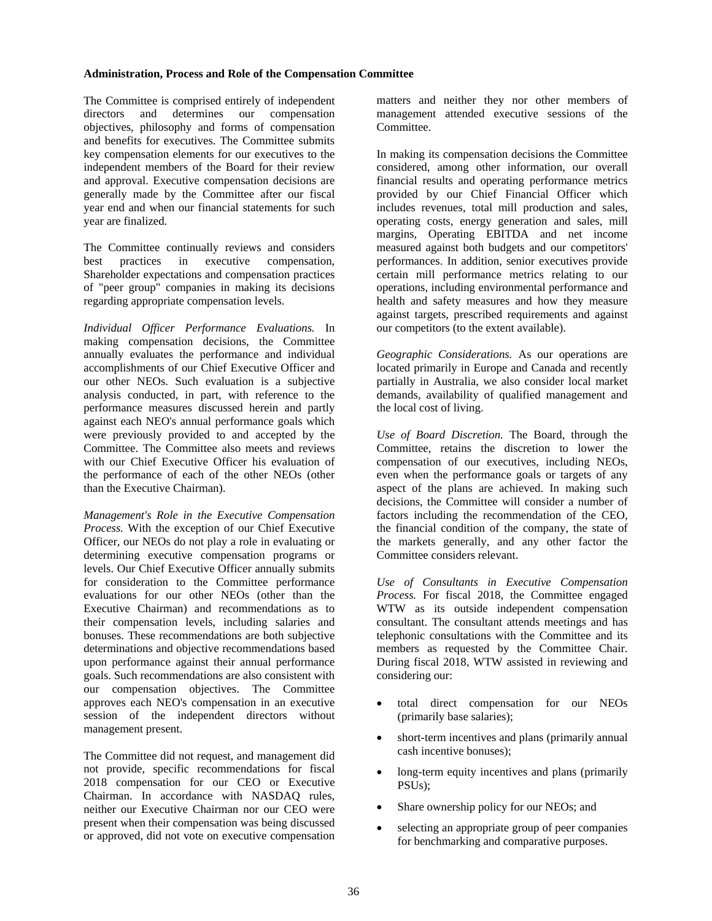#### **Administration, Process and Role of the Compensation Committee**

The Committee is comprised entirely of independent directors and determines our compensation objectives, philosophy and forms of compensation and benefits for executives. The Committee submits key compensation elements for our executives to the independent members of the Board for their review and approval. Executive compensation decisions are generally made by the Committee after our fiscal year end and when our financial statements for such year are finalized.

The Committee continually reviews and considers best practices in executive compensation, Shareholder expectations and compensation practices of "peer group" companies in making its decisions regarding appropriate compensation levels.

*Individual Officer Performance Evaluations.* In making compensation decisions, the Committee annually evaluates the performance and individual accomplishments of our Chief Executive Officer and our other NEOs. Such evaluation is a subjective analysis conducted, in part, with reference to the performance measures discussed herein and partly against each NEO's annual performance goals which were previously provided to and accepted by the Committee. The Committee also meets and reviews with our Chief Executive Officer his evaluation of the performance of each of the other NEOs (other than the Executive Chairman).

*Management's Role in the Executive Compensation Process.* With the exception of our Chief Executive Officer, our NEOs do not play a role in evaluating or determining executive compensation programs or levels. Our Chief Executive Officer annually submits for consideration to the Committee performance evaluations for our other NEOs (other than the Executive Chairman) and recommendations as to their compensation levels, including salaries and bonuses. These recommendations are both subjective determinations and objective recommendations based upon performance against their annual performance goals. Such recommendations are also consistent with our compensation objectives. The Committee approves each NEO's compensation in an executive session of the independent directors without management present.

The Committee did not request, and management did not provide, specific recommendations for fiscal 2018 compensation for our CEO or Executive Chairman. In accordance with NASDAQ rules, neither our Executive Chairman nor our CEO were present when their compensation was being discussed or approved, did not vote on executive compensation

matters and neither they nor other members of management attended executive sessions of the **Committee** 

In making its compensation decisions the Committee considered, among other information, our overall financial results and operating performance metrics provided by our Chief Financial Officer which includes revenues, total mill production and sales, operating costs, energy generation and sales, mill margins, Operating EBITDA and net income measured against both budgets and our competitors' performances. In addition, senior executives provide certain mill performance metrics relating to our operations, including environmental performance and health and safety measures and how they measure against targets, prescribed requirements and against our competitors (to the extent available).

*Geographic Considerations.* As our operations are located primarily in Europe and Canada and recently partially in Australia, we also consider local market demands, availability of qualified management and the local cost of living.

*Use of Board Discretion.* The Board, through the Committee, retains the discretion to lower the compensation of our executives, including NEOs, even when the performance goals or targets of any aspect of the plans are achieved. In making such decisions, the Committee will consider a number of factors including the recommendation of the CEO, the financial condition of the company, the state of the markets generally, and any other factor the Committee considers relevant.

*Use of Consultants in Executive Compensation Process.* For fiscal 2018, the Committee engaged WTW as its outside independent compensation consultant. The consultant attends meetings and has telephonic consultations with the Committee and its members as requested by the Committee Chair. During fiscal 2018, WTW assisted in reviewing and considering our:

- total direct compensation for our NEOs (primarily base salaries);
- short-term incentives and plans (primarily annual cash incentive bonuses);
- long-term equity incentives and plans (primarily PSUs);
- Share ownership policy for our NEOs; and
- selecting an appropriate group of peer companies for benchmarking and comparative purposes.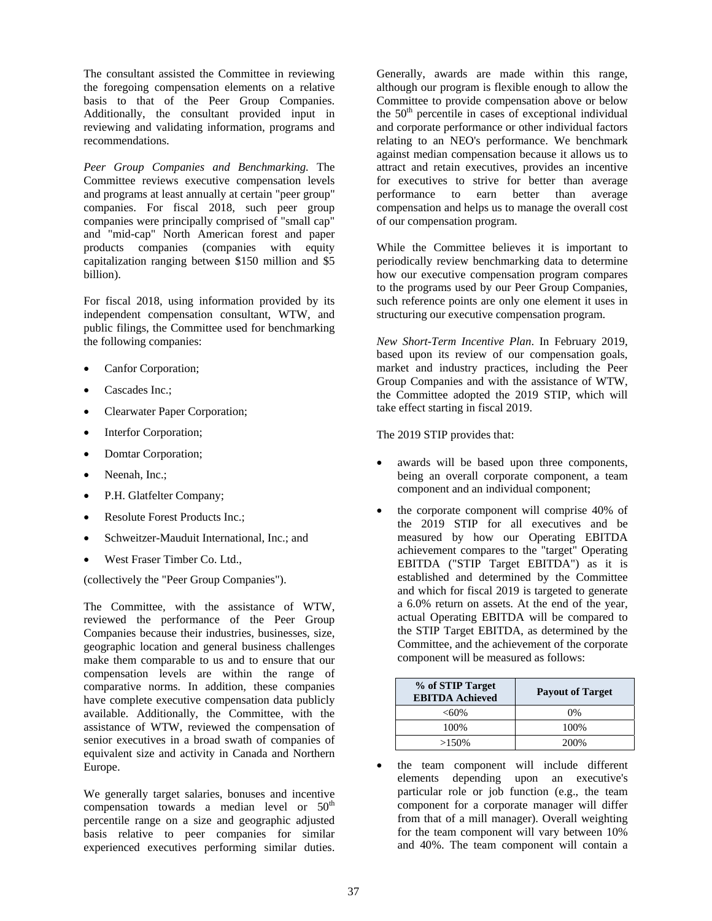The consultant assisted the Committee in reviewing the foregoing compensation elements on a relative basis to that of the Peer Group Companies. Additionally, the consultant provided input in reviewing and validating information, programs and recommendations.

*Peer Group Companies and Benchmarking.* The Committee reviews executive compensation levels and programs at least annually at certain "peer group" companies. For fiscal 2018, such peer group companies were principally comprised of "small cap" and "mid-cap" North American forest and paper products companies (companies with equity capitalization ranging between \$150 million and \$5 billion).

For fiscal 2018, using information provided by its independent compensation consultant, WTW, and public filings, the Committee used for benchmarking the following companies:

- Canfor Corporation;
- Cascades Inc.;
- Clearwater Paper Corporation;
- Interfor Corporation;
- Domtar Corporation;
- Neenah, Inc.;
- P.H. Glatfelter Company;
- Resolute Forest Products Inc.;
- Schweitzer-Mauduit International, Inc.; and
- West Fraser Timber Co. Ltd.,

(collectively the "Peer Group Companies").

The Committee, with the assistance of WTW, reviewed the performance of the Peer Group Companies because their industries, businesses, size, geographic location and general business challenges make them comparable to us and to ensure that our compensation levels are within the range of comparative norms. In addition, these companies have complete executive compensation data publicly available. Additionally, the Committee, with the assistance of WTW, reviewed the compensation of senior executives in a broad swath of companies of equivalent size and activity in Canada and Northern Europe.

We generally target salaries, bonuses and incentive compensation towards a median level or  $50<sup>th</sup>$ percentile range on a size and geographic adjusted basis relative to peer companies for similar experienced executives performing similar duties.

Generally, awards are made within this range, although our program is flexible enough to allow the Committee to provide compensation above or below the  $50<sup>th</sup>$  percentile in cases of exceptional individual and corporate performance or other individual factors relating to an NEO's performance. We benchmark against median compensation because it allows us to attract and retain executives, provides an incentive for executives to strive for better than average performance to earn better than average compensation and helps us to manage the overall cost of our compensation program.

While the Committee believes it is important to periodically review benchmarking data to determine how our executive compensation program compares to the programs used by our Peer Group Companies, such reference points are only one element it uses in structuring our executive compensation program.

*New Short-Term Incentive Plan*. In February 2019, based upon its review of our compensation goals, market and industry practices, including the Peer Group Companies and with the assistance of WTW, the Committee adopted the 2019 STIP, which will take effect starting in fiscal 2019.

The 2019 STIP provides that:

- awards will be based upon three components, being an overall corporate component, a team component and an individual component;
- the corporate component will comprise 40% of the 2019 STIP for all executives and be measured by how our Operating EBITDA achievement compares to the "target" Operating EBITDA ("STIP Target EBITDA") as it is established and determined by the Committee and which for fiscal 2019 is targeted to generate a 6.0% return on assets. At the end of the year, actual Operating EBITDA will be compared to the STIP Target EBITDA, as determined by the Committee, and the achievement of the corporate component will be measured as follows:

| % of STIP Target<br><b>EBITDA Achieved</b> | <b>Payout of Target</b> |
|--------------------------------------------|-------------------------|
| $< 60\%$                                   | $0\%$                   |
| 100%                                       | 100%                    |
| $>150\%$                                   | 200\%                   |

 the team component will include different elements depending upon an executive's particular role or job function (e.g., the team component for a corporate manager will differ from that of a mill manager). Overall weighting for the team component will vary between 10% and 40%. The team component will contain a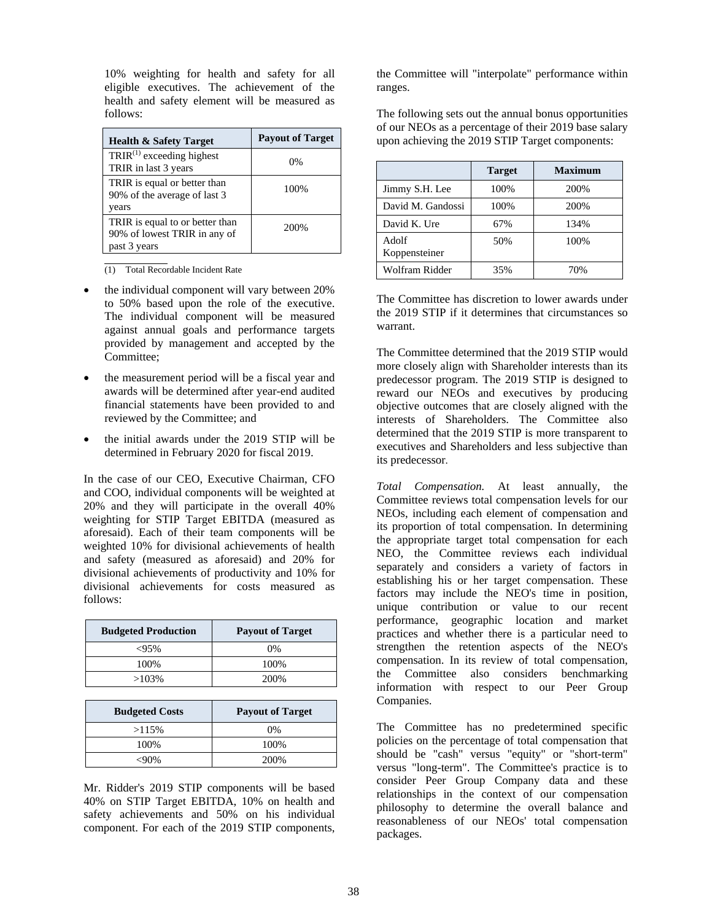10% weighting for health and safety for all eligible executives. The achievement of the health and safety element will be measured as follows:

| <b>Health &amp; Safety Target</b>                                               | <b>Payout of Target</b> |
|---------------------------------------------------------------------------------|-------------------------|
| $TRIR^{(1)}$ exceeding highest<br>TRIR in last 3 years                          | 0%                      |
| TRIR is equal or better than<br>90% of the average of last 3<br>years           | 100%                    |
| TRIR is equal to or better than<br>90% of lowest TRIR in any of<br>past 3 years | 200\%                   |

(1) Total Recordable Incident Rate

- the individual component will vary between 20% to 50% based upon the role of the executive. The individual component will be measured against annual goals and performance targets provided by management and accepted by the Committee;
- the measurement period will be a fiscal year and awards will be determined after year-end audited financial statements have been provided to and reviewed by the Committee; and
- the initial awards under the 2019 STIP will be determined in February 2020 for fiscal 2019.

In the case of our CEO, Executive Chairman, CFO and COO, individual components will be weighted at 20% and they will participate in the overall 40% weighting for STIP Target EBITDA (measured as aforesaid). Each of their team components will be weighted 10% for divisional achievements of health and safety (measured as aforesaid) and 20% for divisional achievements of productivity and 10% for divisional achievements for costs measured as follows:

| <b>Budgeted Production</b> | <b>Payout of Target</b> |
|----------------------------|-------------------------|
| $<95\%$                    | $0\%$                   |
| 100%                       | 100%                    |
| $>103\%$                   | 200\%                   |

| <b>Budgeted Costs</b> | <b>Payout of Target</b> |
|-----------------------|-------------------------|
| >115%                 | 0%                      |
| 100%                  | 100%                    |
| -90%                  | 200\%                   |

Mr. Ridder's 2019 STIP components will be based 40% on STIP Target EBITDA, 10% on health and safety achievements and 50% on his individual component. For each of the 2019 STIP components,

the Committee will "interpolate" performance within ranges.

The following sets out the annual bonus opportunities of our NEOs as a percentage of their 2019 base salary upon achieving the 2019 STIP Target components:

|                        | <b>Target</b> | <b>Maximum</b> |
|------------------------|---------------|----------------|
| Jimmy S.H. Lee         | 100%          | 200%           |
| David M. Gandossi      | 100%          | 200%           |
| David K. Ure           | 67%           | 134%           |
| Adolf<br>Koppensteiner | 50%           | 100%           |
| Wolfram Ridder         | 35%           | 70%            |

The Committee has discretion to lower awards under the 2019 STIP if it determines that circumstances so warrant.

The Committee determined that the 2019 STIP would more closely align with Shareholder interests than its predecessor program. The 2019 STIP is designed to reward our NEOs and executives by producing objective outcomes that are closely aligned with the interests of Shareholders. The Committee also determined that the 2019 STIP is more transparent to executives and Shareholders and less subjective than its predecessor.

*Total Compensation.* At least annually, the Committee reviews total compensation levels for our NEOs, including each element of compensation and its proportion of total compensation. In determining the appropriate target total compensation for each NEO, the Committee reviews each individual separately and considers a variety of factors in establishing his or her target compensation. These factors may include the NEO's time in position, unique contribution or value to our recent performance, geographic location and market practices and whether there is a particular need to strengthen the retention aspects of the NEO's compensation. In its review of total compensation, the Committee also considers benchmarking information with respect to our Peer Group Companies.

The Committee has no predetermined specific policies on the percentage of total compensation that should be "cash" versus "equity" or "short-term" versus "long-term". The Committee's practice is to consider Peer Group Company data and these relationships in the context of our compensation philosophy to determine the overall balance and reasonableness of our NEOs' total compensation packages.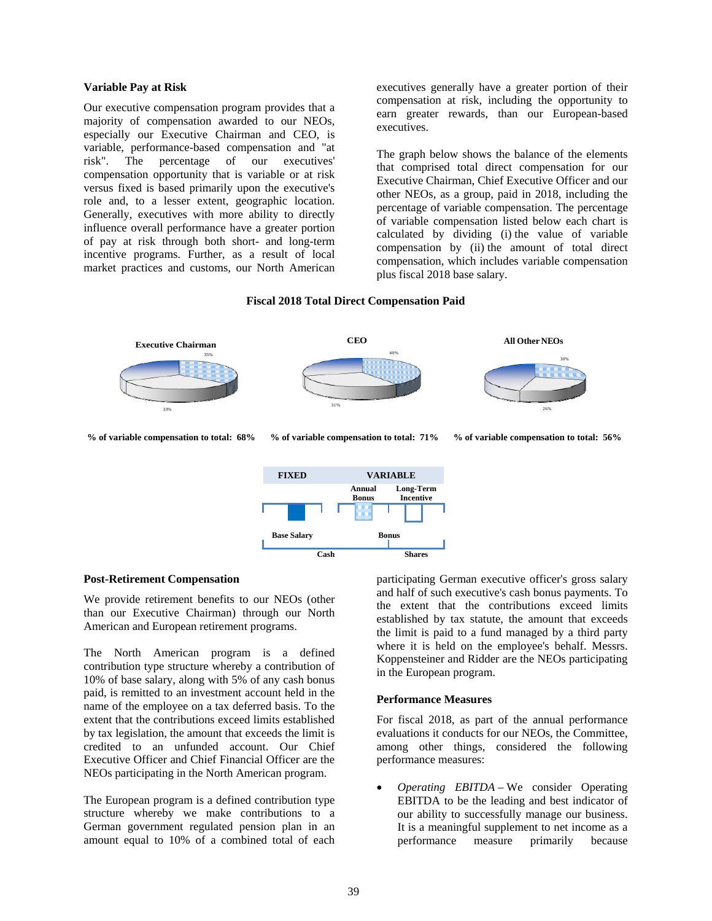#### **Variable Pay at Risk**

Our executive compensation program provides that a majority of compensation awarded to our NEOs, especially our Executive Chairman and CEO, is variable, performance-based compensation and "at risk". The percentage of our executives' compensation opportunity that is variable or at risk versus fixed is based primarily upon the executive's role and, to a lesser extent, geographic location. Generally, executives with more ability to directly influence overall performance have a greater portion of pay at risk through both short- and long-term incentive programs. Further, as a result of local market practices and customs, our North American

executives generally have a greater portion of their compensation at risk, including the opportunity to earn greater rewards, than our European-based executives.

The graph below shows the balance of the elements that comprised total direct compensation for our Executive Chairman, Chief Executive Officer and our other NEOs, as a group, paid in 2018, including the percentage of variable compensation. The percentage of variable compensation listed below each chart is calculated by dividing (i) the value of variable compensation by (ii) the amount of total direct compensation, which includes variable compensation plus fiscal 2018 base salary.

# **Fiscal 2018 Total Direct Compensation Paid**



**% of variable compensation to total: 68% % of variable compensation to total: 71%** **% of variable compensation to total: 56%**



#### **Post-Retirement Compensation**

We provide retirement benefits to our NEOs (other than our Executive Chairman) through our North American and European retirement programs.

The North American program is a defined contribution type structure whereby a contribution of 10% of base salary, along with 5% of any cash bonus paid, is remitted to an investment account held in the name of the employee on a tax deferred basis. To the extent that the contributions exceed limits established by tax legislation, the amount that exceeds the limit is credited to an unfunded account. Our Chief Executive Officer and Chief Financial Officer are the NEOs participating in the North American program.

The European program is a defined contribution type structure whereby we make contributions to a German government regulated pension plan in an amount equal to 10% of a combined total of each

participating German executive officer's gross salary and half of such executive's cash bonus payments. To the extent that the contributions exceed limits established by tax statute, the amount that exceeds the limit is paid to a fund managed by a third party where it is held on the employee's behalf. Messrs. Koppensteiner and Ridder are the NEOs participating in the European program.

#### **Performance Measures**

For fiscal 2018, as part of the annual performance evaluations it conducts for our NEOs, the Committee, among other things, considered the following performance measures:

 *Operating EBITDA –* We consider Operating EBITDA to be the leading and best indicator of our ability to successfully manage our business. It is a meaningful supplement to net income as a performance measure primarily because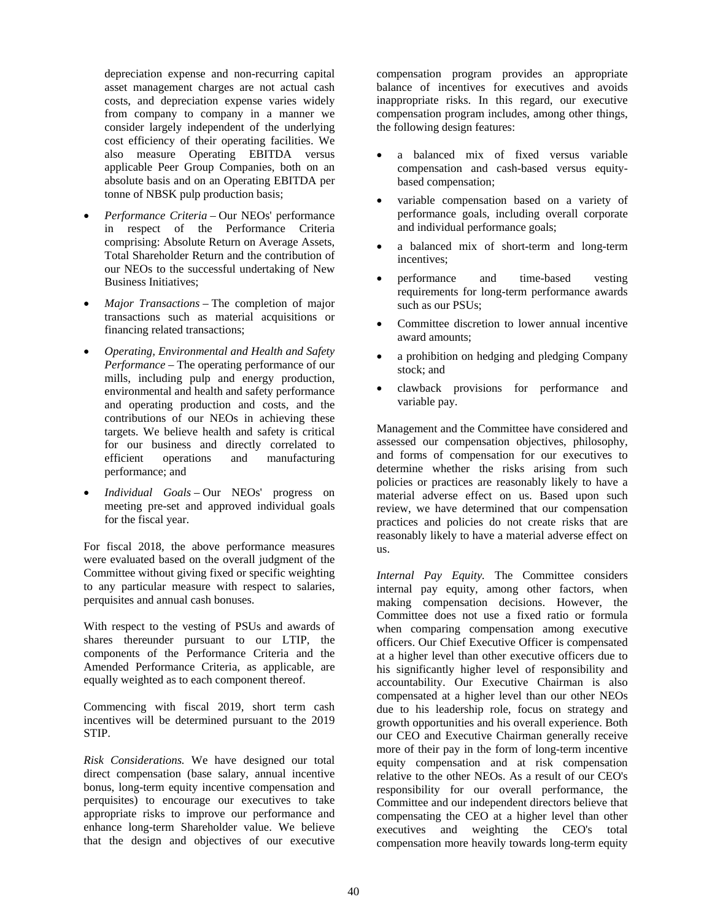depreciation expense and non-recurring capital asset management charges are not actual cash costs, and depreciation expense varies widely from company to company in a manner we consider largely independent of the underlying cost efficiency of their operating facilities. We also measure Operating EBITDA versus applicable Peer Group Companies, both on an absolute basis and on an Operating EBITDA per tonne of NBSK pulp production basis;

- *Performance Criteria* Our NEOs' performance in respect of the Performance Criteria comprising: Absolute Return on Average Assets, Total Shareholder Return and the contribution of our NEOs to the successful undertaking of New Business Initiatives;
- *Major Transactions* The completion of major transactions such as material acquisitions or financing related transactions;
- *Operating, Environmental and Health and Safety Performance –* The operating performance of our mills, including pulp and energy production, environmental and health and safety performance and operating production and costs, and the contributions of our NEOs in achieving these targets. We believe health and safety is critical for our business and directly correlated to efficient operations and manufacturing performance; and
- *Individual Goals* Our NEOs' progress on meeting pre-set and approved individual goals for the fiscal year.

For fiscal 2018, the above performance measures were evaluated based on the overall judgment of the Committee without giving fixed or specific weighting to any particular measure with respect to salaries, perquisites and annual cash bonuses.

With respect to the vesting of PSUs and awards of shares thereunder pursuant to our LTIP, the components of the Performance Criteria and the Amended Performance Criteria, as applicable, are equally weighted as to each component thereof.

Commencing with fiscal 2019, short term cash incentives will be determined pursuant to the 2019 STIP.

*Risk Considerations.* We have designed our total direct compensation (base salary, annual incentive bonus, long-term equity incentive compensation and perquisites) to encourage our executives to take appropriate risks to improve our performance and enhance long-term Shareholder value. We believe that the design and objectives of our executive

compensation program provides an appropriate balance of incentives for executives and avoids inappropriate risks. In this regard, our executive compensation program includes, among other things, the following design features:

- a balanced mix of fixed versus variable compensation and cash-based versus equitybased compensation;
- variable compensation based on a variety of performance goals, including overall corporate and individual performance goals;
- a balanced mix of short-term and long-term incentives;
- performance and time-based vesting requirements for long-term performance awards such as our PSUs;
- Committee discretion to lower annual incentive award amounts;
- a prohibition on hedging and pledging Company stock; and
- clawback provisions for performance and variable pay.

Management and the Committee have considered and assessed our compensation objectives, philosophy, and forms of compensation for our executives to determine whether the risks arising from such policies or practices are reasonably likely to have a material adverse effect on us. Based upon such review, we have determined that our compensation practices and policies do not create risks that are reasonably likely to have a material adverse effect on us.

*Internal Pay Equity.* The Committee considers internal pay equity, among other factors, when making compensation decisions. However, the Committee does not use a fixed ratio or formula when comparing compensation among executive officers. Our Chief Executive Officer is compensated at a higher level than other executive officers due to his significantly higher level of responsibility and accountability. Our Executive Chairman is also compensated at a higher level than our other NEOs due to his leadership role, focus on strategy and growth opportunities and his overall experience. Both our CEO and Executive Chairman generally receive more of their pay in the form of long-term incentive equity compensation and at risk compensation relative to the other NEOs. As a result of our CEO's responsibility for our overall performance, the Committee and our independent directors believe that compensating the CEO at a higher level than other executives and weighting the CEO's total compensation more heavily towards long-term equity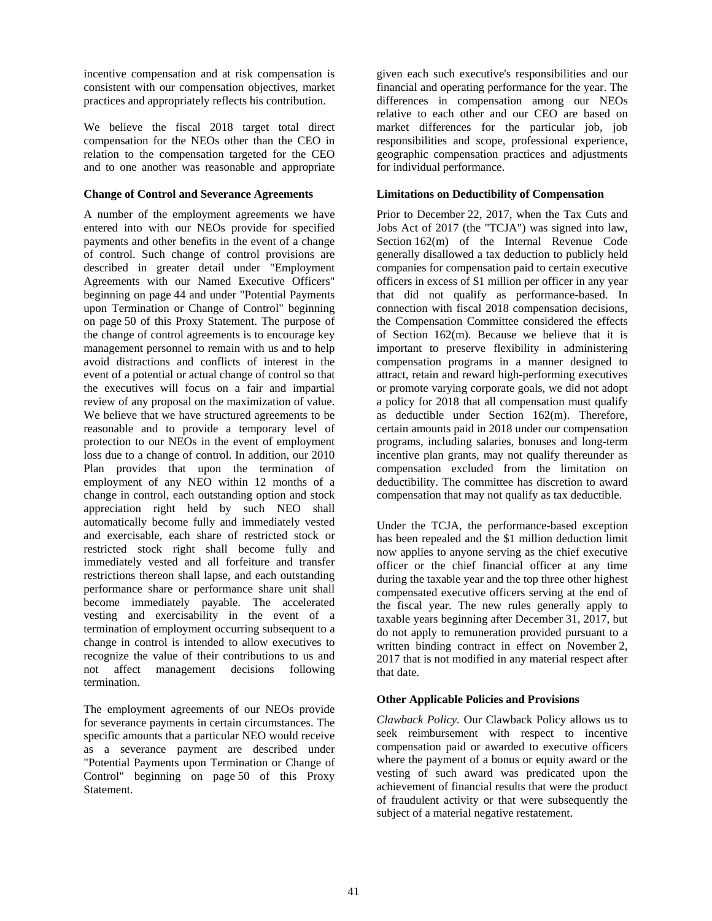incentive compensation and at risk compensation is consistent with our compensation objectives, market practices and appropriately reflects his contribution.

We believe the fiscal 2018 target total direct compensation for the NEOs other than the CEO in relation to the compensation targeted for the CEO and to one another was reasonable and appropriate

# **Change of Control and Severance Agreements**

A number of the employment agreements we have entered into with our NEOs provide for specified payments and other benefits in the event of a change of control. Such change of control provisions are described in greater detail under "Employment Agreements with our Named Executive Officers" beginning on page 44 and under "Potential Payments upon Termination or Change of Control" beginning on page 50 of this Proxy Statement. The purpose of the change of control agreements is to encourage key management personnel to remain with us and to help avoid distractions and conflicts of interest in the event of a potential or actual change of control so that the executives will focus on a fair and impartial review of any proposal on the maximization of value. We believe that we have structured agreements to be reasonable and to provide a temporary level of protection to our NEOs in the event of employment loss due to a change of control. In addition, our 2010 Plan provides that upon the termination of employment of any NEO within 12 months of a change in control, each outstanding option and stock appreciation right held by such NEO shall automatically become fully and immediately vested and exercisable, each share of restricted stock or restricted stock right shall become fully and immediately vested and all forfeiture and transfer restrictions thereon shall lapse, and each outstanding performance share or performance share unit shall become immediately payable. The accelerated vesting and exercisability in the event of a termination of employment occurring subsequent to a change in control is intended to allow executives to recognize the value of their contributions to us and not affect management decisions following termination.

The employment agreements of our NEOs provide for severance payments in certain circumstances. The specific amounts that a particular NEO would receive as a severance payment are described under "Potential Payments upon Termination or Change of Control" beginning on page 50 of this Proxy Statement.

given each such executive's responsibilities and our financial and operating performance for the year. The differences in compensation among our NEOs relative to each other and our CEO are based on market differences for the particular job, job responsibilities and scope, professional experience, geographic compensation practices and adjustments for individual performance.

# **Limitations on Deductibility of Compensation**

Prior to December 22, 2017, when the Tax Cuts and Jobs Act of 2017 (the "TCJA") was signed into law, Section 162(m) of the Internal Revenue Code generally disallowed a tax deduction to publicly held companies for compensation paid to certain executive officers in excess of \$1 million per officer in any year that did not qualify as performance-based. In connection with fiscal 2018 compensation decisions, the Compensation Committee considered the effects of Section 162(m). Because we believe that it is important to preserve flexibility in administering compensation programs in a manner designed to attract, retain and reward high-performing executives or promote varying corporate goals, we did not adopt a policy for 2018 that all compensation must qualify as deductible under Section 162(m). Therefore, certain amounts paid in 2018 under our compensation programs, including salaries, bonuses and long-term incentive plan grants, may not qualify thereunder as compensation excluded from the limitation on deductibility. The committee has discretion to award compensation that may not qualify as tax deductible.

Under the TCJA, the performance-based exception has been repealed and the \$1 million deduction limit now applies to anyone serving as the chief executive officer or the chief financial officer at any time during the taxable year and the top three other highest compensated executive officers serving at the end of the fiscal year. The new rules generally apply to taxable years beginning after December 31, 2017, but do not apply to remuneration provided pursuant to a written binding contract in effect on November 2, 2017 that is not modified in any material respect after that date.

# **Other Applicable Policies and Provisions**

*Clawback Policy.* Our Clawback Policy allows us to seek reimbursement with respect to incentive compensation paid or awarded to executive officers where the payment of a bonus or equity award or the vesting of such award was predicated upon the achievement of financial results that were the product of fraudulent activity or that were subsequently the subject of a material negative restatement.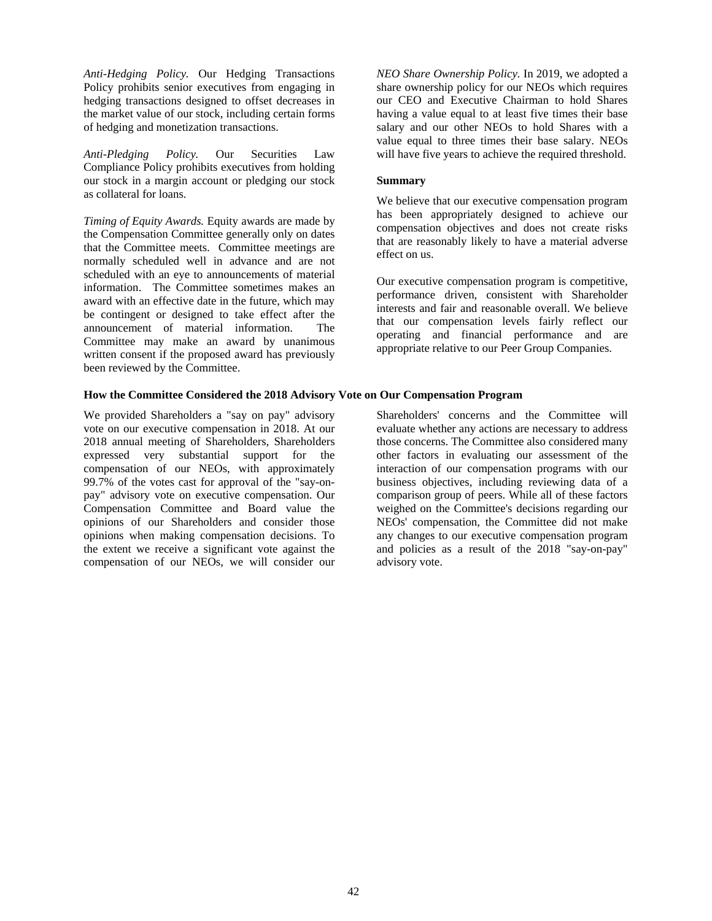*Anti-Hedging Policy.* Our Hedging Transactions Policy prohibits senior executives from engaging in hedging transactions designed to offset decreases in the market value of our stock, including certain forms of hedging and monetization transactions.

*Anti-Pledging Policy.* Our Securities Law Compliance Policy prohibits executives from holding our stock in a margin account or pledging our stock as collateral for loans.

*Timing of Equity Awards.* Equity awards are made by the Compensation Committee generally only on dates that the Committee meets. Committee meetings are normally scheduled well in advance and are not scheduled with an eye to announcements of material information. The Committee sometimes makes an award with an effective date in the future, which may be contingent or designed to take effect after the announcement of material information. The Committee may make an award by unanimous written consent if the proposed award has previously been reviewed by the Committee.

**How the Committee Considered the 2018 Advisory Vote on Our Compensation Program** 

We provided Shareholders a "say on pay" advisory vote on our executive compensation in 2018. At our 2018 annual meeting of Shareholders, Shareholders expressed very substantial support for the compensation of our NEOs, with approximately 99.7% of the votes cast for approval of the "say-onpay" advisory vote on executive compensation. Our Compensation Committee and Board value the opinions of our Shareholders and consider those opinions when making compensation decisions. To the extent we receive a significant vote against the compensation of our NEOs, we will consider our

*NEO Share Ownership Policy.* In 2019, we adopted a share ownership policy for our NEOs which requires our CEO and Executive Chairman to hold Shares having a value equal to at least five times their base salary and our other NEOs to hold Shares with a value equal to three times their base salary. NEOs will have five years to achieve the required threshold.

#### **Summary**

We believe that our executive compensation program has been appropriately designed to achieve our compensation objectives and does not create risks that are reasonably likely to have a material adverse effect on us.

Our executive compensation program is competitive, performance driven, consistent with Shareholder interests and fair and reasonable overall. We believe that our compensation levels fairly reflect our operating and financial performance and are appropriate relative to our Peer Group Companies.

Shareholders' concerns and the Committee will evaluate whether any actions are necessary to address those concerns. The Committee also considered many other factors in evaluating our assessment of the interaction of our compensation programs with our business objectives, including reviewing data of a comparison group of peers. While all of these factors weighed on the Committee's decisions regarding our NEOs' compensation, the Committee did not make any changes to our executive compensation program and policies as a result of the 2018 "say-on-pay" advisory vote.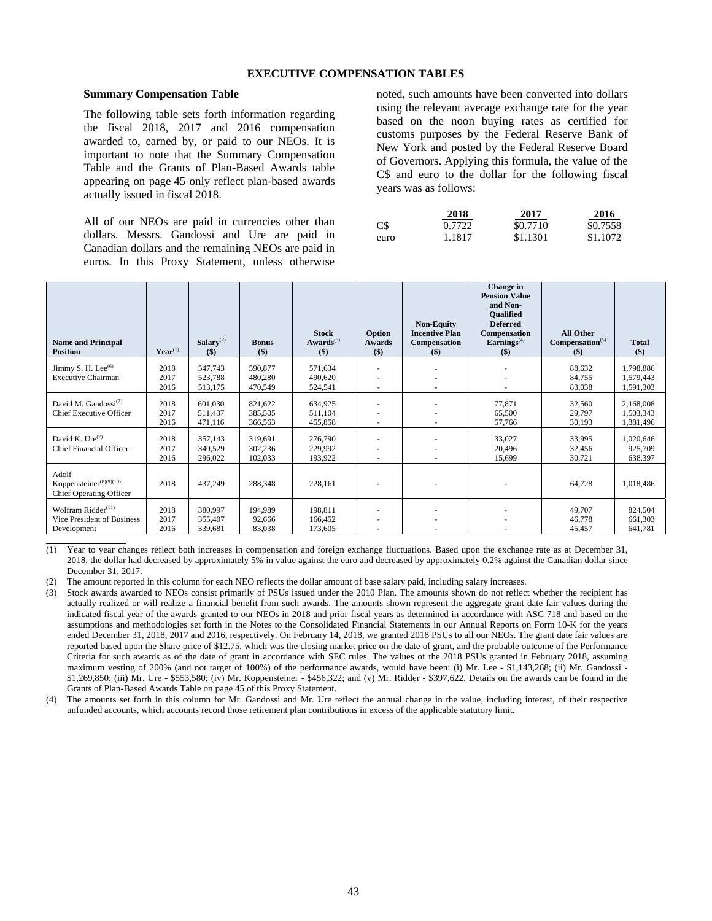#### **EXECUTIVE COMPENSATION TABLES**

#### **Summary Compensation Table**

The following table sets forth information regarding the fiscal 2018, 2017 and 2016 compensation awarded to, earned by, or paid to our NEOs. It is important to note that the Summary Compensation Table and the Grants of Plan-Based Awards table appearing on page 45 only reflect plan-based awards actually issued in fiscal 2018.

All of our NEOs are paid in currencies other than dollars. Messrs. Gandossi and Ure are paid in Canadian dollars and the remaining NEOs are paid in euros. In this Proxy Statement, unless otherwise

noted, such amounts have been converted into dollars using the relevant average exchange rate for the year based on the noon buying rates as certified for customs purposes by the Federal Reserve Bank of New York and posted by the Federal Reserve Board of Governors. Applying this formula, the value of the C\$ and euro to the dollar for the following fiscal years was as follows:

|      | 2018   | 2017     | 2016     |
|------|--------|----------|----------|
| $C\$ | 0.7722 | \$0.7710 | \$0.7558 |
| euro | 1.1817 | \$1.1301 | \$1.1072 |

| <b>Name and Principal</b><br><b>Position</b>                                   | $\textbf{Year}^{(1)}$ | Salarv <sup>(2)</sup><br>$($)$ | <b>Bonus</b><br>$($ \$        | <b>Stock</b><br>$Awards$ <sup>(3)</sup><br>$($)$ | Option<br>Awards<br>$($)$ | <b>Non-Equity</b><br><b>Incentive Plan</b><br>Compensation<br>$(\$)$ | Change in<br><b>Pension Value</b><br>and Non-<br><b>Oualified</b><br><b>Deferred</b><br>Compensation<br>$\mathbf{Earnings}^{(4)}$<br>$($ \$) | <b>All Other</b><br>Compensation <sup>(5)</sup><br>$($)$ | <b>Total</b><br>$($)$               |
|--------------------------------------------------------------------------------|-----------------------|--------------------------------|-------------------------------|--------------------------------------------------|---------------------------|----------------------------------------------------------------------|----------------------------------------------------------------------------------------------------------------------------------------------|----------------------------------------------------------|-------------------------------------|
| Jimmy S. H. Lee <sup>(6)</sup><br><b>Executive Chairman</b>                    | 2018<br>2017<br>2016  | 547,743<br>523.788<br>513,175  | 590,877<br>480,280<br>470,549 | 571.634<br>490,620<br>524,541                    | ٠<br>٠<br>$\sim$          |                                                                      |                                                                                                                                              | 88,632<br>84,755<br>83,038                               | 1,798,886<br>1,579,443<br>1,591,303 |
| David M. Gandossi <sup>(7)</sup><br><b>Chief Executive Officer</b>             | 2018<br>2017<br>2016  | 601.030<br>511.437<br>471,116  | 821,622<br>385,505<br>366,563 | 634,925<br>511.104<br>455,858                    | ٠<br>٠                    |                                                                      | 77,871<br>65,500<br>57,766                                                                                                                   | 32,560<br>29,797<br>30,193                               | 2,168,008<br>1,503,343<br>1,381,496 |
| David K. Ure <sup>(7)</sup><br><b>Chief Financial Officer</b>                  | 2018<br>2017<br>2016  | 357,143<br>340,529<br>296,022  | 319,691<br>302,236<br>102,033 | 276,790<br>229,992<br>193,922                    | ٠<br>٠                    |                                                                      | 33,027<br>20,496<br>15,699                                                                                                                   | 33,995<br>32,456<br>30,721                               | 1,020,646<br>925,709<br>638,397     |
| Adolf<br>Koppensteiner <sup>(8)(9)(10)</sup><br><b>Chief Operating Officer</b> | 2018                  | 437,249                        | 288,348                       | 228,161                                          |                           |                                                                      |                                                                                                                                              | 64,728                                                   | 1,018,486                           |
| Wolfram Ridder <sup>(11)</sup><br>Vice President of Business<br>Development    | 2018<br>2017<br>2016  | 380,997<br>355,407<br>339,681  | 194,989<br>92,666<br>83,038   | 198,811<br>166.452<br>173,605                    | ٠                         |                                                                      |                                                                                                                                              | 49,707<br>46,778<br>45,457                               | 824,504<br>661,303<br>641,781       |

(1) Year to year changes reflect both increases in compensation and foreign exchange fluctuations. Based upon the exchange rate as at December 31, 2018, the dollar had decreased by approximately 5% in value against the euro and decreased by approximately 0.2% against the Canadian dollar since December 31, 2017.

(2) The amount reported in this column for each NEO reflects the dollar amount of base salary paid, including salary increases.

(3) Stock awards awarded to NEOs consist primarily of PSUs issued under the 2010 Plan. The amounts shown do not reflect whether the recipient has actually realized or will realize a financial benefit from such awards. The amounts shown represent the aggregate grant date fair values during the indicated fiscal year of the awards granted to our NEOs in 2018 and prior fiscal years as determined in accordance with ASC 718 and based on the assumptions and methodologies set forth in the Notes to the Consolidated Financial Statements in our Annual Reports on Form 10-K for the years ended December 31, 2018, 2017 and 2016, respectively. On February 14, 2018, we granted 2018 PSUs to all our NEOs. The grant date fair values are reported based upon the Share price of \$12.75, which was the closing market price on the date of grant, and the probable outcome of the Performance Criteria for such awards as of the date of grant in accordance with SEC rules. The values of the 2018 PSUs granted in February 2018, assuming maximum vesting of 200% (and not target of 100%) of the performance awards, would have been: (i) Mr. Lee - \$1,143,268; (ii) Mr. Gandossi -\$1,269,850; (iii) Mr. Ure - \$553,580; (iv) Mr. Koppensteiner - \$456,322; and (v) Mr. Ridder - \$397,622. Details on the awards can be found in the Grants of Plan-Based Awards Table on page 45 of this Proxy Statement.

(4) The amounts set forth in this column for Mr. Gandossi and Mr. Ure reflect the annual change in the value, including interest, of their respective unfunded accounts, which accounts record those retirement plan contributions in excess of the applicable statutory limit.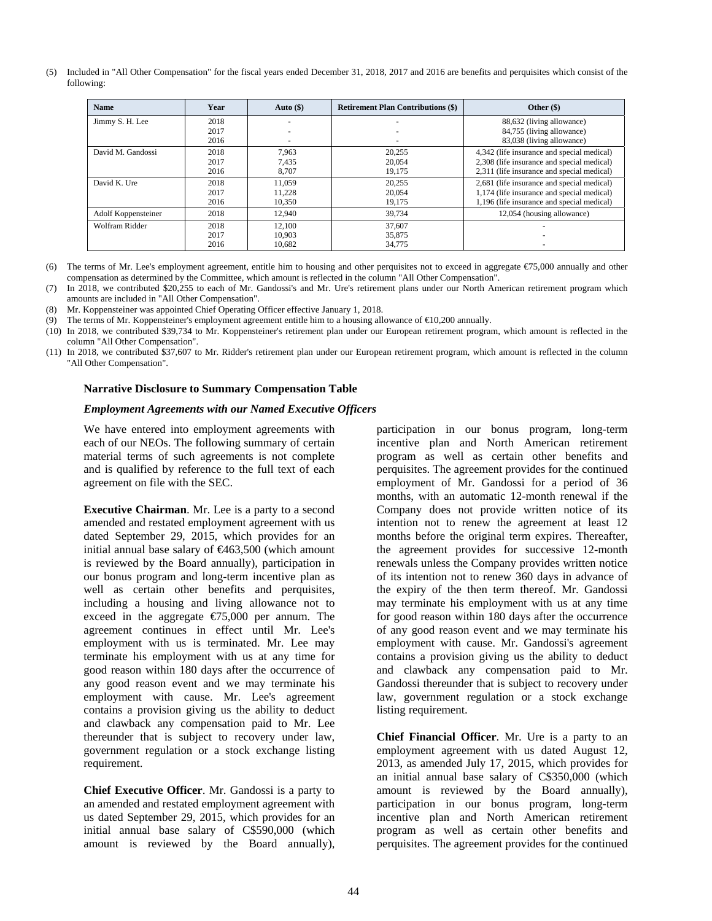(5) Included in "All Other Compensation" for the fiscal years ended December 31, 2018, 2017 and 2016 are benefits and perquisites which consist of the following:

| <b>Name</b>         | Year | Auto $(\$)$ | <b>Retirement Plan Contributions (\$)</b> | Other (\$)                                 |
|---------------------|------|-------------|-------------------------------------------|--------------------------------------------|
| Jimmy S. H. Lee     | 2018 |             |                                           | 88,632 (living allowance)                  |
|                     | 2017 |             |                                           | 84,755 (living allowance)                  |
|                     | 2016 |             |                                           | 83,038 (living allowance)                  |
| David M. Gandossi   | 2018 | 7.963       | 20.255                                    | 4,342 (life insurance and special medical) |
|                     | 2017 | 7.435       | 20,054                                    | 2,308 (life insurance and special medical) |
|                     | 2016 | 8.707       | 19.175                                    | 2,311 (life insurance and special medical) |
| David K. Ure        | 2018 | 11.059      | 20.255                                    | 2,681 (life insurance and special medical) |
|                     | 2017 | 11.228      | 20,054                                    | 1,174 (life insurance and special medical) |
|                     | 2016 | 10,350      | 19,175                                    | 1,196 (life insurance and special medical) |
| Adolf Koppensteiner | 2018 | 12.940      | 39.734                                    | 12,054 (housing allowance)                 |
| Wolfram Ridder      | 2018 | 12.100      | 37.607                                    |                                            |
|                     | 2017 | 10.903      | 35,875                                    |                                            |
|                     | 2016 | 10.682      | 34.775                                    |                                            |

(6) The terms of Mr. Lee's employment agreement, entitle him to housing and other perquisites not to exceed in aggregate  $\epsilon$ 75,000 annually and other compensation as determined by the Committee, which amount is reflected in the column "All Other Compensation".

(7) In 2018, we contributed \$20,255 to each of Mr. Gandossi's and Mr. Ure's retirement plans under our North American retirement program which amounts are included in "All Other Compensation".

(8) Mr. Koppensteiner was appointed Chief Operating Officer effective January 1, 2018.

(9) The terms of Mr. Koppensteiner's employment agreement entitle him to a housing allowance of €10,200 annually.

(10) In 2018, we contributed \$39,734 to Mr. Koppensteiner's retirement plan under our European retirement program, which amount is reflected in the column "All Other Compensation".

(11) In 2018, we contributed \$37,607 to Mr. Ridder's retirement plan under our European retirement program, which amount is reflected in the column "All Other Compensation".

#### **Narrative Disclosure to Summary Compensation Table**

#### *Employment Agreements with our Named Executive Officers*

We have entered into employment agreements with each of our NEOs. The following summary of certain material terms of such agreements is not complete and is qualified by reference to the full text of each agreement on file with the SEC.

**Executive Chairman**. Mr. Lee is a party to a second amended and restated employment agreement with us dated September 29, 2015, which provides for an initial annual base salary of  $\text{£}463,500$  (which amount is reviewed by the Board annually), participation in our bonus program and long-term incentive plan as well as certain other benefits and perquisites, including a housing and living allowance not to exceed in the aggregate  $\epsilon$ 75,000 per annum. The agreement continues in effect until Mr. Lee's employment with us is terminated. Mr. Lee may terminate his employment with us at any time for good reason within 180 days after the occurrence of any good reason event and we may terminate his employment with cause. Mr. Lee's agreement contains a provision giving us the ability to deduct and clawback any compensation paid to Mr. Lee thereunder that is subject to recovery under law, government regulation or a stock exchange listing requirement.

**Chief Executive Officer**. Mr. Gandossi is a party to an amended and restated employment agreement with us dated September 29, 2015, which provides for an initial annual base salary of C\$590,000 (which amount is reviewed by the Board annually), participation in our bonus program, long-term incentive plan and North American retirement program as well as certain other benefits and perquisites. The agreement provides for the continued employment of Mr. Gandossi for a period of 36 months, with an automatic 12-month renewal if the Company does not provide written notice of its intention not to renew the agreement at least 12 months before the original term expires. Thereafter, the agreement provides for successive 12-month renewals unless the Company provides written notice of its intention not to renew 360 days in advance of the expiry of the then term thereof. Mr. Gandossi may terminate his employment with us at any time for good reason within 180 days after the occurrence of any good reason event and we may terminate his employment with cause. Mr. Gandossi's agreement contains a provision giving us the ability to deduct and clawback any compensation paid to Mr. Gandossi thereunder that is subject to recovery under law, government regulation or a stock exchange listing requirement.

**Chief Financial Officer**. Mr. Ure is a party to an employment agreement with us dated August 12, 2013, as amended July 17, 2015, which provides for an initial annual base salary of C\$350,000 (which amount is reviewed by the Board annually), participation in our bonus program, long-term incentive plan and North American retirement program as well as certain other benefits and perquisites. The agreement provides for the continued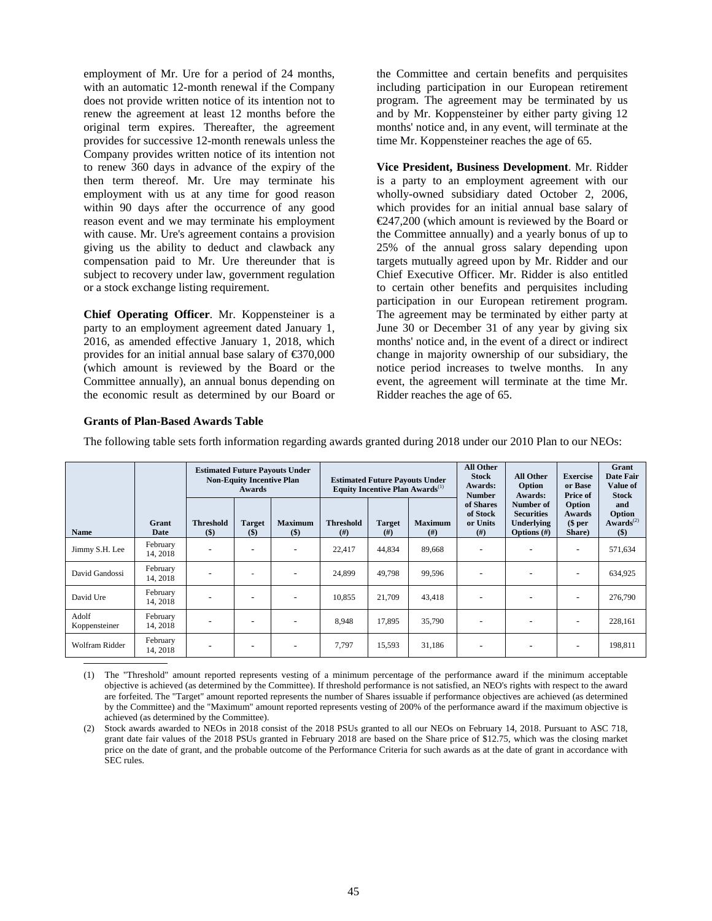employment of Mr. Ure for a period of 24 months, with an automatic 12-month renewal if the Company does not provide written notice of its intention not to renew the agreement at least 12 months before the original term expires. Thereafter, the agreement provides for successive 12-month renewals unless the Company provides written notice of its intention not to renew 360 days in advance of the expiry of the then term thereof. Mr. Ure may terminate his employment with us at any time for good reason within 90 days after the occurrence of any good reason event and we may terminate his employment with cause. Mr. Ure's agreement contains a provision giving us the ability to deduct and clawback any compensation paid to Mr. Ure thereunder that is subject to recovery under law, government regulation or a stock exchange listing requirement.

**Chief Operating Officer**. Mr. Koppensteiner is a party to an employment agreement dated January 1, 2016, as amended effective January 1, 2018, which provides for an initial annual base salary of  $\epsilon$ 370,000 (which amount is reviewed by the Board or the Committee annually), an annual bonus depending on the economic result as determined by our Board or

the Committee and certain benefits and perquisites including participation in our European retirement program. The agreement may be terminated by us and by Mr. Koppensteiner by either party giving 12 months' notice and, in any event, will terminate at the time Mr. Koppensteiner reaches the age of 65.

**Vice President, Business Development**. Mr. Ridder is a party to an employment agreement with our wholly-owned subsidiary dated October 2, 2006, which provides for an initial annual base salary of €247,200 (which amount is reviewed by the Board or the Committee annually) and a yearly bonus of up to 25% of the annual gross salary depending upon targets mutually agreed upon by Mr. Ridder and our Chief Executive Officer. Mr. Ridder is also entitled to certain other benefits and perquisites including participation in our European retirement program. The agreement may be terminated by either party at June 30 or December 31 of any year by giving six months' notice and, in the event of a direct or indirect change in majority ownership of our subsidiary, the notice period increases to twelve months. In any event, the agreement will terminate at the time Mr. Ridder reaches the age of 65.

# **Grants of Plan-Based Awards Table**

The following table sets forth information regarding awards granted during 2018 under our 2010 Plan to our NEOs:

|                        |                      | <b>Estimated Future Payouts Under</b><br><b>Non-Equity Incentive Plan</b><br>Awards |                          | <b>Estimated Future Payouts Under</b><br>Equity Incentive Plan Awards <sup>(1)</sup> |                            | All Other<br><b>Stock</b><br>Awards:<br><b>Number</b> | <b>All Other</b><br>Option<br>Awards: | <b>Exercise</b><br>or Base<br>Price of    | Grant<br><b>Date Fair</b><br><b>Value of</b><br><b>Stock</b>          |                                     |                                                 |
|------------------------|----------------------|-------------------------------------------------------------------------------------|--------------------------|--------------------------------------------------------------------------------------|----------------------------|-------------------------------------------------------|---------------------------------------|-------------------------------------------|-----------------------------------------------------------------------|-------------------------------------|-------------------------------------------------|
| <b>Name</b>            | Grant<br>Date        | <b>Threshold</b><br>$($)$                                                           | <b>Target</b><br>$($)$   | <b>Maximum</b><br>$($)$                                                              | <b>Threshold</b><br>$(\#)$ | <b>Target</b><br>(# )                                 | <b>Maximum</b><br>#)                  | of Shares<br>of Stock<br>or Units<br>(# ) | Number of<br><b>Securities</b><br><b>Underlying</b><br>Options $(\#)$ | Option<br>Awards<br>\$per<br>Share) | and<br><b>Option</b><br>$Awards^{(2)}$<br>$($)$ |
| Jimmy S.H. Lee         | February<br>14, 2018 |                                                                                     | $\overline{\phantom{a}}$ | $\overline{\phantom{a}}$                                                             | 22,417                     | 44,834                                                | 89,668                                | ٠                                         |                                                                       | $\overline{\phantom{a}}$            | 571,634                                         |
| David Gandossi         | February<br>14, 2018 |                                                                                     |                          | $\overline{\phantom{a}}$                                                             | 24.899                     | 49.798                                                | 99,596                                | ٠                                         |                                                                       |                                     | 634,925                                         |
| David Ure              | February<br>14, 2018 |                                                                                     |                          | $\overline{\phantom{a}}$                                                             | 10.855                     | 21,709                                                | 43,418                                |                                           |                                                                       |                                     | 276,790                                         |
| Adolf<br>Koppensteiner | February<br>14, 2018 | -                                                                                   | $\overline{\phantom{a}}$ | $\overline{\phantom{a}}$                                                             | 8,948                      | 17,895                                                | 35,790                                | ٠                                         |                                                                       |                                     | 228,161                                         |
| <b>Wolfram Ridder</b>  | February<br>14, 2018 | -                                                                                   | $\overline{\phantom{a}}$ | $\overline{\phantom{a}}$                                                             | 7.797                      | 15,593                                                | 31.186                                | ٠                                         |                                                                       |                                     | 198,811                                         |

(1) The "Threshold" amount reported represents vesting of a minimum percentage of the performance award if the minimum acceptable objective is achieved (as determined by the Committee). If threshold performance is not satisfied, an NEO's rights with respect to the award are forfeited. The "Target" amount reported represents the number of Shares issuable if performance objectives are achieved (as determined by the Committee) and the "Maximum" amount reported represents vesting of 200% of the performance award if the maximum objective is achieved (as determined by the Committee).

(2) Stock awards awarded to NEOs in 2018 consist of the 2018 PSUs granted to all our NEOs on February 14, 2018. Pursuant to ASC 718, grant date fair values of the 2018 PSUs granted in February 2018 are based on the Share price of \$12.75, which was the closing market price on the date of grant, and the probable outcome of the Performance Criteria for such awards as at the date of grant in accordance with SEC rules.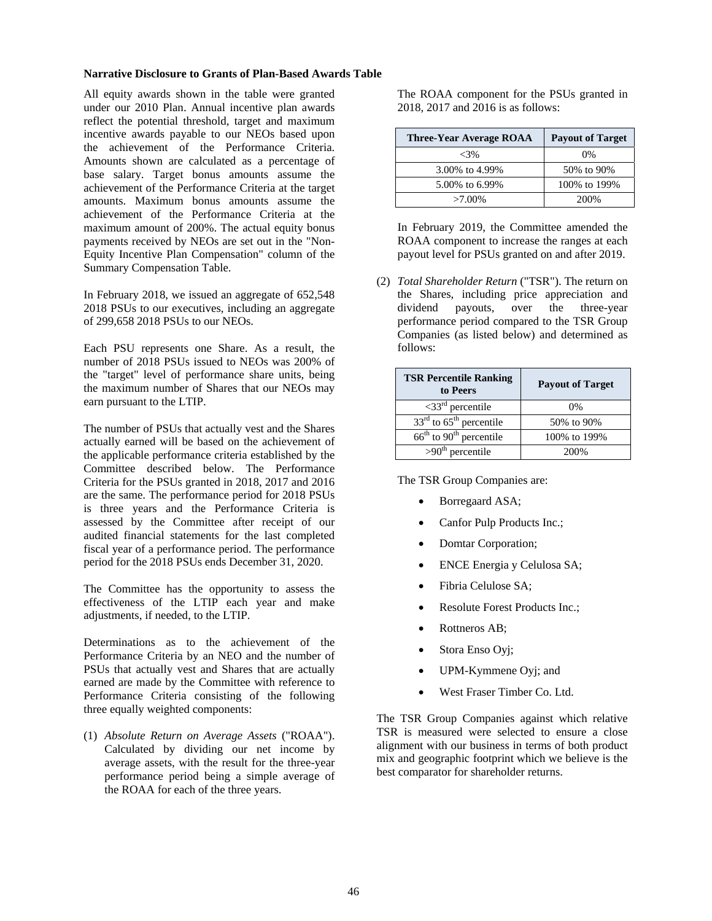#### **Narrative Disclosure to Grants of Plan-Based Awards Table**

All equity awards shown in the table were granted under our 2010 Plan. Annual incentive plan awards reflect the potential threshold, target and maximum incentive awards payable to our NEOs based upon the achievement of the Performance Criteria. Amounts shown are calculated as a percentage of base salary. Target bonus amounts assume the achievement of the Performance Criteria at the target amounts. Maximum bonus amounts assume the achievement of the Performance Criteria at the maximum amount of 200%. The actual equity bonus payments received by NEOs are set out in the "Non-Equity Incentive Plan Compensation" column of the Summary Compensation Table.

In February 2018, we issued an aggregate of 652,548 2018 PSUs to our executives, including an aggregate of 299,658 2018 PSUs to our NEOs.

Each PSU represents one Share. As a result, the number of 2018 PSUs issued to NEOs was 200% of the "target" level of performance share units, being the maximum number of Shares that our NEOs may earn pursuant to the LTIP.

The number of PSUs that actually vest and the Shares actually earned will be based on the achievement of the applicable performance criteria established by the Committee described below. The Performance Criteria for the PSUs granted in 2018, 2017 and 2016 are the same. The performance period for 2018 PSUs is three years and the Performance Criteria is assessed by the Committee after receipt of our audited financial statements for the last completed fiscal year of a performance period. The performance period for the 2018 PSUs ends December 31, 2020.

The Committee has the opportunity to assess the effectiveness of the LTIP each year and make adjustments, if needed, to the LTIP.

Determinations as to the achievement of the Performance Criteria by an NEO and the number of PSUs that actually vest and Shares that are actually earned are made by the Committee with reference to Performance Criteria consisting of the following three equally weighted components:

(1) *Absolute Return on Average Assets* ("ROAA"). Calculated by dividing our net income by average assets, with the result for the three-year performance period being a simple average of the ROAA for each of the three years.

The ROAA component for the PSUs granted in 2018, 2017 and 2016 is as follows:

| <b>Three-Year Average ROAA</b> | <b>Payout of Target</b> |
|--------------------------------|-------------------------|
| $<3\%$                         | $0\%$                   |
| 3.00% to 4.99%                 | 50% to 90%              |
| 5.00% to 6.99%                 | 100% to 199%            |
| $>7.00\%$                      | 200%                    |

In February 2019, the Committee amended the ROAA component to increase the ranges at each payout level for PSUs granted on and after 2019.

(2) *Total Shareholder Return* ("TSR"). The return on the Shares, including price appreciation and dividend payouts, over the three-year performance period compared to the TSR Group Companies (as listed below) and determined as follows:

| <b>TSR Percentile Ranking</b><br>to Peers | <b>Payout of Target</b> |
|-------------------------------------------|-------------------------|
| $\leq 33^{\text{rd}}$ percentile          | 0%                      |
| $33rd$ to $65th$ percentile               | 50% to 90%              |
| $66th$ to $90th$ percentile               | 100% to 199%            |
| $>90th$ percentile                        | 200\%                   |

The TSR Group Companies are:

- Borregaard ASA;
- Canfor Pulp Products Inc.;
- Domtar Corporation;
- ENCE Energia y Celulosa SA;
- Fibria Celulose SA;
- Resolute Forest Products Inc.;
- Rottneros AB;
- Stora Enso Oyj;
- UPM-Kymmene Oyj; and
- West Fraser Timber Co. Ltd.

The TSR Group Companies against which relative TSR is measured were selected to ensure a close alignment with our business in terms of both product mix and geographic footprint which we believe is the best comparator for shareholder returns.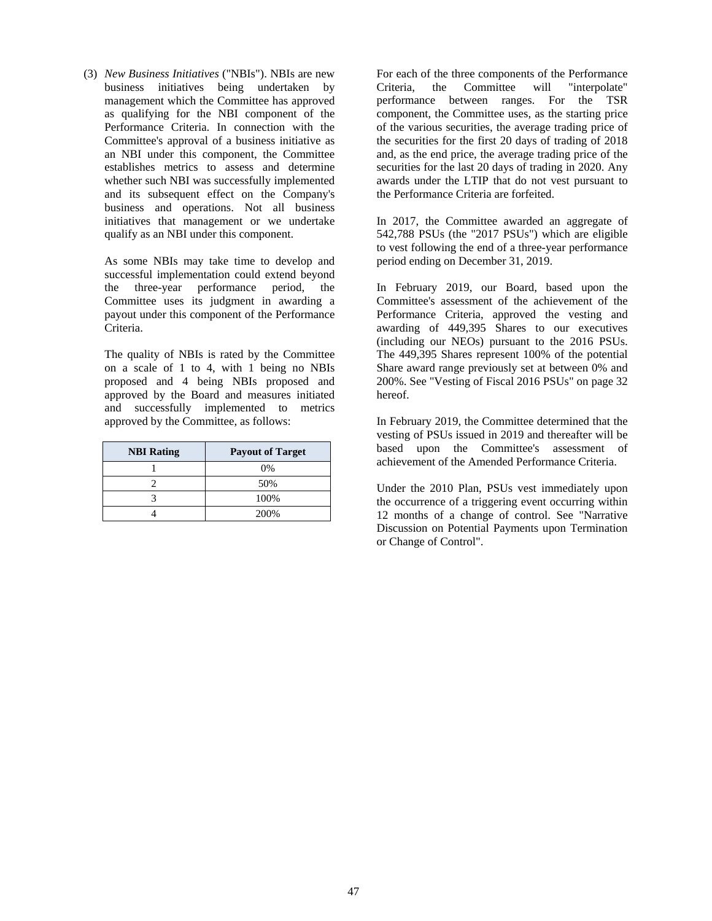(3) *New Business Initiatives* ("NBIs"). NBIs are new business initiatives being undertaken by management which the Committee has approved as qualifying for the NBI component of the Performance Criteria. In connection with the Committee's approval of a business initiative as an NBI under this component, the Committee establishes metrics to assess and determine whether such NBI was successfully implemented and its subsequent effect on the Company's business and operations. Not all business initiatives that management or we undertake qualify as an NBI under this component.

As some NBIs may take time to develop and successful implementation could extend beyond the three-year performance period, the Committee uses its judgment in awarding a payout under this component of the Performance Criteria.

The quality of NBIs is rated by the Committee on a scale of 1 to 4, with 1 being no NBIs proposed and 4 being NBIs proposed and approved by the Board and measures initiated and successfully implemented to metrics approved by the Committee, as follows:

| <b>NBI Rating</b> | <b>Payout of Target</b> |
|-------------------|-------------------------|
|                   | 0%                      |
|                   | 50%                     |
|                   | 100%                    |
|                   | 200%                    |

For each of the three components of the Performance Criteria, the Committee will "interpolate" performance between ranges. For the TSR component, the Committee uses, as the starting price of the various securities, the average trading price of the securities for the first 20 days of trading of 2018 and, as the end price, the average trading price of the securities for the last 20 days of trading in 2020. Any awards under the LTIP that do not vest pursuant to the Performance Criteria are forfeited.

In 2017, the Committee awarded an aggregate of 542,788 PSUs (the "2017 PSUs") which are eligible to vest following the end of a three-year performance period ending on December 31, 2019.

In February 2019, our Board, based upon the Committee's assessment of the achievement of the Performance Criteria, approved the vesting and awarding of 449,395 Shares to our executives (including our NEOs) pursuant to the 2016 PSUs. The 449,395 Shares represent 100% of the potential Share award range previously set at between 0% and 200%. See "Vesting of Fiscal 2016 PSUs" on page 32 hereof.

In February 2019, the Committee determined that the vesting of PSUs issued in 2019 and thereafter will be based upon the Committee's assessment of achievement of the Amended Performance Criteria.

Under the 2010 Plan, PSUs vest immediately upon the occurrence of a triggering event occurring within 12 months of a change of control. See "Narrative Discussion on Potential Payments upon Termination or Change of Control".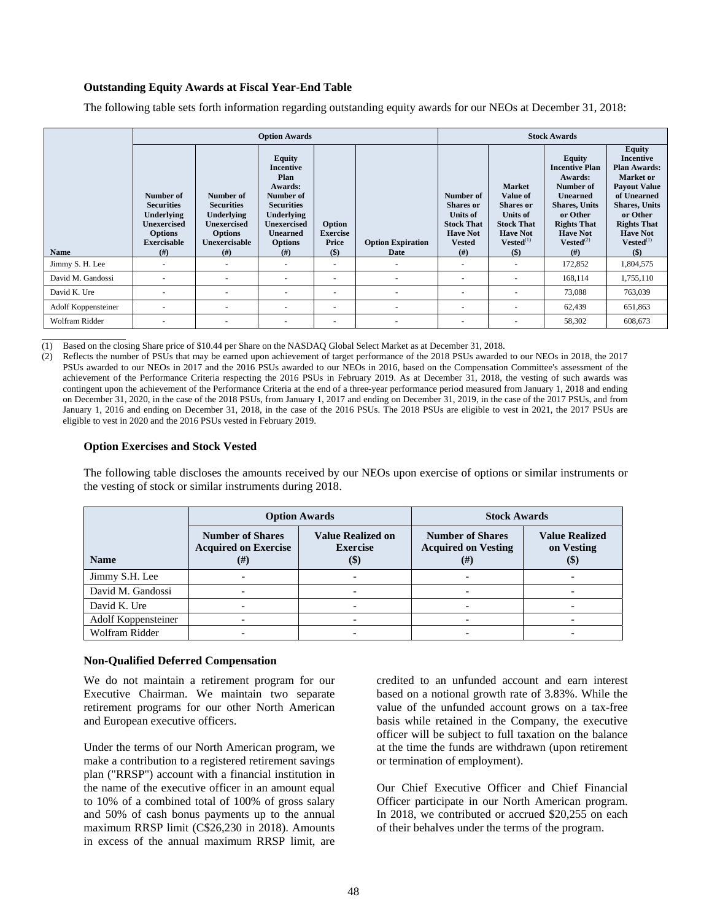### **Outstanding Equity Awards at Fiscal Year-End Table**

The following table sets forth information regarding outstanding equity awards for our NEOs at December 31, 2018:

|                     | <b>Option Awards</b>                                                                                                      |                                                                                                                      |                                                                                                                                                                  |                                             | <b>Stock Awards</b>              |                                                                                                                   |                                                                                                                                                     |                                                                                                                                                                                   |                                                                                                                                                                                                                              |
|---------------------|---------------------------------------------------------------------------------------------------------------------------|----------------------------------------------------------------------------------------------------------------------|------------------------------------------------------------------------------------------------------------------------------------------------------------------|---------------------------------------------|----------------------------------|-------------------------------------------------------------------------------------------------------------------|-----------------------------------------------------------------------------------------------------------------------------------------------------|-----------------------------------------------------------------------------------------------------------------------------------------------------------------------------------|------------------------------------------------------------------------------------------------------------------------------------------------------------------------------------------------------------------------------|
| <b>Name</b>         | Number of<br><b>Securities</b><br><b>Underlying</b><br><b>Unexercised</b><br><b>Options</b><br><b>Exercisable</b><br>(# ) | Number of<br><b>Securities</b><br><b>Underlying</b><br><b>Unexercised</b><br><b>Options</b><br>Unexercisable<br>(# ) | <b>Equity</b><br>Incentive<br>Plan<br>Awards:<br>Number of<br><b>Securities</b><br>Underlying<br><b>Unexercised</b><br><b>Unearned</b><br><b>Options</b><br>(# ) | Option<br><b>Exercise</b><br>Price<br>$($)$ | <b>Option Expiration</b><br>Date | Number of<br><b>Shares or</b><br><b>Units of</b><br><b>Stock That</b><br><b>Have Not</b><br><b>Vested</b><br>(# ) | <b>Market</b><br><b>Value of</b><br><b>Shares or</b><br><b>Units of</b><br><b>Stock That</b><br><b>Have Not</b><br>$Vested$ <sup>(1)</sup><br>$($)$ | Equity<br><b>Incentive Plan</b><br>Awards:<br>Number of<br><b>Unearned</b><br><b>Shares, Units</b><br>or Other<br><b>Rights That</b><br><b>Have Not</b><br>$Vested^{(2)}$<br>(# ) | <b>Equity</b><br><b>Incentive</b><br><b>Plan Awards:</b><br>Market or<br><b>Payout Value</b><br>of Unearned<br><b>Shares, Units</b><br>or Other<br><b>Rights That</b><br><b>Have Not</b><br>$Vested$ <sup>(1)</sup><br>$($)$ |
| Jimmy S. H. Lee     | ۰                                                                                                                         |                                                                                                                      | ٠                                                                                                                                                                |                                             | $\overline{\phantom{a}}$         | $\overline{\phantom{a}}$                                                                                          |                                                                                                                                                     | 172,852                                                                                                                                                                           | 1,804,575                                                                                                                                                                                                                    |
| David M. Gandossi   | $\sim$                                                                                                                    |                                                                                                                      | ٠                                                                                                                                                                | $\overline{\phantom{a}}$                    | ٠                                | $\overline{\phantom{a}}$                                                                                          | ٠                                                                                                                                                   | 168,114                                                                                                                                                                           | 1,755,110                                                                                                                                                                                                                    |
| David K. Ure        | $\overline{\phantom{a}}$                                                                                                  |                                                                                                                      | ٠                                                                                                                                                                | $\overline{\phantom{a}}$                    |                                  | $\overline{\phantom{a}}$                                                                                          |                                                                                                                                                     | 73,088                                                                                                                                                                            | 763,039                                                                                                                                                                                                                      |
| Adolf Koppensteiner | ٠                                                                                                                         |                                                                                                                      | ٠                                                                                                                                                                | $\overline{\phantom{a}}$                    | ٠                                | $\sim$                                                                                                            |                                                                                                                                                     | 62,439                                                                                                                                                                            | 651,863                                                                                                                                                                                                                      |
| Wolfram Ridder      | ٠                                                                                                                         |                                                                                                                      | $\overline{\phantom{a}}$                                                                                                                                         | $\overline{\phantom{a}}$                    | ٠                                | $\sim$                                                                                                            | $\overline{\phantom{a}}$                                                                                                                            | 58,302                                                                                                                                                                            | 608,673                                                                                                                                                                                                                      |

֦ (1) Based on the closing Share price of \$10.44 per Share on the NASDAQ Global Select Market as at December 31, 2018.

(2) Reflects the number of PSUs that may be earned upon achievement of target performance of the 2018 PSUs awarded to our NEOs in 2018, the 2017 PSUs awarded to our NEOs in 2017 and the 2016 PSUs awarded to our NEOs in 2016, based on the Compensation Committee's assessment of the achievement of the Performance Criteria respecting the 2016 PSUs in February 2019. As at December 31, 2018, the vesting of such awards was contingent upon the achievement of the Performance Criteria at the end of a three-year performance period measured from January 1, 2018 and ending on December 31, 2020, in the case of the 2018 PSUs, from January 1, 2017 and ending on December 31, 2019, in the case of the 2017 PSUs, and from January 1, 2016 and ending on December 31, 2018, in the case of the 2016 PSUs. The 2018 PSUs are eligible to vest in 2021, the 2017 PSUs are eligible to vest in 2020 and the 2016 PSUs vested in February 2019.

#### **Option Exercises and Stock Vested**

The following table discloses the amounts received by our NEOs upon exercise of options or similar instruments or the vesting of stock or similar instruments during 2018.

|                     |                                                                     | <b>Option Awards</b>                                                      | <b>Stock Awards</b>                                               |                                               |  |
|---------------------|---------------------------------------------------------------------|---------------------------------------------------------------------------|-------------------------------------------------------------------|-----------------------------------------------|--|
| <b>Name</b>         | <b>Number of Shares</b><br><b>Acquired on Exercise</b><br>$^{(\#)}$ | <b>Value Realized on</b><br><b>Exercise</b><br>$\left( \mathbb{S}\right)$ | <b>Number of Shares</b><br><b>Acquired on Vesting</b><br>$^{(#)}$ | <b>Value Realized</b><br>on Vesting<br>$(\$)$ |  |
| Jimmy S.H. Lee      |                                                                     |                                                                           |                                                                   |                                               |  |
| David M. Gandossi   |                                                                     |                                                                           |                                                                   |                                               |  |
| David K. Ure        |                                                                     |                                                                           |                                                                   |                                               |  |
| Adolf Koppensteiner |                                                                     |                                                                           | $\overline{\phantom{0}}$                                          |                                               |  |
| Wolfram Ridder      |                                                                     |                                                                           |                                                                   |                                               |  |

#### **Non-Qualified Deferred Compensation**

We do not maintain a retirement program for our Executive Chairman. We maintain two separate retirement programs for our other North American and European executive officers.

Under the terms of our North American program, we make a contribution to a registered retirement savings plan ("RRSP") account with a financial institution in the name of the executive officer in an amount equal to 10% of a combined total of 100% of gross salary and 50% of cash bonus payments up to the annual maximum RRSP limit (C\$26,230 in 2018). Amounts in excess of the annual maximum RRSP limit, are credited to an unfunded account and earn interest based on a notional growth rate of 3.83%. While the value of the unfunded account grows on a tax-free basis while retained in the Company, the executive officer will be subject to full taxation on the balance at the time the funds are withdrawn (upon retirement or termination of employment).

Our Chief Executive Officer and Chief Financial Officer participate in our North American program. In 2018, we contributed or accrued \$20,255 on each of their behalves under the terms of the program.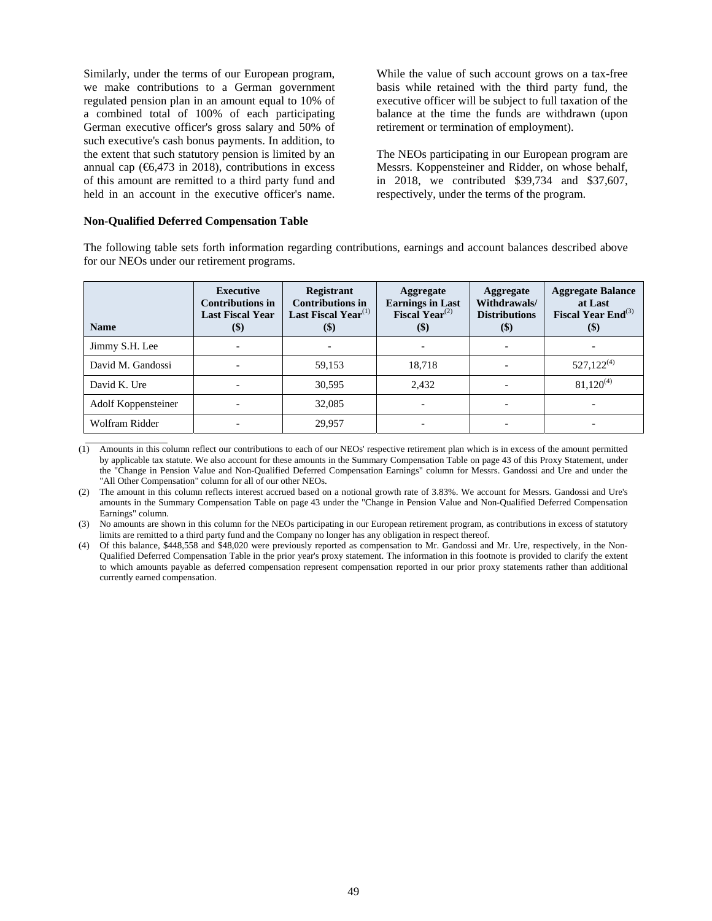Similarly, under the terms of our European program, we make contributions to a German government regulated pension plan in an amount equal to 10% of a combined total of 100% of each participating German executive officer's gross salary and 50% of such executive's cash bonus payments. In addition, to the extent that such statutory pension is limited by an annual cap ( $6,473$  in 2018), contributions in excess of this amount are remitted to a third party fund and held in an account in the executive officer's name.

While the value of such account grows on a tax-free basis while retained with the third party fund, the executive officer will be subject to full taxation of the balance at the time the funds are withdrawn (upon retirement or termination of employment).

The NEOs participating in our European program are Messrs. Koppensteiner and Ridder, on whose behalf, in 2018, we contributed \$39,734 and \$37,607, respectively, under the terms of the program.

#### **Non-Qualified Deferred Compensation Table**

The following table sets forth information regarding contributions, earnings and account balances described above for our NEOs under our retirement programs.

| <b>Name</b>         | Executive<br><b>Contributions in</b><br><b>Last Fiscal Year</b><br>$(\$)$ | <b>Registrant</b><br><b>Contributions in</b><br>Last Fiscal Year <sup>(1)</sup><br>$(\$)$ | Aggregate<br><b>Earnings in Last</b><br><b>Fiscal Year</b> <sup>(2)</sup><br>$(\$)$ | Aggregate<br>Withdrawals/<br><b>Distributions</b><br>$($)$ | <b>Aggregate Balance</b><br>at Last<br>Fiscal Year $\text{End}^{(3)}$<br>$(\$)$ |
|---------------------|---------------------------------------------------------------------------|-------------------------------------------------------------------------------------------|-------------------------------------------------------------------------------------|------------------------------------------------------------|---------------------------------------------------------------------------------|
| Jimmy S.H. Lee      |                                                                           |                                                                                           |                                                                                     |                                                            |                                                                                 |
| David M. Gandossi   |                                                                           | 59,153                                                                                    | 18,718                                                                              |                                                            | $527,122^{(4)}$                                                                 |
| David K. Ure        |                                                                           | 30,595                                                                                    | 2,432                                                                               |                                                            | $81,120^{(4)}$                                                                  |
| Adolf Koppensteiner |                                                                           | 32,085                                                                                    |                                                                                     | $\overline{\phantom{0}}$                                   |                                                                                 |
| Wolfram Ridder      |                                                                           | 29,957                                                                                    | $\overline{\phantom{a}}$                                                            |                                                            |                                                                                 |
|                     |                                                                           |                                                                                           |                                                                                     |                                                            |                                                                                 |

(1) Amounts in this column reflect our contributions to each of our NEOs' respective retirement plan which is in excess of the amount permitted by applicable tax statute. We also account for these amounts in the Summary Compensation Table on page 43 of this Proxy Statement, under the "Change in Pension Value and Non-Qualified Deferred Compensation Earnings" column for Messrs. Gandossi and Ure and under the "All Other Compensation" column for all of our other NEOs.

(2) The amount in this column reflects interest accrued based on a notional growth rate of 3.83%. We account for Messrs. Gandossi and Ure's amounts in the Summary Compensation Table on page 43 under the "Change in Pension Value and Non-Qualified Deferred Compensation Earnings" column.

(3) No amounts are shown in this column for the NEOs participating in our European retirement program, as contributions in excess of statutory limits are remitted to a third party fund and the Company no longer has any obligation in respect thereof.

(4) Of this balance, \$448,558 and \$48,020 were previously reported as compensation to Mr. Gandossi and Mr. Ure, respectively, in the Non-Qualified Deferred Compensation Table in the prior year's proxy statement. The information in this footnote is provided to clarify the extent to which amounts payable as deferred compensation represent compensation reported in our prior proxy statements rather than additional currently earned compensation.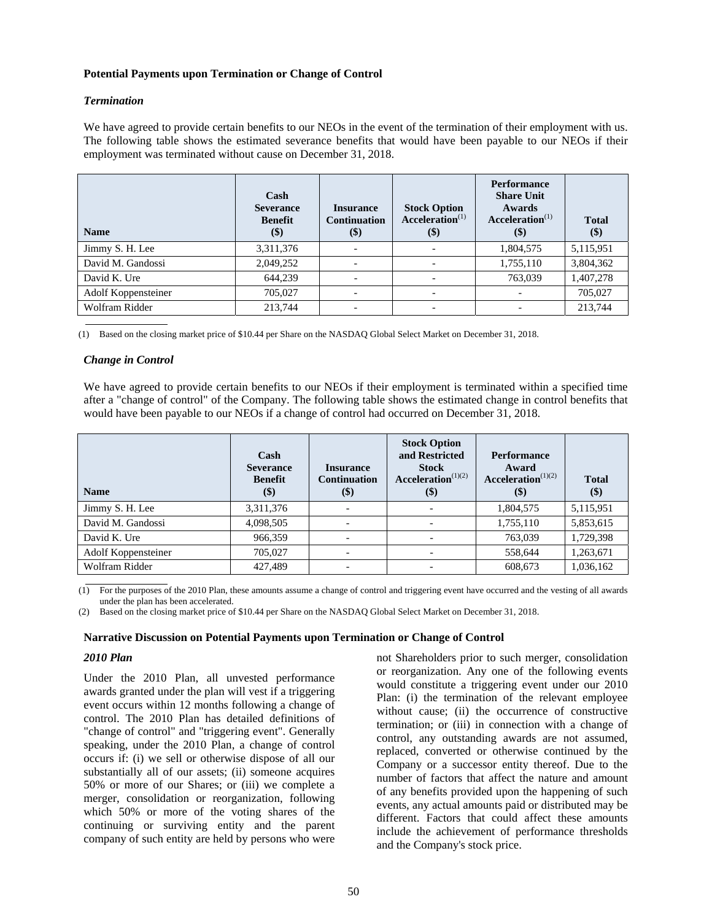## **Potential Payments upon Termination or Change of Control**

#### *Termination*

We have agreed to provide certain benefits to our NEOs in the event of the termination of their employment with us. The following table shows the estimated severance benefits that would have been payable to our NEOs if their employment was terminated without cause on December 31, 2018.

| <b>Name</b>         | Cash<br><b>Severance</b><br><b>Benefit</b><br>$(\$)$ | <b>Insurance</b><br><b>Continuation</b><br>\$) | <b>Stock Option</b><br>$\textbf{Acceleration}^{(1)}$<br>\$) | <b>Performance</b><br><b>Share Unit</b><br>Awards<br>Acceleration <sup>(1)</sup><br>\$) | <b>Total</b><br>$\left( \text{\$}\right)$ |
|---------------------|------------------------------------------------------|------------------------------------------------|-------------------------------------------------------------|-----------------------------------------------------------------------------------------|-------------------------------------------|
| Jimmy S. H. Lee     | 3,311,376                                            |                                                | $\overline{\phantom{a}}$                                    | 1,804,575                                                                               | 5,115,951                                 |
| David M. Gandossi   | 2,049,252                                            | $\overline{\phantom{0}}$                       | $\overline{\phantom{a}}$                                    | 1,755,110                                                                               | 3,804,362                                 |
| David K. Ure        | 644,239                                              |                                                | $\overline{\phantom{a}}$                                    | 763,039                                                                                 | 1,407,278                                 |
| Adolf Koppensteiner | 705,027                                              |                                                | $\overline{\phantom{a}}$                                    |                                                                                         | 705,027                                   |
| Wolfram Ridder      | 213,744                                              | $\overline{\phantom{0}}$                       | $\overline{\phantom{a}}$                                    |                                                                                         | 213,744                                   |
|                     |                                                      |                                                |                                                             |                                                                                         |                                           |

(1) Based on the closing market price of \$10.44 per Share on the NASDAQ Global Select Market on December 31, 2018.

# *Change in Control*

We have agreed to provide certain benefits to our NEOs if their employment is terminated within a specified time after a "change of control" of the Company. The following table shows the estimated change in control benefits that would have been payable to our NEOs if a change of control had occurred on December 31, 2018.

| <b>Name</b>         | Cash<br><b>Severance</b><br><b>Benefit</b><br>$(\$)$ | <b>Insurance</b><br><b>Continuation</b><br>$(\$)$ | <b>Stock Option</b><br>and Restricted<br><b>Stock</b><br>Acceleration $(1)(2)$<br>\$) | <b>Performance</b><br>Award<br>Acceleration <sup><math>(1)(2)</math></sup><br>$\left( \mathcal{S} \right)$ | <b>Total</b><br>$(\$)$ |
|---------------------|------------------------------------------------------|---------------------------------------------------|---------------------------------------------------------------------------------------|------------------------------------------------------------------------------------------------------------|------------------------|
| Jimmy S. H. Lee     | 3,311,376                                            | $\overline{\phantom{a}}$                          |                                                                                       | 1,804,575                                                                                                  | 5,115,951              |
| David M. Gandossi   | 4,098,505                                            | $\overline{\phantom{0}}$                          |                                                                                       | 1,755,110                                                                                                  | 5,853,615              |
| David K. Ure        | 966,359                                              |                                                   |                                                                                       | 763,039                                                                                                    | 1,729,398              |
| Adolf Koppensteiner | 705,027                                              |                                                   |                                                                                       | 558,644                                                                                                    | 1,263,671              |
| Wolfram Ridder      | 427.489                                              |                                                   |                                                                                       | 608,673                                                                                                    | 1,036,162              |

(1) For the purposes of the 2010 Plan, these amounts assume a change of control and triggering event have occurred and the vesting of all awards under the plan has been accelerated.

(2) Based on the closing market price of \$10.44 per Share on the NASDAQ Global Select Market on December 31, 2018.

#### **Narrative Discussion on Potential Payments upon Termination or Change of Control**

## *2010 Plan*

 $\overline{a}$ 

Under the 2010 Plan, all unvested performance awards granted under the plan will vest if a triggering event occurs within 12 months following a change of control. The 2010 Plan has detailed definitions of "change of control" and "triggering event". Generally speaking, under the 2010 Plan, a change of control occurs if: (i) we sell or otherwise dispose of all our substantially all of our assets; (ii) someone acquires 50% or more of our Shares; or (iii) we complete a merger, consolidation or reorganization, following which 50% or more of the voting shares of the continuing or surviving entity and the parent company of such entity are held by persons who were

not Shareholders prior to such merger, consolidation or reorganization. Any one of the following events would constitute a triggering event under our 2010 Plan: (i) the termination of the relevant employee without cause; (ii) the occurrence of constructive termination; or (iii) in connection with a change of control, any outstanding awards are not assumed, replaced, converted or otherwise continued by the Company or a successor entity thereof. Due to the number of factors that affect the nature and amount of any benefits provided upon the happening of such events, any actual amounts paid or distributed may be different. Factors that could affect these amounts include the achievement of performance thresholds and the Company's stock price.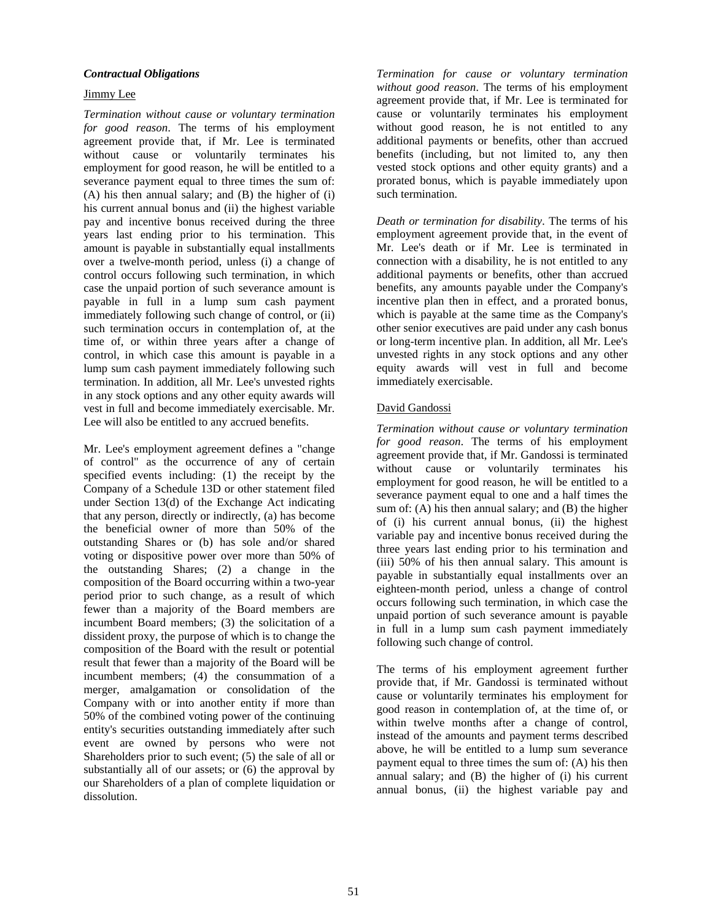# *Contractual Obligations*

# Jimmy Lee

*Termination without cause or voluntary termination for good reason*. The terms of his employment agreement provide that, if Mr. Lee is terminated without cause or voluntarily terminates his employment for good reason, he will be entitled to a severance payment equal to three times the sum of: (A) his then annual salary; and (B) the higher of (i) his current annual bonus and (ii) the highest variable pay and incentive bonus received during the three years last ending prior to his termination. This amount is payable in substantially equal installments over a twelve-month period, unless (i) a change of control occurs following such termination, in which case the unpaid portion of such severance amount is payable in full in a lump sum cash payment immediately following such change of control, or (ii) such termination occurs in contemplation of, at the time of, or within three years after a change of control, in which case this amount is payable in a lump sum cash payment immediately following such termination. In addition, all Mr. Lee's unvested rights in any stock options and any other equity awards will vest in full and become immediately exercisable. Mr. Lee will also be entitled to any accrued benefits.

Mr. Lee's employment agreement defines a "change of control" as the occurrence of any of certain specified events including: (1) the receipt by the Company of a Schedule 13D or other statement filed under Section 13(d) of the Exchange Act indicating that any person, directly or indirectly, (a) has become the beneficial owner of more than 50% of the outstanding Shares or (b) has sole and/or shared voting or dispositive power over more than 50% of the outstanding Shares; (2) a change in the composition of the Board occurring within a two-year period prior to such change, as a result of which fewer than a majority of the Board members are incumbent Board members; (3) the solicitation of a dissident proxy, the purpose of which is to change the composition of the Board with the result or potential result that fewer than a majority of the Board will be incumbent members; (4) the consummation of a merger, amalgamation or consolidation of the Company with or into another entity if more than 50% of the combined voting power of the continuing entity's securities outstanding immediately after such event are owned by persons who were not Shareholders prior to such event; (5) the sale of all or substantially all of our assets; or (6) the approval by our Shareholders of a plan of complete liquidation or dissolution.

*Termination for cause or voluntary termination without good reason*. The terms of his employment agreement provide that, if Mr. Lee is terminated for cause or voluntarily terminates his employment without good reason, he is not entitled to any additional payments or benefits, other than accrued benefits (including, but not limited to, any then vested stock options and other equity grants) and a prorated bonus, which is payable immediately upon such termination.

*Death or termination for disability*. The terms of his employment agreement provide that, in the event of Mr. Lee's death or if Mr. Lee is terminated in connection with a disability, he is not entitled to any additional payments or benefits, other than accrued benefits, any amounts payable under the Company's incentive plan then in effect, and a prorated bonus, which is payable at the same time as the Company's other senior executives are paid under any cash bonus or long-term incentive plan. In addition, all Mr. Lee's unvested rights in any stock options and any other equity awards will vest in full and become immediately exercisable.

# David Gandossi

*Termination without cause or voluntary termination for good reason*. The terms of his employment agreement provide that, if Mr. Gandossi is terminated without cause or voluntarily terminates his employment for good reason, he will be entitled to a severance payment equal to one and a half times the sum of:  $(A)$  his then annual salary; and  $(B)$  the higher of (i) his current annual bonus, (ii) the highest variable pay and incentive bonus received during the three years last ending prior to his termination and (iii) 50% of his then annual salary. This amount is payable in substantially equal installments over an eighteen-month period, unless a change of control occurs following such termination, in which case the unpaid portion of such severance amount is payable in full in a lump sum cash payment immediately following such change of control.

The terms of his employment agreement further provide that, if Mr. Gandossi is terminated without cause or voluntarily terminates his employment for good reason in contemplation of, at the time of, or within twelve months after a change of control, instead of the amounts and payment terms described above, he will be entitled to a lump sum severance payment equal to three times the sum of: (A) his then annual salary; and (B) the higher of (i) his current annual bonus, (ii) the highest variable pay and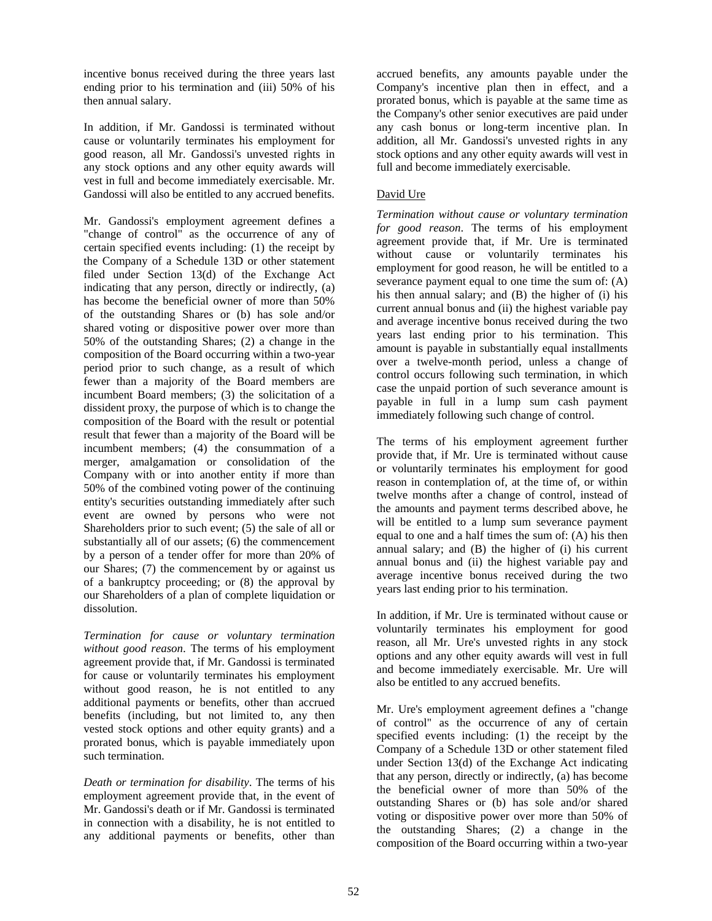incentive bonus received during the three years last ending prior to his termination and (iii) 50% of his then annual salary.

In addition, if Mr. Gandossi is terminated without cause or voluntarily terminates his employment for good reason, all Mr. Gandossi's unvested rights in any stock options and any other equity awards will vest in full and become immediately exercisable. Mr. Gandossi will also be entitled to any accrued benefits.

Mr. Gandossi's employment agreement defines a "change of control" as the occurrence of any of certain specified events including: (1) the receipt by the Company of a Schedule 13D or other statement filed under Section 13(d) of the Exchange Act indicating that any person, directly or indirectly, (a) has become the beneficial owner of more than 50% of the outstanding Shares or (b) has sole and/or shared voting or dispositive power over more than 50% of the outstanding Shares; (2) a change in the composition of the Board occurring within a two-year period prior to such change, as a result of which fewer than a majority of the Board members are incumbent Board members; (3) the solicitation of a dissident proxy, the purpose of which is to change the composition of the Board with the result or potential result that fewer than a majority of the Board will be incumbent members; (4) the consummation of a merger, amalgamation or consolidation of the Company with or into another entity if more than 50% of the combined voting power of the continuing entity's securities outstanding immediately after such event are owned by persons who were not Shareholders prior to such event; (5) the sale of all or substantially all of our assets; (6) the commencement by a person of a tender offer for more than 20% of our Shares; (7) the commencement by or against us of a bankruptcy proceeding; or (8) the approval by our Shareholders of a plan of complete liquidation or dissolution.

*Termination for cause or voluntary termination without good reason*. The terms of his employment agreement provide that, if Mr. Gandossi is terminated for cause or voluntarily terminates his employment without good reason, he is not entitled to any additional payments or benefits, other than accrued benefits (including, but not limited to, any then vested stock options and other equity grants) and a prorated bonus, which is payable immediately upon such termination.

*Death or termination for disability*. The terms of his employment agreement provide that, in the event of Mr. Gandossi's death or if Mr. Gandossi is terminated in connection with a disability, he is not entitled to any additional payments or benefits, other than

accrued benefits, any amounts payable under the Company's incentive plan then in effect, and a prorated bonus, which is payable at the same time as the Company's other senior executives are paid under any cash bonus or long-term incentive plan. In addition, all Mr. Gandossi's unvested rights in any stock options and any other equity awards will vest in full and become immediately exercisable.

# David Ure

*Termination without cause or voluntary termination for good reason*. The terms of his employment agreement provide that, if Mr. Ure is terminated without cause or voluntarily terminates his employment for good reason, he will be entitled to a severance payment equal to one time the sum of: (A) his then annual salary; and (B) the higher of (i) his current annual bonus and (ii) the highest variable pay and average incentive bonus received during the two years last ending prior to his termination. This amount is payable in substantially equal installments over a twelve-month period, unless a change of control occurs following such termination, in which case the unpaid portion of such severance amount is payable in full in a lump sum cash payment immediately following such change of control.

The terms of his employment agreement further provide that, if Mr. Ure is terminated without cause or voluntarily terminates his employment for good reason in contemplation of, at the time of, or within twelve months after a change of control, instead of the amounts and payment terms described above, he will be entitled to a lump sum severance payment equal to one and a half times the sum of: (A) his then annual salary; and (B) the higher of (i) his current annual bonus and (ii) the highest variable pay and average incentive bonus received during the two years last ending prior to his termination.

In addition, if Mr. Ure is terminated without cause or voluntarily terminates his employment for good reason, all Mr. Ure's unvested rights in any stock options and any other equity awards will vest in full and become immediately exercisable. Mr. Ure will also be entitled to any accrued benefits.

Mr. Ure's employment agreement defines a "change of control" as the occurrence of any of certain specified events including: (1) the receipt by the Company of a Schedule 13D or other statement filed under Section 13(d) of the Exchange Act indicating that any person, directly or indirectly, (a) has become the beneficial owner of more than 50% of the outstanding Shares or (b) has sole and/or shared voting or dispositive power over more than 50% of the outstanding Shares; (2) a change in the composition of the Board occurring within a two-year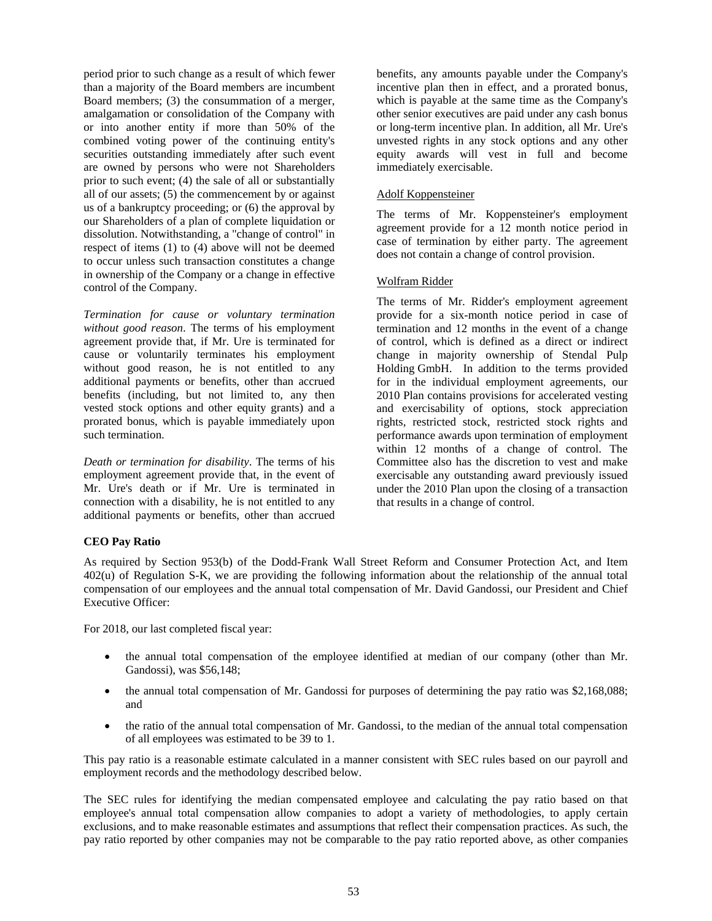period prior to such change as a result of which fewer than a majority of the Board members are incumbent Board members; (3) the consummation of a merger, amalgamation or consolidation of the Company with or into another entity if more than 50% of the combined voting power of the continuing entity's securities outstanding immediately after such event are owned by persons who were not Shareholders prior to such event; (4) the sale of all or substantially all of our assets; (5) the commencement by or against us of a bankruptcy proceeding; or (6) the approval by our Shareholders of a plan of complete liquidation or dissolution. Notwithstanding, a "change of control" in respect of items (1) to (4) above will not be deemed to occur unless such transaction constitutes a change in ownership of the Company or a change in effective control of the Company.

*Termination for cause or voluntary termination without good reason*. The terms of his employment agreement provide that, if Mr. Ure is terminated for cause or voluntarily terminates his employment without good reason, he is not entitled to any additional payments or benefits, other than accrued benefits (including, but not limited to, any then vested stock options and other equity grants) and a prorated bonus, which is payable immediately upon such termination.

*Death or termination for disability*. The terms of his employment agreement provide that, in the event of Mr. Ure's death or if Mr. Ure is terminated in connection with a disability, he is not entitled to any additional payments or benefits, other than accrued

benefits, any amounts payable under the Company's incentive plan then in effect, and a prorated bonus, which is payable at the same time as the Company's other senior executives are paid under any cash bonus or long-term incentive plan. In addition, all Mr. Ure's unvested rights in any stock options and any other equity awards will vest in full and become immediately exercisable.

# Adolf Koppensteiner

The terms of Mr. Koppensteiner's employment agreement provide for a 12 month notice period in case of termination by either party. The agreement does not contain a change of control provision.

# Wolfram Ridder

The terms of Mr. Ridder's employment agreement provide for a six-month notice period in case of termination and 12 months in the event of a change of control, which is defined as a direct or indirect change in majority ownership of Stendal Pulp Holding GmbH. In addition to the terms provided for in the individual employment agreements, our 2010 Plan contains provisions for accelerated vesting and exercisability of options, stock appreciation rights, restricted stock, restricted stock rights and performance awards upon termination of employment within 12 months of a change of control. The Committee also has the discretion to vest and make exercisable any outstanding award previously issued under the 2010 Plan upon the closing of a transaction that results in a change of control.

# **CEO Pay Ratio**

As required by Section 953(b) of the Dodd-Frank Wall Street Reform and Consumer Protection Act, and Item 402(u) of Regulation S-K, we are providing the following information about the relationship of the annual total compensation of our employees and the annual total compensation of Mr. David Gandossi, our President and Chief Executive Officer:

For 2018, our last completed fiscal year:

- the annual total compensation of the employee identified at median of our company (other than Mr. Gandossi), was \$56,148;
- the annual total compensation of Mr. Gandossi for purposes of determining the pay ratio was \$2,168,088; and
- the ratio of the annual total compensation of Mr. Gandossi, to the median of the annual total compensation of all employees was estimated to be 39 to 1.

This pay ratio is a reasonable estimate calculated in a manner consistent with SEC rules based on our payroll and employment records and the methodology described below.

The SEC rules for identifying the median compensated employee and calculating the pay ratio based on that employee's annual total compensation allow companies to adopt a variety of methodologies, to apply certain exclusions, and to make reasonable estimates and assumptions that reflect their compensation practices. As such, the pay ratio reported by other companies may not be comparable to the pay ratio reported above, as other companies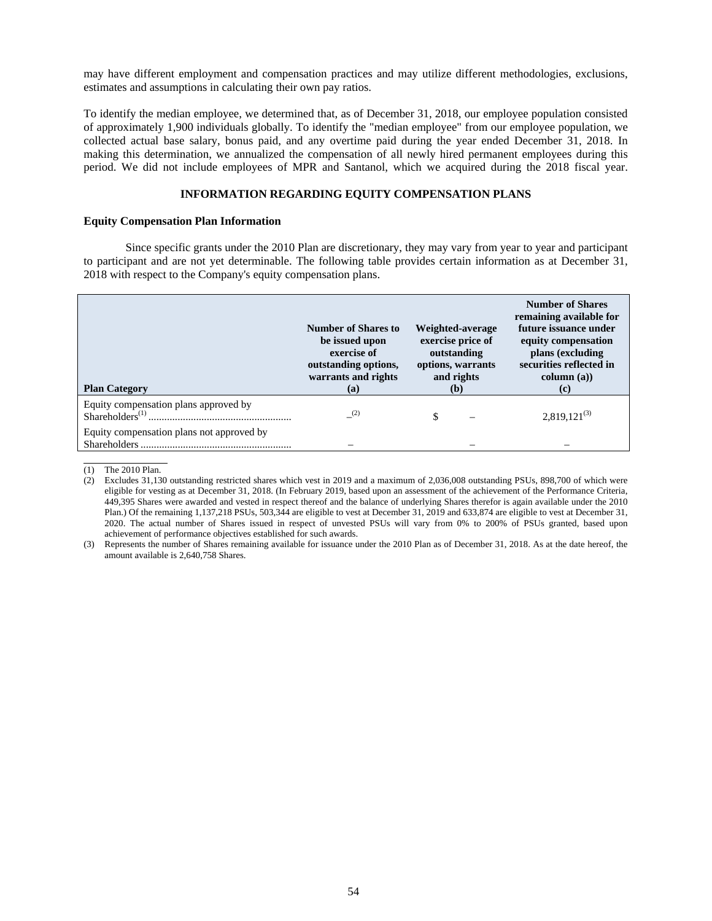may have different employment and compensation practices and may utilize different methodologies, exclusions, estimates and assumptions in calculating their own pay ratios.

To identify the median employee, we determined that, as of December 31, 2018, our employee population consisted of approximately 1,900 individuals globally. To identify the "median employee" from our employee population, we collected actual base salary, bonus paid, and any overtime paid during the year ended December 31, 2018. In making this determination, we annualized the compensation of all newly hired permanent employees during this period. We did not include employees of MPR and Santanol, which we acquired during the 2018 fiscal year.

## **INFORMATION REGARDING EQUITY COMPENSATION PLANS**

## **Equity Compensation Plan Information**

Since specific grants under the 2010 Plan are discretionary, they may vary from year to year and participant to participant and are not yet determinable. The following table provides certain information as at December 31, 2018 with respect to the Company's equity compensation plans.

| <b>Plan Category</b>                                                                                       | Number of Shares to<br>be issued upon<br>exercise of<br>outstanding options,<br>warrants and rights<br>(a) | Weighted-average<br>exercise price of<br>outstanding<br>options, warrants<br>and rights<br>(b) | <b>Number of Shares</b><br>remaining available for<br>future issuance under<br>equity compensation<br>plans (excluding<br>securities reflected in<br>column (a))<br>(c) |  |
|------------------------------------------------------------------------------------------------------------|------------------------------------------------------------------------------------------------------------|------------------------------------------------------------------------------------------------|-------------------------------------------------------------------------------------------------------------------------------------------------------------------------|--|
| Equity compensation plans approved by<br>$Shareholders^{(1)}$<br>Equity compensation plans not approved by | (2)                                                                                                        | \$                                                                                             | $2,819,121^{(3)}$                                                                                                                                                       |  |

<sup>(1)</sup> The 2010 Plan.

(3) Represents the number of Shares remaining available for issuance under the 2010 Plan as of December 31, 2018. As at the date hereof, the amount available is 2,640,758 Shares.

<sup>(2)</sup> Excludes 31,130 outstanding restricted shares which vest in 2019 and a maximum of 2,036,008 outstanding PSUs, 898,700 of which were eligible for vesting as at December 31, 2018. (In February 2019, based upon an assessment of the achievement of the Performance Criteria, 449,395 Shares were awarded and vested in respect thereof and the balance of underlying Shares therefor is again available under the 2010 Plan.) Of the remaining 1,137,218 PSUs, 503,344 are eligible to vest at December 31, 2019 and 633,874 are eligible to vest at December 31, 2020. The actual number of Shares issued in respect of unvested PSUs will vary from 0% to 200% of PSUs granted, based upon achievement of performance objectives established for such awards.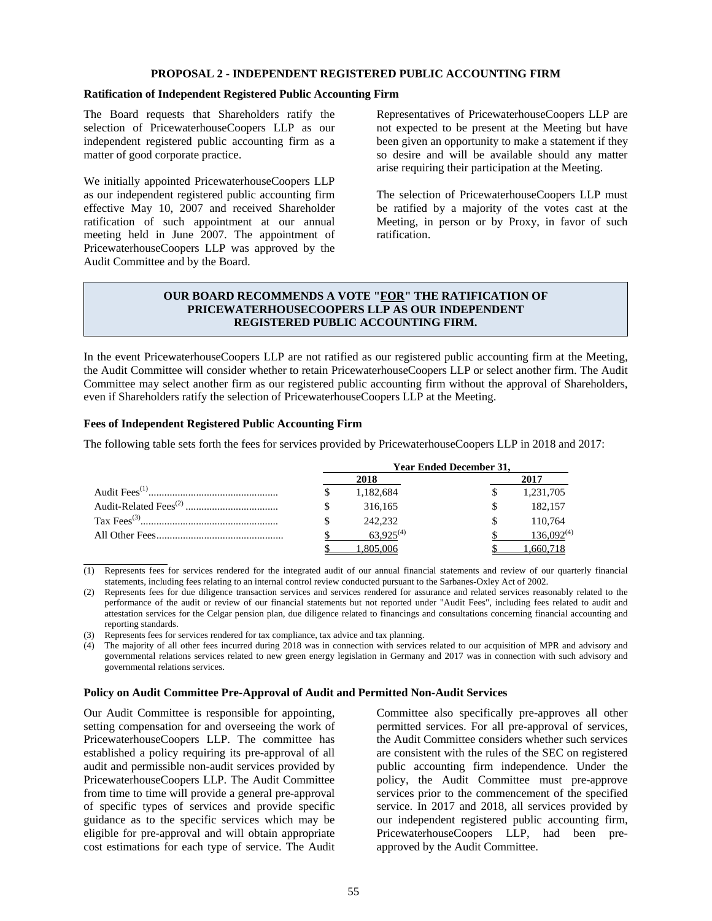#### **PROPOSAL 2 - INDEPENDENT REGISTERED PUBLIC ACCOUNTING FIRM**

#### **Ratification of Independent Registered Public Accounting Firm**

The Board requests that Shareholders ratify the selection of PricewaterhouseCoopers LLP as our independent registered public accounting firm as a matter of good corporate practice.

We initially appointed PricewaterhouseCoopers LLP as our independent registered public accounting firm effective May 10, 2007 and received Shareholder ratification of such appointment at our annual meeting held in June 2007. The appointment of PricewaterhouseCoopers LLP was approved by the Audit Committee and by the Board.

Representatives of PricewaterhouseCoopers LLP are not expected to be present at the Meeting but have been given an opportunity to make a statement if they so desire and will be available should any matter arise requiring their participation at the Meeting.

The selection of PricewaterhouseCoopers LLP must be ratified by a majority of the votes cast at the Meeting, in person or by Proxy, in favor of such ratification.

# **OUR BOARD RECOMMENDS A VOTE "FOR" THE RATIFICATION OF PRICEWATERHOUSECOOPERS LLP AS OUR INDEPENDENT REGISTERED PUBLIC ACCOUNTING FIRM.**

In the event PricewaterhouseCoopers LLP are not ratified as our registered public accounting firm at the Meeting, the Audit Committee will consider whether to retain PricewaterhouseCoopers LLP or select another firm. The Audit Committee may select another firm as our registered public accounting firm without the approval of Shareholders, even if Shareholders ratify the selection of PricewaterhouseCoopers LLP at the Meeting.

#### **Fees of Independent Registered Public Accounting Firm**

The following table sets forth the fees for services provided by PricewaterhouseCoopers LLP in 2018 and 2017:

|  |                | <b>Year Ended December 31.</b> |                 |
|--|----------------|--------------------------------|-----------------|
|  | 2018           |                                | 2017            |
|  | 1,182,684      |                                | 1,231,705       |
|  | 316,165        |                                | 182,157         |
|  | 242,232        |                                | 110,764         |
|  | $63.925^{(4)}$ |                                | $136,092^{(4)}$ |
|  |                |                                |                 |

 $\overline{a}$ (1) Represents fees for services rendered for the integrated audit of our annual financial statements and review of our quarterly financial statements, including fees relating to an internal control review conducted pursuant to the Sarbanes-Oxley Act of 2002.

(2) Represents fees for due diligence transaction services and services rendered for assurance and related services reasonably related to the performance of the audit or review of our financial statements but not reported under "Audit Fees", including fees related to audit and attestation services for the Celgar pension plan, due diligence related to financings and consultations concerning financial accounting and reporting standards.

(3) Represents fees for services rendered for tax compliance, tax advice and tax planning.

(4) The majority of all other fees incurred during 2018 was in connection with services related to our acquisition of MPR and advisory and governmental relations services related to new green energy legislation in Germany and 2017 was in connection with such advisory and governmental relations services.

#### **Policy on Audit Committee Pre-Approval of Audit and Permitted Non-Audit Services**

Our Audit Committee is responsible for appointing, setting compensation for and overseeing the work of PricewaterhouseCoopers LLP. The committee has established a policy requiring its pre-approval of all audit and permissible non-audit services provided by PricewaterhouseCoopers LLP. The Audit Committee from time to time will provide a general pre-approval of specific types of services and provide specific guidance as to the specific services which may be eligible for pre-approval and will obtain appropriate cost estimations for each type of service. The Audit Committee also specifically pre-approves all other permitted services. For all pre-approval of services, the Audit Committee considers whether such services are consistent with the rules of the SEC on registered public accounting firm independence. Under the policy, the Audit Committee must pre-approve services prior to the commencement of the specified service. In 2017 and 2018, all services provided by our independent registered public accounting firm, PricewaterhouseCoopers LLP, had been preapproved by the Audit Committee.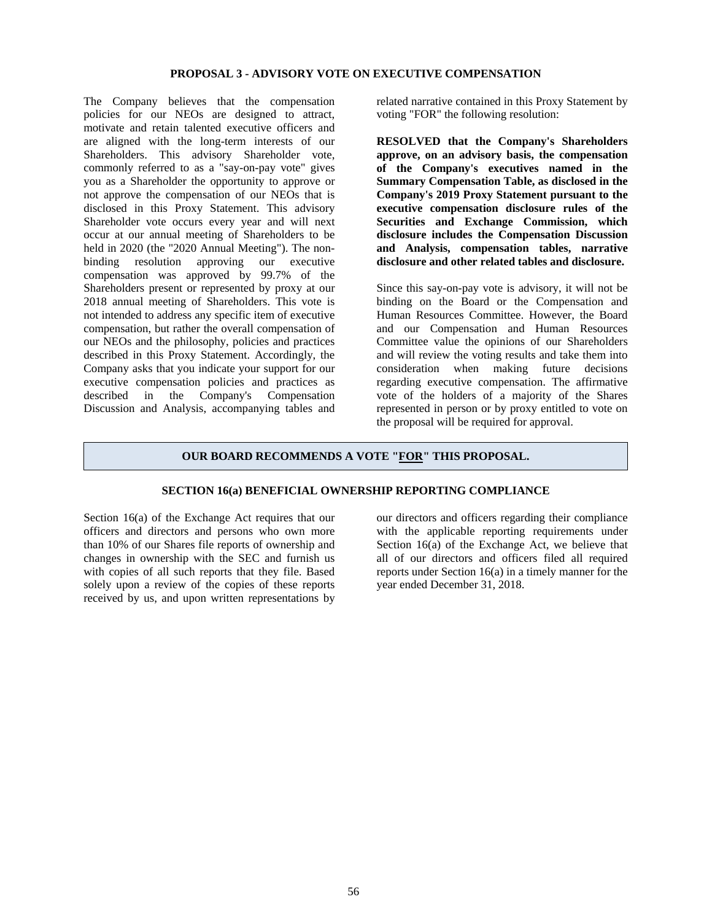#### **PROPOSAL 3 - ADVISORY VOTE ON EXECUTIVE COMPENSATION**

The Company believes that the compensation policies for our NEOs are designed to attract, motivate and retain talented executive officers and are aligned with the long-term interests of our Shareholders. This advisory Shareholder vote, commonly referred to as a "say-on-pay vote" gives you as a Shareholder the opportunity to approve or not approve the compensation of our NEOs that is disclosed in this Proxy Statement. This advisory Shareholder vote occurs every year and will next occur at our annual meeting of Shareholders to be held in 2020 (the "2020 Annual Meeting"). The nonbinding resolution approving our executive compensation was approved by 99.7% of the Shareholders present or represented by proxy at our 2018 annual meeting of Shareholders. This vote is not intended to address any specific item of executive compensation, but rather the overall compensation of our NEOs and the philosophy, policies and practices described in this Proxy Statement. Accordingly, the Company asks that you indicate your support for our executive compensation policies and practices as described in the Company's Compensation Discussion and Analysis, accompanying tables and

related narrative contained in this Proxy Statement by voting "FOR" the following resolution:

**RESOLVED that the Company's Shareholders approve, on an advisory basis, the compensation of the Company's executives named in the Summary Compensation Table, as disclosed in the Company's 2019 Proxy Statement pursuant to the executive compensation disclosure rules of the Securities and Exchange Commission, which disclosure includes the Compensation Discussion and Analysis, compensation tables, narrative disclosure and other related tables and disclosure.**

Since this say-on-pay vote is advisory, it will not be binding on the Board or the Compensation and Human Resources Committee. However, the Board and our Compensation and Human Resources Committee value the opinions of our Shareholders and will review the voting results and take them into consideration when making future decisions regarding executive compensation. The affirmative vote of the holders of a majority of the Shares represented in person or by proxy entitled to vote on the proposal will be required for approval.

#### **OUR BOARD RECOMMENDS A VOTE "FOR" THIS PROPOSAL.**

#### **SECTION 16(a) BENEFICIAL OWNERSHIP REPORTING COMPLIANCE**

Section 16(a) of the Exchange Act requires that our officers and directors and persons who own more than 10% of our Shares file reports of ownership and changes in ownership with the SEC and furnish us with copies of all such reports that they file. Based solely upon a review of the copies of these reports received by us, and upon written representations by our directors and officers regarding their compliance with the applicable reporting requirements under Section 16(a) of the Exchange Act, we believe that all of our directors and officers filed all required reports under Section 16(a) in a timely manner for the year ended December 31, 2018.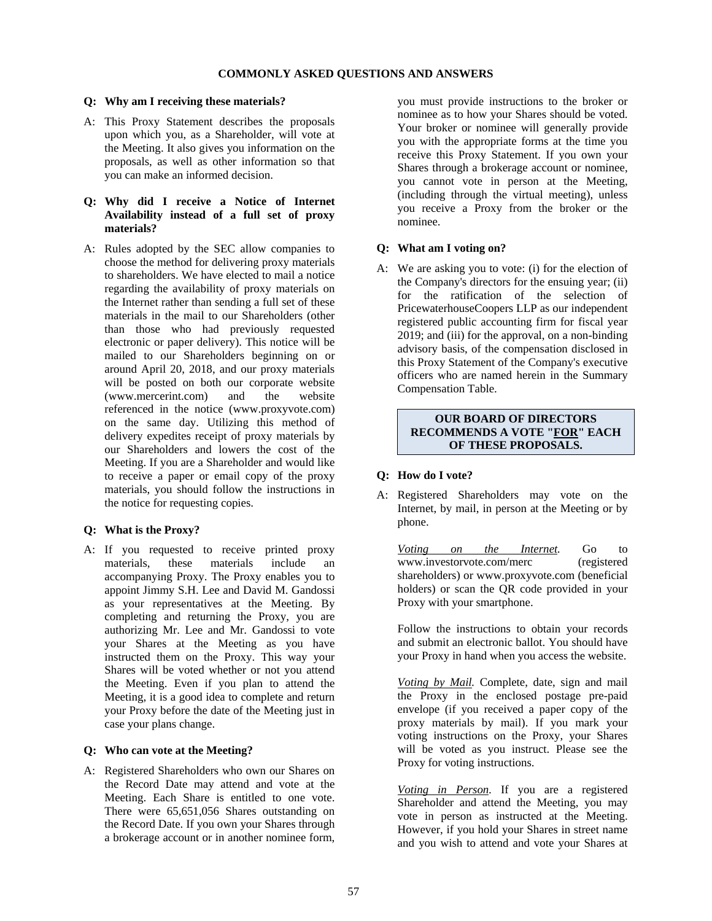# **COMMONLY ASKED QUESTIONS AND ANSWERS**

# **Q: Why am I receiving these materials?**

A: This Proxy Statement describes the proposals upon which you, as a Shareholder, will vote at the Meeting. It also gives you information on the proposals, as well as other information so that you can make an informed decision.

# **Q: Why did I receive a Notice of Internet Availability instead of a full set of proxy materials?**

A: Rules adopted by the SEC allow companies to choose the method for delivering proxy materials to shareholders. We have elected to mail a notice regarding the availability of proxy materials on the Internet rather than sending a full set of these materials in the mail to our Shareholders (other than those who had previously requested electronic or paper delivery). This notice will be mailed to our Shareholders beginning on or around April 20, 2018, and our proxy materials will be posted on both our corporate website (www.mercerint.com) and the website referenced in the notice (www.proxyvote.com) on the same day. Utilizing this method of delivery expedites receipt of proxy materials by our Shareholders and lowers the cost of the Meeting. If you are a Shareholder and would like to receive a paper or email copy of the proxy materials, you should follow the instructions in the notice for requesting copies.

## **Q: What is the Proxy?**

A: If you requested to receive printed proxy materials, these materials include an accompanying Proxy. The Proxy enables you to appoint Jimmy S.H. Lee and David M. Gandossi as your representatives at the Meeting. By completing and returning the Proxy, you are authorizing Mr. Lee and Mr. Gandossi to vote your Shares at the Meeting as you have instructed them on the Proxy. This way your Shares will be voted whether or not you attend the Meeting. Even if you plan to attend the Meeting, it is a good idea to complete and return your Proxy before the date of the Meeting just in case your plans change.

#### **Q: Who can vote at the Meeting?**

A: Registered Shareholders who own our Shares on the Record Date may attend and vote at the Meeting. Each Share is entitled to one vote. There were 65,651,056 Shares outstanding on the Record Date. If you own your Shares through a brokerage account or in another nominee form,

you must provide instructions to the broker or nominee as to how your Shares should be voted. Your broker or nominee will generally provide you with the appropriate forms at the time you receive this Proxy Statement. If you own your Shares through a brokerage account or nominee, you cannot vote in person at the Meeting, (including through the virtual meeting), unless you receive a Proxy from the broker or the nominee.

# **Q: What am I voting on?**

A: We are asking you to vote: (i) for the election of the Company's directors for the ensuing year; (ii) for the ratification of the selection of PricewaterhouseCoopers LLP as our independent registered public accounting firm for fiscal year 2019; and (iii) for the approval, on a non-binding advisory basis, of the compensation disclosed in this Proxy Statement of the Company's executive officers who are named herein in the Summary Compensation Table.

# **OUR BOARD OF DIRECTORS RECOMMENDS A VOTE "FOR" EACH OF THESE PROPOSALS.**

# **Q: How do I vote?**

A: Registered Shareholders may vote on the Internet, by mail, in person at the Meeting or by phone.

*Voting on the Internet.* Go to www.investorvote.com/merc (registered shareholders) or www.proxyvote.com (beneficial holders) or scan the QR code provided in your Proxy with your smartphone.

Follow the instructions to obtain your records and submit an electronic ballot. You should have your Proxy in hand when you access the website.

*Voting by Mail.* Complete, date, sign and mail the Proxy in the enclosed postage pre-paid envelope (if you received a paper copy of the proxy materials by mail). If you mark your voting instructions on the Proxy, your Shares will be voted as you instruct. Please see the Proxy for voting instructions.

*Voting in Person.* If you are a registered Shareholder and attend the Meeting, you may vote in person as instructed at the Meeting. However, if you hold your Shares in street name and you wish to attend and vote your Shares at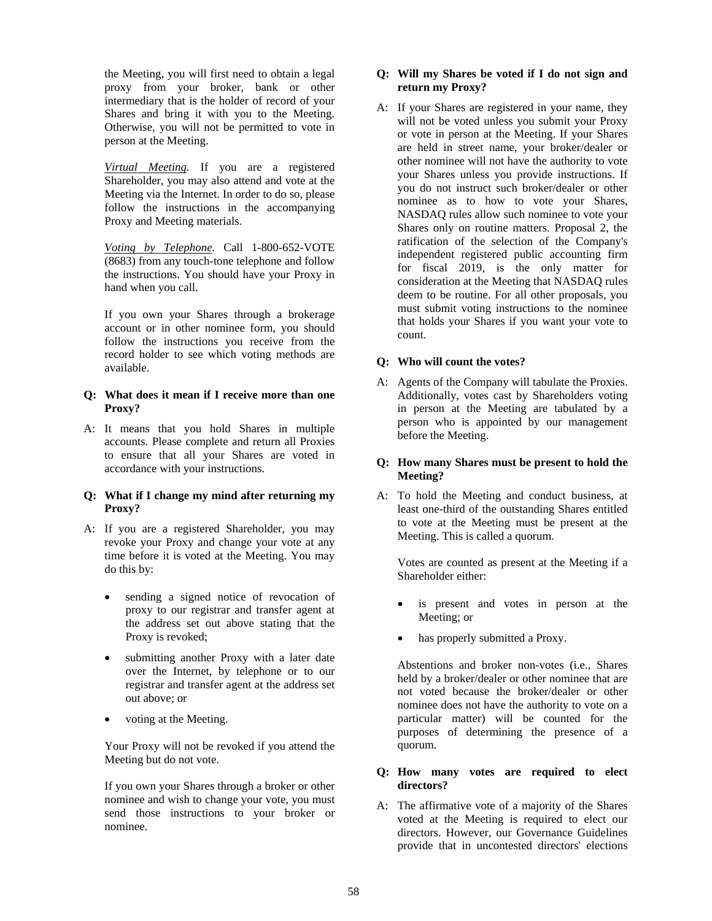the Meeting, you will first need to obtain a legal proxy from your broker, bank or other intermediary that is the holder of record of your Shares and bring it with you to the Meeting. Otherwise, you will not be permitted to vote in person at the Meeting.

*Virtual Meeting.* If you are a registered Shareholder, you may also attend and vote at the Meeting via the Internet. In order to do so, please follow the instructions in the accompanying Proxy and Meeting materials.

*Voting by Telephone.* Call 1-800-652-VOTE (8683) from any touch-tone telephone and follow the instructions. You should have your Proxy in hand when you call.

If you own your Shares through a brokerage account or in other nominee form, you should follow the instructions you receive from the record holder to see which voting methods are available.

## **Q: What does it mean if I receive more than one Proxy?**

A: It means that you hold Shares in multiple accounts. Please complete and return all Proxies to ensure that all your Shares are voted in accordance with your instructions.

# **Q: What if I change my mind after returning my Proxy?**

- A: If you are a registered Shareholder, you may revoke your Proxy and change your vote at any time before it is voted at the Meeting. You may do this by:
	- sending a signed notice of revocation of proxy to our registrar and transfer agent at the address set out above stating that the Proxy is revoked;
	- submitting another Proxy with a later date over the Internet, by telephone or to our registrar and transfer agent at the address set out above; or
	- voting at the Meeting.

Your Proxy will not be revoked if you attend the Meeting but do not vote.

If you own your Shares through a broker or other nominee and wish to change your vote, you must send those instructions to your broker or nominee.

# **Q: Will my Shares be voted if I do not sign and return my Proxy?**

A: If your Shares are registered in your name, they will not be voted unless you submit your Proxy or vote in person at the Meeting. If your Shares are held in street name, your broker/dealer or other nominee will not have the authority to vote your Shares unless you provide instructions. If you do not instruct such broker/dealer or other nominee as to how to vote your Shares, NASDAQ rules allow such nominee to vote your Shares only on routine matters. Proposal 2, the ratification of the selection of the Company's independent registered public accounting firm for fiscal 2019, is the only matter for consideration at the Meeting that NASDAQ rules deem to be routine. For all other proposals, you must submit voting instructions to the nominee that holds your Shares if you want your vote to count.

# **Q: Who will count the votes?**

A: Agents of the Company will tabulate the Proxies. Additionally, votes cast by Shareholders voting in person at the Meeting are tabulated by a person who is appointed by our management before the Meeting.

# **Q: How many Shares must be present to hold the Meeting?**

A: To hold the Meeting and conduct business, at least one-third of the outstanding Shares entitled to vote at the Meeting must be present at the Meeting. This is called a quorum.

Votes are counted as present at the Meeting if a Shareholder either:

- is present and votes in person at the Meeting; or
- has properly submitted a Proxy.

Abstentions and broker non-votes (i.e., Shares held by a broker/dealer or other nominee that are not voted because the broker/dealer or other nominee does not have the authority to vote on a particular matter) will be counted for the purposes of determining the presence of a quorum.

# **Q: How many votes are required to elect directors?**

A: The affirmative vote of a majority of the Shares voted at the Meeting is required to elect our directors. However, our Governance Guidelines provide that in uncontested directors' elections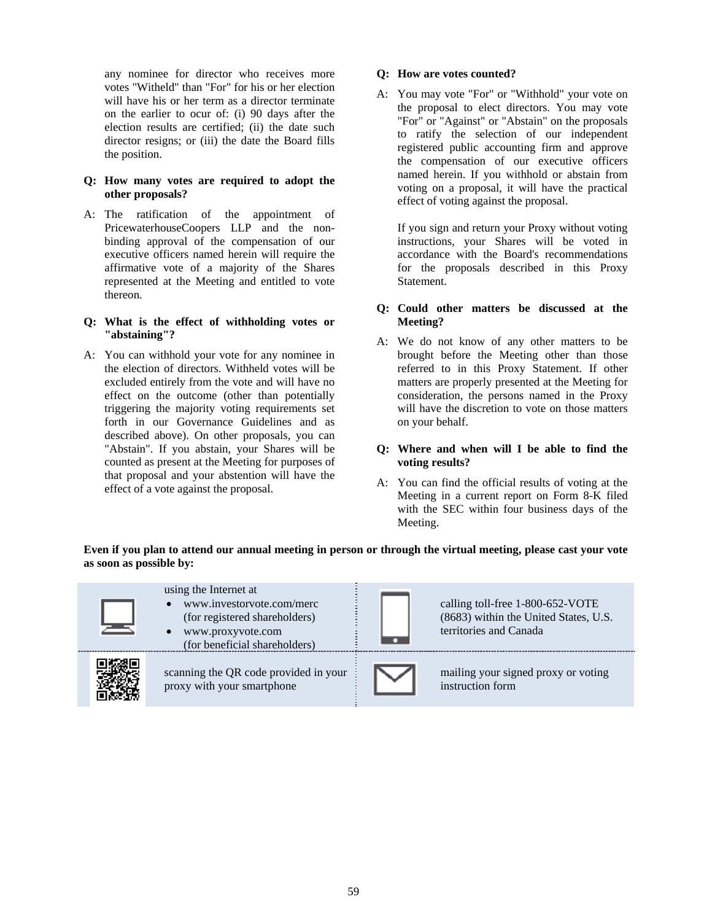any nominee for director who receives more votes "Witheld" than "For" for his or her election will have his or her term as a director terminate on the earlier to ocur of: (i) 90 days after the election results are certified; (ii) the date such director resigns; or (iii) the date the Board fills the position.

## **Q: How many votes are required to adopt the other proposals?**

A: The ratification of the appointment of PricewaterhouseCoopers LLP and the nonbinding approval of the compensation of our executive officers named herein will require the affirmative vote of a majority of the Shares represented at the Meeting and entitled to vote thereon.

# **Q: What is the effect of withholding votes or "abstaining"?**

A: You can withhold your vote for any nominee in the election of directors. Withheld votes will be excluded entirely from the vote and will have no effect on the outcome (other than potentially triggering the majority voting requirements set forth in our Governance Guidelines and as described above). On other proposals, you can "Abstain". If you abstain, your Shares will be counted as present at the Meeting for purposes of that proposal and your abstention will have the effect of a vote against the proposal.

# **Q: How are votes counted?**

A: You may vote "For" or "Withhold" your vote on the proposal to elect directors. You may vote "For" or "Against" or "Abstain" on the proposals to ratify the selection of our independent registered public accounting firm and approve the compensation of our executive officers named herein. If you withhold or abstain from voting on a proposal, it will have the practical effect of voting against the proposal.

If you sign and return your Proxy without voting instructions, your Shares will be voted in accordance with the Board's recommendations for the proposals described in this Proxy Statement.

# **Q: Could other matters be discussed at the Meeting?**

A: We do not know of any other matters to be brought before the Meeting other than those referred to in this Proxy Statement. If other matters are properly presented at the Meeting for consideration, the persons named in the Proxy will have the discretion to vote on those matters on your behalf.

# **Q: Where and when will I be able to find the voting results?**

A: You can find the official results of voting at the Meeting in a current report on Form 8-K filed with the SEC within four business days of the Meeting.

**Even if you plan to attend our annual meeting in person or through the virtual meeting, please cast your vote as soon as possible by:** 

| using the Internet at<br>www.investorvote.com/merc<br>(for registered shareholders)<br>www.proxyvote.com<br>(for beneficial shareholders) | calling toll-free 1-800-652-VOTE<br>(8683) within the United States, U.S.<br>territories and Canada |
|-------------------------------------------------------------------------------------------------------------------------------------------|-----------------------------------------------------------------------------------------------------|
| scanning the QR code provided in your<br>proxy with your smartphone                                                                       | mailing your signed proxy or voting<br>instruction form                                             |